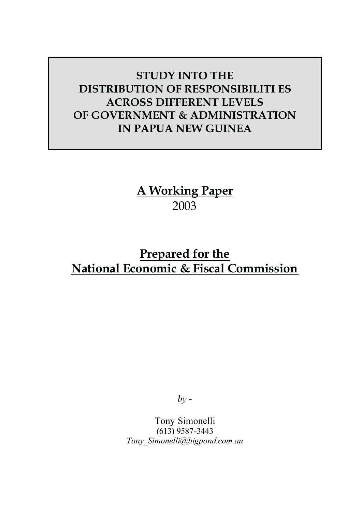# **STUDY INTO THE DISTRIBUTION OF RESPONSIBILITI ES ACROSS DIFFERENT LEVELS OF GOVERNMENT & ADMINISTRATION IN PAPUA NEW GUINEA**

**A Working Paper** 2003

# **Prepared for the National Economic & Fiscal Commission**

*by -*

Tony Simonelli (613) 9587-3443 *Tony\_Simonelli@bigpond.com.au*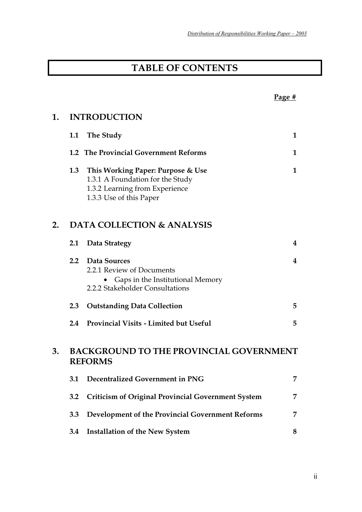# **TABLE OF CONTENTS**

|    |                                                                  |                                                                                                                                        | Page # |
|----|------------------------------------------------------------------|----------------------------------------------------------------------------------------------------------------------------------------|--------|
| 1. |                                                                  | <b>INTRODUCTION</b>                                                                                                                    |        |
|    |                                                                  | 1.1 The Study                                                                                                                          | 1      |
|    |                                                                  | 1.2 The Provincial Government Reforms                                                                                                  | 1      |
|    |                                                                  | 1.3 This Working Paper: Purpose & Use<br>1.3.1 A Foundation for the Study<br>1.3.2 Learning from Experience<br>1.3.3 Use of this Paper | 1      |
| 2. | <b>DATA COLLECTION &amp; ANALYSIS</b>                            |                                                                                                                                        |        |
|    | <b>2.1</b>                                                       | Data Strategy                                                                                                                          | 4      |
|    | 2.2                                                              | Data Sources<br>2.2.1 Review of Documents<br>Gaps in the Institutional Memory<br>2.2.2 Stakeholder Consultations                       | 4      |
|    | 2.3                                                              | <b>Outstanding Data Collection</b>                                                                                                     | 5      |
|    | 2.4                                                              | <b>Provincial Visits - Limited but Useful</b>                                                                                          | 5      |
| 3. | <b>BACKGROUND TO THE PROVINCIAL GOVERNMENT</b><br><b>REFORMS</b> |                                                                                                                                        |        |
|    | 3.1                                                              | Decentralized Government in PNG                                                                                                        | 7      |
|    | 3.2                                                              | <b>Criticism of Original Provincial Government System</b>                                                                              | 7      |
|    | 3.3                                                              | Development of the Provincial Government Reforms                                                                                       | 7      |
|    | 3.4                                                              | <b>Installation of the New System</b>                                                                                                  | 8      |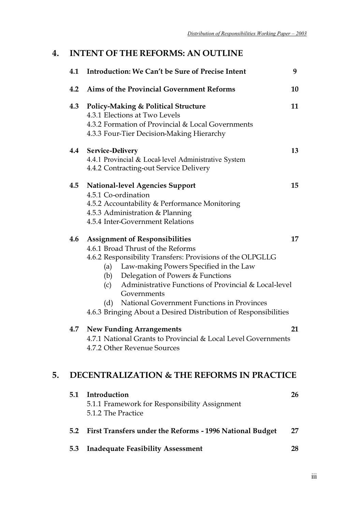# **4. INTENT OF THE REFORMS: AN OUTLINE**

|    |     | 4.1 Introduction: We Can't be Sure of Precise Intent                                                                                                                                                                                                                                                                                                                                                                                   | 9  |
|----|-----|----------------------------------------------------------------------------------------------------------------------------------------------------------------------------------------------------------------------------------------------------------------------------------------------------------------------------------------------------------------------------------------------------------------------------------------|----|
|    | 4.2 | Aims of the Provincial Government Reforms                                                                                                                                                                                                                                                                                                                                                                                              | 10 |
|    | 4.3 | <b>Policy-Making &amp; Political Structure</b><br>4.3.1 Elections at Two Levels<br>4.3.2 Formation of Provincial & Local Governments<br>4.3.3 Four-Tier Decision-Making Hierarchy                                                                                                                                                                                                                                                      | 11 |
|    |     | 4.4 Service-Delivery<br>4.4.1 Provincial & Local level Administrative System<br>4.4.2 Contracting-out Service Delivery                                                                                                                                                                                                                                                                                                                 | 13 |
|    | 4.5 | <b>National-level Agencies Support</b><br>4.5.1 Co-ordination<br>4.5.2 Accountability & Performance Monitoring<br>4.5.3 Administration & Planning<br>4.5.4 Inter-Government Relations                                                                                                                                                                                                                                                  | 15 |
|    | 4.6 | <b>Assignment of Responsibilities</b><br>4.6.1 Broad Thrust of the Reforms<br>4.6.2 Responsibility Transfers: Provisions of the OLPGLLG<br>Law-making Powers Specified in the Law<br>(a)<br>(b) Delegation of Powers & Functions<br>Administrative Functions of Provincial & Local-level<br>(c)<br>Governments<br>National Government Functions in Provinces<br>(d)<br>4.6.3 Bringing About a Desired Distribution of Responsibilities | 17 |
|    | 4.7 | <b>New Funding Arrangements</b><br>4.7.1 National Grants to Provincial & Local Level Governments<br>4.7.2 Other Revenue Sources                                                                                                                                                                                                                                                                                                        | 21 |
| 5. |     | <b>DECENTRALIZATION &amp; THE REFORMS IN PRACTICE</b>                                                                                                                                                                                                                                                                                                                                                                                  |    |
|    | 5.1 | Introduction<br>5.1.1 Framework for Responsibility Assignment<br>5.1.2 The Practice                                                                                                                                                                                                                                                                                                                                                    | 26 |
|    | 5.2 | First Transfers under the Reforms - 1996 National Budget                                                                                                                                                                                                                                                                                                                                                                               | 27 |
|    | 5.3 | <b>Inadequate Feasibility Assessment</b>                                                                                                                                                                                                                                                                                                                                                                                               | 28 |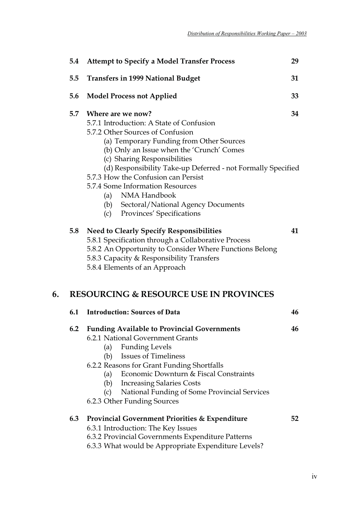|    | 5.4 | <b>Attempt to Specify a Model Transfer Process</b>                                                                                                                                                                                                                                                                                                                                                                                                                       | 29 |  |
|----|-----|--------------------------------------------------------------------------------------------------------------------------------------------------------------------------------------------------------------------------------------------------------------------------------------------------------------------------------------------------------------------------------------------------------------------------------------------------------------------------|----|--|
|    | 5.5 | <b>Transfers in 1999 National Budget</b>                                                                                                                                                                                                                                                                                                                                                                                                                                 | 31 |  |
|    | 5.6 | <b>Model Process not Applied</b>                                                                                                                                                                                                                                                                                                                                                                                                                                         | 33 |  |
|    |     | 5.7 Where are we now?<br>5.7.1 Introduction: A State of Confusion<br>5.7.2 Other Sources of Confusion<br>(a) Temporary Funding from Other Sources<br>(b) Only an Issue when the 'Crunch' Comes<br>(c) Sharing Responsibilities<br>(d) Responsibility Take-up Deferred - not Formally Specified<br>5.7.3 How the Confusion can Persist<br>5.7.4 Some Information Resources<br>(a) NMA Handbook<br>(b) Sectoral/National Agency Documents<br>(c) Provinces' Specifications | 34 |  |
|    | 5.8 | <b>Need to Clearly Specify Responsibilities</b><br>5.8.1 Specification through a Collaborative Process<br>5.8.2 An Opportunity to Consider Where Functions Belong<br>5.8.3 Capacity & Responsibility Transfers<br>5.8.4 Elements of an Approach                                                                                                                                                                                                                          | 41 |  |
| 6. |     | <b>RESOURCING &amp; RESOURCE USE IN PROVINCES</b>                                                                                                                                                                                                                                                                                                                                                                                                                        |    |  |
|    | 6.1 | <b>Introduction: Sources of Data</b>                                                                                                                                                                                                                                                                                                                                                                                                                                     | 46 |  |
|    |     | 6.2 Funding Available to Provincial Governments<br>6.2.1 National Government Grants<br>(a) Funding Levels<br><b>Issues of Timeliness</b><br>(b)<br>6.2.2 Reasons for Grant Funding Shortfalls<br>Economic Downturn & Fiscal Constraints<br>(a)<br>(b) Increasing Salaries Costs<br>National Funding of Some Provincial Services<br>(c)<br>6.2.3 Other Funding Sources                                                                                                    | 46 |  |
|    | 6.3 | <b>Provincial Government Priorities &amp; Expenditure</b><br>6.3.1 Introduction: The Key Issues<br>6.3.2 Provincial Governments Expenditure Patterns<br>6.3.3 What would be Appropriate Expenditure Levels?                                                                                                                                                                                                                                                              | 52 |  |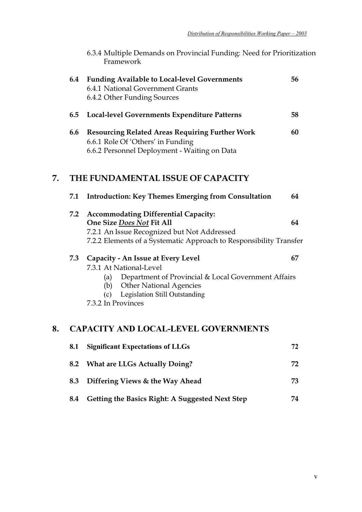| 6.3.4 Multiple Demands on Provincial Funding: Need for Prioritization |  |
|-----------------------------------------------------------------------|--|
| Framework                                                             |  |

|    | 6.4 | <b>Funding Available to Local-level Governments</b><br>6.4.1 National Government Grants<br>6.4.2 Other Funding Sources                                                                                                       | 56 |
|----|-----|------------------------------------------------------------------------------------------------------------------------------------------------------------------------------------------------------------------------------|----|
|    | 6.5 | Local-level Governments Expenditure Patterns                                                                                                                                                                                 | 58 |
|    | 6.6 | <b>Resourcing Related Areas Requiring Further Work</b><br>6.6.1 Role Of 'Others' in Funding<br>6.6.2 Personnel Deployment - Waiting on Data                                                                                  | 60 |
| 7. |     | THE FUNDAMENTAL ISSUE OF CAPACITY                                                                                                                                                                                            |    |
|    | 7.1 | <b>Introduction: Key Themes Emerging from Consultation</b>                                                                                                                                                                   | 64 |
|    | 7.2 | <b>Accommodating Differential Capacity:</b><br>One Size Does Not Fit All<br>7.2.1 An Issue Recognized but Not Addressed<br>7.2.2 Elements of a Systematic Approach to Responsibility Transfer                                | 64 |
|    | 7.3 | Capacity - An Issue at Every Level<br>7.3.1 At National-Level<br>(a) Department of Provincial & Local Government Affairs<br>(b) Other National Agencies<br><b>Legislation Still Outstanding</b><br>(c)<br>7.3.2 In Provinces | 67 |
| 8. |     | <b>CAPACITY AND LOCAL-LEVEL GOVERNMENTS</b>                                                                                                                                                                                  |    |
|    | 8.1 | <b>Significant Expectations of LLGs</b>                                                                                                                                                                                      | 72 |
|    | 8.2 | <b>What are LLGs Actually Doing?</b>                                                                                                                                                                                         | 72 |

- **8.3 Differing Views & the Way Ahead 73**
- **8.4 Getting the Basics Right: A Suggested Next Step 74**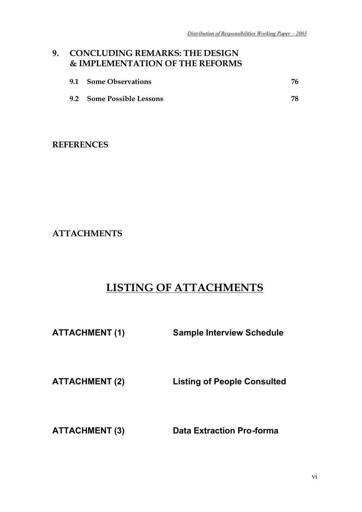# **9. CONCLUDING REMARKS: THE DESIGN & IMPLEMENTATION OF THE REFORMS**

| 9.1 Some Observations     | 76. |
|---------------------------|-----|
| 9.2 Some Possible Lessons |     |

# **REFERENCES**

**ATTACHMENTS**

# **LISTING OF ATTACHMENTS**

**ATTACHMENT (1) Sample Interview Schedule** 

**ATTACHMENT (2) Listing of People Consulted** 

**ATTACHMENT (3) Data Extraction Pro-forma**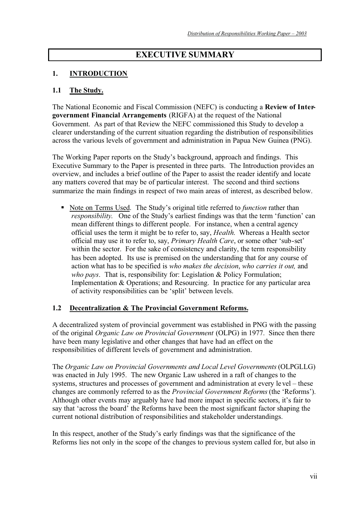# **EXECUTIVE SUMMARY**

## **1. INTRODUCTION**

#### **1.1 The Study.**

The National Economic and Fiscal Commission (NEFC) is conducting a **Review of Intergovernment Financial Arrangements** (RIGFA) at the request of the National Government. As part of that Review the NEFC commissioned this Study to develop a clearer understanding of the current situation regarding the distribution of responsibilities across the various levels of government and administration in Papua New Guinea (PNG).

The Working Paper reports on the Study's background, approach and findings. This Executive Summary to the Paper is presented in three parts. The Introduction provides an overview, and includes a brief outline of the Paper to assist the reader identify and locate any matters covered that may be of particular interest. The second and third sections summarize the main findings in respect of two main areas of interest, as described below.

**-** Note on Terms Used. The Study's original title referred to *function* rather than *responsibility*. One of the Study's earliest findings was that the term 'function' can mean different things to different people. For instance, when a central agency official uses the term it might be to refer to, say, *Health*. Whereas a Health sector official may use it to refer to, say, *Primary Health Care*, or some other 'sub-set' within the sector. For the sake of consistency and clarity, the term responsibility has been adopted. Its use is premised on the understanding that for any course of action what has to be specified is *who makes the decision*, *who carries it out,* and *who pays*. That is, responsibility for: Legislation & Policy Formulation; Implementation & Operations; and Resourcing. In practice for any particular area of activity responsibilities can be 'split' between levels.

#### **1.2 Decentralization & The Provincial Government Reforms.**

A decentralized system of provincial government was established in PNG with the passing of the original *Organic Law on Provincial Government* (OLPG) in 1977. Since then there have been many legislative and other changes that have had an effect on the responsibilities of different levels of government and administration.

The *Organic Law on Provincial Governments and Local Level Governments* (OLPGLLG) was enacted in July 1995. The new Organic Law ushered in a raft of changes to the systems, structures and processes of government and administration at every level – these changes are commonly referred to as the *Provincial Government Reforms* (the 'Reforms'). Although other events may arguably have had more impact in specific sectors, it's fair to say that 'across the board' the Reforms have been the most significant factor shaping the current notional distribution of responsibilities and stakeholder understandings.

In this respect, another of the Study's early findings was that the significance of the Reforms lies not only in the scope of the changes to previous system called for, but also in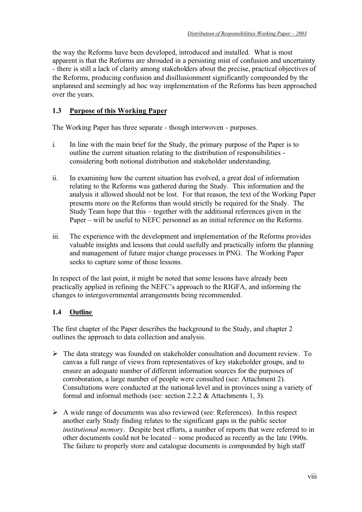the way the Reforms have been developed, introduced and installed. What is most apparent is that the Reforms are shrouded in a persisting mist of confusion and uncertainty - there is still a lack of clarity among stakeholders about the precise, practical objectives of the Reforms, producing confusion and disillusionment significantly compounded by the unplanned and seemingly ad hoc way implementation of the Reforms has been approached over the years.

# **1.3 Purpose of this Working Paper**

The Working Paper has three separate - though interwoven - purposes.

- i. In line with the main brief for the Study, the primary purpose of the Paper is to outline the current situation relating to the distribution of responsibilities considering both notional distribution and stakeholder understanding.
- ii. In examining how the current situation has evolved, a great deal of information relating to the Reforms was gathered during the Study. This information and the analysis it allowed should not be lost. For that reason, the text of the Working Paper presents more on the Reforms than would strictly be required for the Study. The Study Team hope that this – together with the additional references given in the Paper – will be useful to NEFC personnel as an initial reference on the Reforms.
- iii. The experience with the development and implementation of the Reforms provides valuable insights and lessons that could usefully and practically inform the planning and management of future major change processes in PNG. The Working Paper seeks to capture some of those lessons.

In respect of the last point, it might be noted that some lessons have already been practically applied in refining the NEFC's approach to the RIGFA, and informing the changes to intergovernmental arrangements being recommended.

## **1.4 Outline**

The first chapter of the Paper describes the background to the Study, and chapter 2 outlines the approach to data collection and analysis.

- $\triangleright$  The data strategy was founded on stakeholder consultation and document review. To canvas a full range of views from representatives of key stakeholder groups, and to ensure an adequate number of different information sources for the purposes of corroboration, a large number of people were consulted (see: Attachment 2). Consultations were conducted at the national-level and in provinces using a variety of formal and informal methods (see: section 2.2.2 & Attachments 1, 3).
- $\triangleright$  A wide range of documents was also reviewed (see: References). In this respect another early Study finding relates to the significant gaps in the public sector *institutional memory*. Despite best efforts, a number of reports that were referred to in other documents could not be located – some produced as recently as the late 1990s. The failure to properly store and catalogue documents is compounded by high staff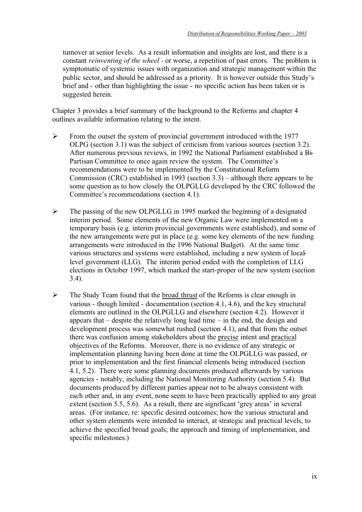turnover at senior levels. As a result information and insights are lost, and there is a constant *reinventing of the wheel -* or worse, a repetition of past errors. The problem is symptomatic of systemic issues with organization and strategic management within the public sector, and should be addressed as a priority. It is however outside this Study's brief and - other than highlighting the issue - no specific action has been taken or is suggested herein.

Chapter 3 provides a brief summary of the background to the Reforms and chapter 4 outlines available information relating to the intent.

- $\triangleright$  From the outset the system of provincial government introduced with the 1977 OLPG (section 3.1) was the subject of criticism from various sources (section 3.2). After numerous previous reviews, in 1992 the National Parliament established a Bi-Partisan Committee to once again review the system. The Committee's recommendations were to be implemented by the Constitutional Reform Commission (CRC) established in 1993 (section 3.3) – although there appears to be some question as to how closely the OLPGLLG developed by the CRC followed the Committee's recommendations (section 4.1).
- $\triangleright$  The passing of the new OLPGLLG in 1995 marked the beginning of a designated interim period. Some elements of the new Organic Law were implemented on a temporary basis (e.g. interim provincial governments were established), and some of the new arrangements were put in place (e.g. some key elements of the new funding arrangements were introduced in the 1996 National Budget). At the same time various structures and systems were established, including a new system of locallevel government (LLG). The interim period ended with the completion of LLG elections in October 1997, which marked the start-proper of the new system (section 3.4).
- $\triangleright$  The Study Team found that the broad thrust of the Reforms is clear enough in various - though limited - documentation (section 4.1, 4.6), and the key structural elements are outlined in the OLPGLLG and elsewhere (section 4.2). However it appears that – despite the relatively long lead time – in the end, the design and development process was somewhat rushed (section 4.1), and that from the outset there was confusion among stakeholders about the precise intent and practical objectives of the Reforms. Moreover, there is no evidence of any strategic or implementation planning having been done at time the OLPGLLG was passed, or prior to implementation and the first financial elements being introduced (section 4.1, 5.2). There were some planning documents produced afterwards by various agencies - notably, including the National Monitoring Authority (section 5.4). But documents produced by different parties appear not to be always consistent with each other and, in any event, none seem to have been practically applied to any great extent (section 5.5, 5.6). As a result, there are significant 'grey areas' in several areas. (For instance, re: specific desired outcomes; how the various structural and other system elements were intended to interact, at strategic and practical levels, to achieve the specified broad goals; the approach and timing of implementation, and specific milestones.)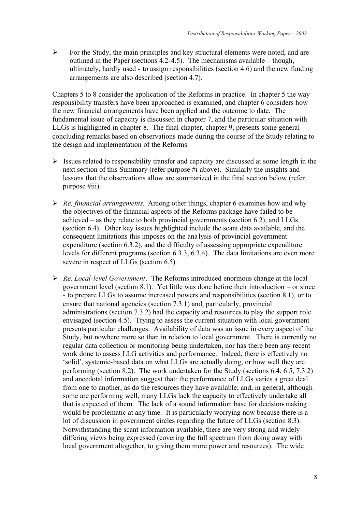$\triangleright$  For the Study, the main principles and key structural elements were noted, and are outlined in the Paper (sections 4.2-4.5). The mechanisms available – though, ultimately, hardly used - to assign responsibilities (section 4.6) and the new funding arrangements are also described (section 4.7).

Chapters 5 to 8 consider the application of the Reforms in practice. In chapter 5 the way responsibility transfers have been approached is examined, and chapter 6 considers how the new financial arrangements have been applied and the outcome to date. The fundamental issue of capacity is discussed in chapter 7, and the particular situation with LLGs is highlighted in chapter 8. The final chapter, chapter 9, presents some general concluding remarks based on observations made during the course of the Study relating to the design and implementation of the Reforms.

- $\triangleright$  Issues related to responsibility transfer and capacity are discussed at some length in the next section of this Summary (refer purpose #i above). Similarly the insights and lessons that the observations allow are summarized in the final section below (refer purpose #iii).
- *Re. financial arrangements*. Among other things, chapter 6 examines how and why the objectives of the financial aspects of the Reforms package have failed to be achieved – as they relate to both provincial governments (section 6.2), and LLGs (section 6.4). Other key issues highlighted include the scant data available, and the consequent limitations this imposes on the analysis of provincial government expenditure (section 6.3.2), and the difficulty of assessing appropriate expenditure levels for different programs (section 6.3.3, 6.3.4). The data limitations are even more severe in respect of LLGs (section 6.5).
- *Re. Local-level Government*. The Reforms introduced enormous change at the local government level (section 8.1). Yet little was done before their introduction – or since - to prepare LLGs to assume increased powers and responsibilities (section 8.1), or to ensure that national agencies (section 7.3.1) and, particularly, provincial administrations (section 7.3.2) had the capacity and resources to play the support role envisaged (section 4.5). Trying to assess the current situation with local government presents particular challenges. Availability of data was an issue in every aspect of the Study, but nowhere more so than in relation to local government. There is currently no regular data collection or monitoring being undertaken, nor has there been any recent work done to assess LLG activities and performance. Indeed, there is effectively no 'solid', systemic-based data on what LLGs are actually doing, or how well they are performing (section 8.2). The work undertaken for the Study (sections 6.4, 6.5, 7.3.2) and anecdotal information suggest that: the performance of LLGs varies a great deal from one to another, as do the resources they have available; and, in general, although some are performing well, many LLGs lack the capacity to effectively undertake all that is expected of them. The lack of a sound information base for decision-making would be problematic at any time. It is particularly worrying now because there is a lot of discussion in government circles regarding the future of LLGs (section 8.3). Notwithstanding the scant information available, there are very strong and widely differing views being expressed (covering the full spectrum from doing away with local government altogether, to giving them more power and resources). The wide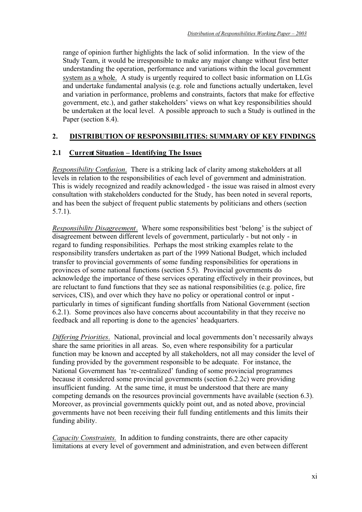range of opinion further highlights the lack of solid information. In the view of the Study Team, it would be irresponsible to make any major change without first better understanding the operation, performance and variations within the local government system as a whole. A study is urgently required to collect basic information on LLGs and undertake fundamental analysis (e.g. role and functions actually undertaken, level and variation in performance, problems and constraints, factors that make for effective government, etc.), and gather stakeholders' views on what key responsibilities should be undertaken at the local level. A possible approach to such a Study is outlined in the Paper (section 8.4).

#### **2. DISTRIBUTION OF RESPONSIBILITIES: SUMMARY OF KEY FINDINGS**

#### **2.1 Current Situation – Identifying The Issues**

*Responsibility Confusion*. There is a striking lack of clarity among stakeholders at all levels in relation to the responsibilities of each level of government and administration. This is widely recognized and readily acknowledged - the issue was raised in almost every consultation with stakeholders conducted for the Study, has been noted in several reports, and has been the subject of frequent public statements by politicians and others (section 5.7.1).

*Responsibility Disagreement*. Where some responsibilities best 'belong' is the subject of disagreement between different levels of government, particularly - but not only - in regard to funding responsibilities. Perhaps the most striking examples relate to the responsibility transfers undertaken as part of the 1999 National Budget, which included transfer to provincial governments of some funding responsibilities for operations in provinces of some national functions (section 5.5). Provincial governments do acknowledge the importance of these services operating effectively in their provinces, but are reluctant to fund functions that they see as national responsibilities (e.g. police, fire services, CIS), and over which they have no policy or operational control or input particularly in times of significant funding shortfalls from National Government (section 6.2.1). Some provinces also have concerns about accountability in that they receive no feedback and all reporting is done to the agencies' headquarters.

*Differing Priorities*. National, provincial and local governments don't necessarily always share the same priorities in all areas. So, even where responsibility for a particular function may be known and accepted by all stakeholders, not all may consider the level of funding provided by the government responsible to be adequate. For instance, the National Government has 're-centralized' funding of some provincial programmes because it considered some provincial governments (section 6.2.2c) were providing insufficient funding. At the same time, it must be understood that there are many competing demands on the resources provincial governments have available (section 6.3). Moreover, as provincial governments quickly point out, and as noted above, provincial governments have not been receiving their full funding entitlements and this limits their funding ability.

*Capacity Constraints.* In addition to funding constraints, there are other capacity limitations at every level of government and administration, and even between different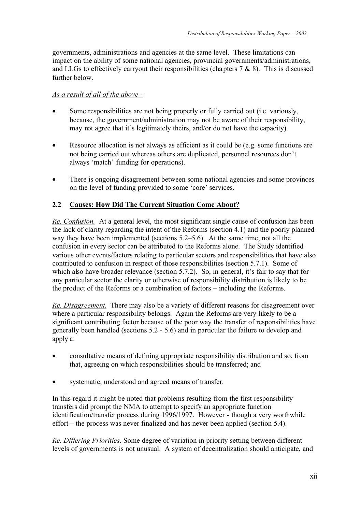governments, administrations and agencies at the same level. These limitations can impact on the ability of some national agencies, provincial governments/administrations, and LLGs to effectively carryout their responsibilities (chapters  $7 \& 8$ ). This is discussed further below.

## *As a result of all of the above -*

- Some responsibilities are not being properly or fully carried out (i.e. variously, because, the government/administration may not be aware of their responsibility, may not agree that it's legitimately theirs, and/or do not have the capacity).
- Resource allocation is not always as efficient as it could be (e.g. some functions are not being carried out whereas others are duplicated, personnel resources don't always 'match' funding for operations).
- There is ongoing disagreement between some national agencies and some provinces on the level of funding provided to some 'core' services.

# **2.2 Causes: How Did The Current Situation Come About?**

*Re. Confusion.* At a general level, the most significant single cause of confusion has been the lack of clarity regarding the intent of the Reforms (section 4.1) and the poorly planned way they have been implemented (sections 5.2–5.6). At the same time, not all the confusion in every sector can be attributed to the Reforms alone. The Study identified various other events/factors relating to particular sectors and responsibilities that have also contributed to confusion in respect of those responsibilities (section 5.7.1). Some of which also have broader relevance (section 5.7.2). So, in general, it's fair to say that for any particular sector the clarity or otherwise of responsibility distribution is likely to be the product of the Reforms or a combination of factors – including the Reforms.

*Re. Disagreement.* There may also be a variety of different reasons for disagreement over where a particular responsibility belongs. Again the Reforms are very likely to be a significant contributing factor because of the poor way the transfer of responsibilities have generally been handled (sections 5.2 - 5.6) and in particular the failure to develop and apply a:

- consultative means of defining appropriate responsibility distribution and so, from that, agreeing on which responsibilities should be transferred; and
- systematic, understood and agreed means of transfer.

In this regard it might be noted that problems resulting from the first responsibility transfers did prompt the NMA to attempt to specify an appropriate function identification/transfer process during 1996/1997. However - though a very worthwhile effort – the process was never finalized and has never been applied (section 5.4).

*Re. Differing Priorities*. Some degree of variation in priority setting between different levels of governments is not unusual. A system of decentralization should anticipate, and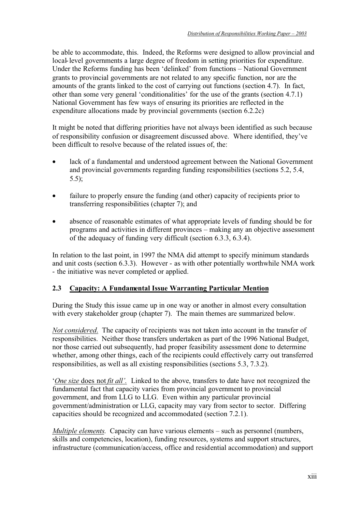be able to accommodate, this. Indeed, the Reforms were designed to allow provincial and local-level governments a large degree of freedom in setting priorities for expenditure. Under the Reforms funding has been 'delinked' from functions – National Government grants to provincial governments are not related to any specific function, nor are the amounts of the grants linked to the cost of carrying out functions (section 4.7). In fact, other than some very general 'conditionalities' for the use of the grants (section 4.7.1) National Government has few ways of ensuring its priorities are reflected in the expenditure allocations made by provincial governments (section 6.2.2c)

It might be noted that differing priorities have not always been identified as such because of responsibility confusion or disagreement discussed above. Where identified, they've been difficult to resolve because of the related issues of, the:

- lack of a fundamental and understood agreement between the National Government and provincial governments regarding funding responsibilities (sections 5.2, 5.4, 5.5);
- failure to properly ensure the funding (and other) capacity of recipients prior to transferring responsibilities (chapter 7); and
- absence of reasonable estimates of what appropriate levels of funding should be for programs and activities in different provinces – making any an objective assessment of the adequacy of funding very difficult (section 6.3.3, 6.3.4).

In relation to the last point, in 1997 the NMA did attempt to specify minimum standards and unit costs (section 6.3.3). However - as with other potentially worthwhile NMA work - the initiative was never completed or applied.

# **2.3 Capacity: A Fundamental Issue Warranting Particular Mention**

During the Study this issue came up in one way or another in almost every consultation with every stakeholder group (chapter 7). The main themes are summarized below.

*Not considered*. The capacity of recipients was not taken into account in the transfer of responsibilities. Neither those transfers undertaken as part of the 1996 National Budget, nor those carried out subsequently, had proper feasibility assessment done to determine whether, among other things, each of the recipients could effectively carry out transferred responsibilities, as well as all existing responsibilities (sections 5.3, 7.3.2).

'*One size* does not *fit all'.* Linked to the above, transfers to date have not recognized the fundamental fact that capacity varies from provincial government to provincial government, and from LLG to LLG. Even within any particular provincial government/administration or LLG, capacity may vary from sector to sector. Differing capacities should be recognized and accommodated (section 7.2.1).

*Multiple elements*. Capacity can have various elements – such as personnel (numbers, skills and competencies, location), funding resources, systems and support structures, infrastructure (communication/access, office and residential accommodation) and support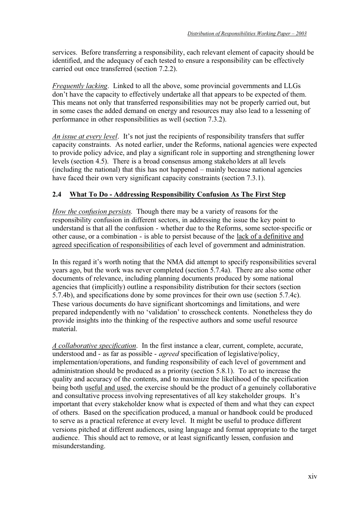services. Before transferring a responsibility, each relevant element of capacity should be identified, and the adequacy of each tested to ensure a responsibility can be effectively carried out once transferred (section 7.2.2).

*Frequently lacking*. Linked to all the above, some provincial governments and LLGs don't have the capacity to effectively undertake all that appears to be expected of them. This means not only that transferred responsibilities may not be properly carried out, but in some cases the added demand on energy and resources may also lead to a lessening of performance in other responsibilities as well (section 7.3.2).

*An issue at every level*. It's not just the recipients of responsibility transfers that suffer capacity constraints. As noted earlier, under the Reforms, national agencies were expected to provide policy advice, and play a significant role in supporting and strengthening lower levels (section 4.5). There is a broad consensus among stakeholders at all levels (including the national) that this has not happened – mainly because national agencies have faced their own very significant capacity constraints (section 7.3.1).

# **2.4 What To Do - Addressing Responsibility Confusion As The First Step**

*How the confusion persists*. Though there may be a variety of reasons for the responsibility confusion in different sectors, in addressing the issue the key point to understand is that all the confusion - whether due to the Reforms, some sector-specific or other cause, or a combination - is able to persist because of the lack of a definitive and agreed specification of responsibilities of each level of government and administration.

In this regard it's worth noting that the NMA did attempt to specify responsibilities several years ago, but the work was never completed (section 5.7.4a). There are also some other documents of relevance, including planning documents produced by some national agencies that (implicitly) outline a responsibility distribution for their sectors (section 5.7.4b), and specifications done by some provinces for their own use (section 5.7.4c). These various documents do have significant shortcomings and limitations, and were prepared independently with no 'validation' to crosscheck contents. Nonetheless they do provide insights into the thinking of the respective authors and some useful resource material.

*A collaborative specification*. In the first instance a clear, current, complete, accurate, understood and - as far as possible - *agreed* specification of legislative/policy, implementation/operations, and funding responsibility of each level of government and administration should be produced as a priority (section 5.8.1). To act to increase the quality and accuracy of the contents, and to maximize the likelihood of the specification being both useful and used, the exercise should be the product of a genuinely collaborative and consultative process involving representatives of all key stakeholder groups. It's important that every stakeholder know what is expected of them and what they can expect of others. Based on the specification produced, a manual or handbook could be produced to serve as a practical reference at every level. It might be useful to produce different versions pitched at different audiences, using language and format appropriate to the target audience. This should act to remove, or at least significantly lessen, confusion and misunderstanding.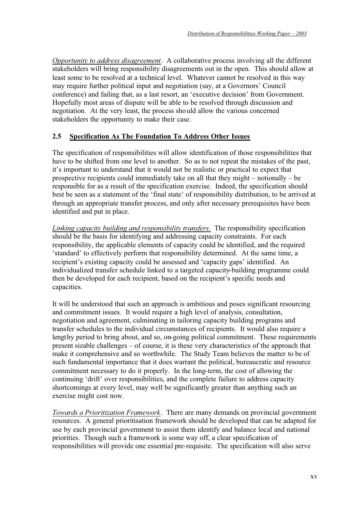*Opportunity to address disagreement*. A collaborative process involving all the different stakeholders will bring responsibility disagreements out in the open. This should allow at least some to be resolved at a technical level. Whatever cannot be resolved in this way may require further political input and negotiation (say, at a Governors' Council conference) and failing that, as a last resort, an 'executive decision' from Government. Hopefully most areas of dispute will be able to be resolved through discussion and negotiation. At the very least, the process should allow the various concerned stakeholders the opportunity to make their case.

#### **2.5 Specification As The Foundation To Address Other Issues**

The specification of responsibilities will allow identification of those responsibilities that have to be shifted from one level to another. So as to not repeat the mistakes of the past, it's important to understand that it would not be realistic or practical to expect that prospective recipients could immediately take on all that they might – notionally – be responsible for as a result of the specification exercise. Indeed, the specification should best be seen as a statement of the 'final state' of responsibility distribution, to be arrived at through an appropriate transfer process, and only after necessary prerequisites have been identified and put in place.

*Linking capacity building and responsibility transfers.* The responsibility specification should be the basis for identifying and addressing capacity constraints. For each responsibility, the applicable elements of capacity could be identified, and the required 'standard' to effectively perform that responsibility determined. At the same time, a recipient's existing capacity could be assessed and 'capacity gaps' identified. An individualized transfer schedule linked to a targeted capacity-building programme could then be developed for each recipient, based on the recipient's specific needs and capacities.

It will be understood that such an approach is ambitious and poses significant resourcing and commitment issues. It would require a high level of analysis, consultation, negotiation and agreement, culminating in tailoring capacity building programs and transfer schedules to the individual circumstances of recipients. It would also require a lengthy period to bring about, and so, on-going political commitment. These requirements present sizable challenges – of course, it is these very characteristics of the approach that make it comprehensive and so worthwhile. The Study Team believes the matter to be of such fundamental importance that it does warrant the political, bureaucratic and resource commitment necessary to do it properly. In the long-term, the cost of allowing the continuing 'drift' over responsibilities, and the complete failure to address capacity shortcomings at every level, may well be significantly greater than anything such an exercise might cost now.

*Towards a Prioritization Framework*. There are many demands on provincial government resources. A general prioritisation framework should be developed that can be adapted for use by each provincial government to assist them identify and balance local and national priorities. Though such a framework is some way off, a clear specification of responsibilities will provide one essential pre-requisite. The specification will also serve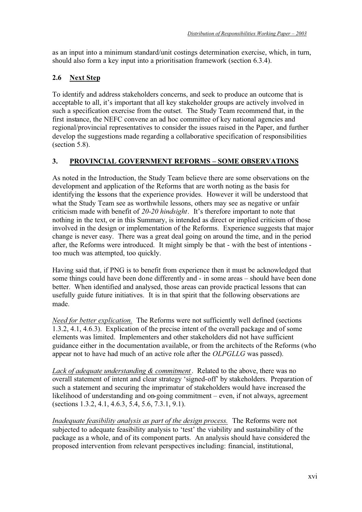as an input into a minimum standard/unit costings determination exercise, which, in turn, should also form a key input into a prioritisation framework (section 6.3.4).

# **2.6 Next Step**

To identify and address stakeholders concerns, and seek to produce an outcome that is acceptable to all, it's important that all key stakeholder groups are actively involved in such a specification exercise from the outset. The Study Team recommend that, in the first instance, the NEFC convene an ad hoc committee of key national agencies and regional/provincial representatives to consider the issues raised in the Paper, and further develop the suggestions made regarding a collaborative specification of responsibilities (section 5.8).

# **3. PROVINCIAL GOVERNMENT REFORMS – SOME OBSERVATIONS**

As noted in the Introduction, the Study Team believe there are some observations on the development and application of the Reforms that are worth noting as the basis for identifying the lessons that the experience provides. However it will be understood that what the Study Team see as worthwhile lessons, others may see as negative or unfair criticism made with benefit of *20-20 hindsight*. It's therefore important to note that nothing in the text, or in this Summary, is intended as direct or implied criticism of those involved in the design or implementation of the Reforms. Experience suggests that major change is never easy. There was a great deal going on around the time, and in the period after, the Reforms were introduced. It might simply be that - with the best of intentions too much was attempted, too quickly.

Having said that, if PNG is to benefit from experience then it must be acknowledged that some things could have been done differently and - in some areas – should have been done better. When identified and analysed, those areas can provide practical lessons that can usefully guide future initiatives. It is in that spirit that the following observations are made.

*Need for better explication.* The Reforms were not sufficiently well defined (sections 1.3.2, 4.1, 4.6.3). Explication of the precise intent of the overall package and of some elements was limited. Implementers and other stakeholders did not have sufficient guidance either in the documentation available, or from the architects of the Reforms (who appear not to have had much of an active role after the *OLPGLLG* was passed).

*Lack of adequate understanding & commitment*. Related to the above, there was no overall statement of intent and clear strategy 'signed-off' by stakeholders. Preparation of such a statement and securing the imprimatur of stakeholders would have increased the likelihood of understanding and on-going commitment – even, if not always, agreement (sections 1.3.2, 4.1, 4.6.3, 5.4, 5.6, 7.3.1, 9.1).

*Inadequate feasibility analysis as part of the design process.* The Reforms were not subjected to adequate feasibility analysis to 'test' the viability and sustainability of the package as a whole, and of its component parts. An analysis should have considered the proposed intervention from relevant perspectives including: financial, institutional,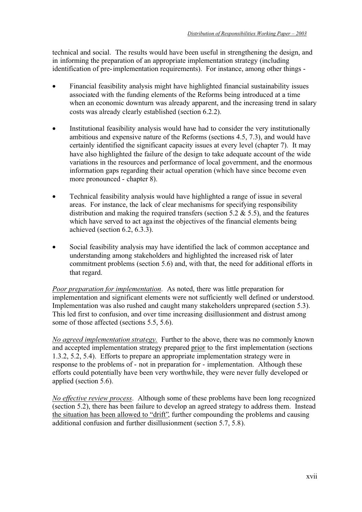technical and social. The results would have been useful in strengthening the design, and in informing the preparation of an appropriate implementation strategy (including identification of pre-implementation requirements). For instance, among other things -

- Financial feasibility analysis might have highlighted financial sustainability issues associated with the funding elements of the Reforms being introduced at a time when an economic downturn was already apparent, and the increasing trend in salary costs was already clearly established (section 6.2.2).
- Institutional feasibility analysis would have had to consider the very institutionally ambitious and expensive nature of the Reforms (sections 4.5, 7.3), and would have certainly identified the significant capacity issues at every level (chapter 7). It may have also highlighted the failure of the design to take adequate account of the wide variations in the resources and performance of local government, and the enormous information gaps regarding their actual operation (which have since become even more pronounced - chapter 8).
- Technical feasibility analysis would have highlighted a range of issue in several areas. For instance, the lack of clear mechanisms for specifying responsibility distribution and making the required transfers (section 5.2  $\&$  5.5), and the features which have served to act against the objectives of the financial elements being achieved (section 6.2, 6.3.3).
- Social feasibility analysis may have identified the lack of common acceptance and understanding among stakeholders and highlighted the increased risk of later commitment problems (section 5.6) and, with that, the need for additional efforts in that regard.

*Poor preparation for implementation*. As noted, there was little preparation for implementation and significant elements were not sufficiently well defined or understood. Implementation was also rushed and caught many stakeholders unprepared (section 5.3). This led first to confusion, and over time increasing disillusionment and distrust among some of those affected (sections 5.5, 5.6).

*No agreed implementation strategy.* Further to the above, there was no commonly known and accepted implementation strategy prepared prior to the first implementation (sections 1.3.2, 5.2, 5.4). Efforts to prepare an appropriate implementation strategy were in response to the problems of - not in preparation for - implementation. Although these efforts could potentially have been very worthwhile, they were never fully developed or applied (section 5.6).

*No effective review process*. Although some of these problems have been long recognized (section 5.2), there has been failure to develop an agreed strategy to address them. Instead the situation has been allowed to "drift", further compounding the problems and causing additional confusion and further disillusionment (section 5.7, 5.8).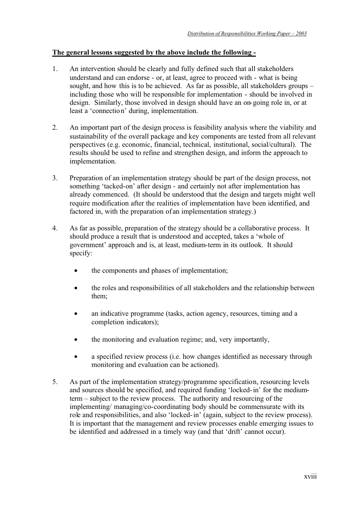#### **The general lessons suggested by the above include the following -**

- 1. An intervention should be clearly and fully defined such that all stakeholders understand and can endorse - or, at least, agree to proceed with - what is being sought, and how this is to be achieved. As far as possible, all stakeholders groups – including those who will be responsible for implementation - should be involved in design. Similarly, those involved in design should have an on-going role in, or at least a 'connection' during, implementation.
- 2. An important part of the design process is feasibility analysis where the viability and sustainability of the overall package and key components are tested from all relevant perspectives (e.g. economic, financial, technical, institutional, social/cultural). The results should be used to refine and strengthen design, and inform the approach to implementation.
- 3. Preparation of an implementation strategy should be part of the design process, not something 'tacked-on' after design - and certainly not after implementation has already commenced. (It should be understood that the design and targets might well require modification after the realities of implementation have been identified, and factored in, with the preparation of an implementation strategy.)
- 4. As far as possible, preparation of the strategy should be a collaborative process. It should produce a result that is understood and accepted, takes a 'whole of government' approach and is, at least, medium-term in its outlook. It should specify:
	- the components and phases of implementation;
	- the roles and responsibilities of all stakeholders and the relationship between them;
	- an indicative programme (tasks, action agency, resources, timing and a completion indicators);
	- the monitoring and evaluation regime; and, very importantly,
	- a specified review process (i.e. how changes identified as necessary through monitoring and evaluation can be actioned).
- 5. As part of the implementation strategy/programme specification, resourcing levels and sources should be specified, and required funding 'locked-in' for the mediumterm – subject to the review process. The authority and resourcing of the implementing/ managing/co-coordinating body should be commensurate with its role and responsibilities, and also 'locked-in' (again, subject to the review process). It is important that the management and review processes enable emerging issues to be identified and addressed in a timely way (and that 'drift' cannot occur).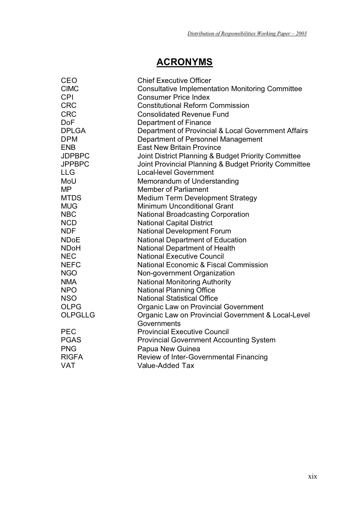# **ACRONYMS**

| CEO            | <b>Chief Executive Officer</b>                          |
|----------------|---------------------------------------------------------|
| <b>CIMC</b>    | <b>Consultative Implementation Monitoring Committee</b> |
| <b>CPI</b>     | <b>Consumer Price Index</b>                             |
| <b>CRC</b>     | <b>Constitutional Reform Commission</b>                 |
| <b>CRC</b>     | <b>Consolidated Revenue Fund</b>                        |
| <b>DoF</b>     | Department of Finance                                   |
| <b>DPLGA</b>   | Department of Provincial & Local Government Affairs     |
| <b>DPM</b>     | Department of Personnel Management                      |
| <b>ENB</b>     | <b>East New Britain Province</b>                        |
| <b>JDPBPC</b>  | Joint District Planning & Budget Priority Committee     |
| <b>JPPBPC</b>  | Joint Provincial Planning & Budget Priority Committee   |
| <b>LLG</b>     | <b>Local-level Government</b>                           |
| MoU            | Memorandum of Understanding                             |
| <b>MP</b>      | <b>Member of Parliament</b>                             |
| <b>MTDS</b>    | <b>Medium Term Development Strategy</b>                 |
| <b>MUG</b>     | <b>Minimum Unconditional Grant</b>                      |
| <b>NBC</b>     | <b>National Broadcasting Corporation</b>                |
| <b>NCD</b>     | <b>National Capital District</b>                        |
| <b>NDF</b>     | <b>National Development Forum</b>                       |
| <b>NDoE</b>    | <b>National Department of Education</b>                 |
| <b>NDoH</b>    | National Department of Health                           |
| <b>NEC</b>     | <b>National Executive Council</b>                       |
| <b>NEFC</b>    | <b>National Economic &amp; Fiscal Commission</b>        |
| <b>NGO</b>     | Non-government Organization                             |
| <b>NMA</b>     | <b>National Monitoring Authority</b>                    |
| <b>NPO</b>     | <b>National Planning Office</b>                         |
| <b>NSO</b>     | <b>National Statistical Office</b>                      |
| <b>OLPG</b>    | Organic Law on Provincial Government                    |
| <b>OLPGLLG</b> | Organic Law on Provincial Government & Local-Level      |
|                | Governments                                             |
| <b>PEC</b>     | <b>Provincial Executive Council</b>                     |
| <b>PGAS</b>    | <b>Provincial Government Accounting System</b>          |
| <b>PNG</b>     | Papua New Guinea                                        |
| <b>RIGFA</b>   | Review of Inter-Governmental Financing                  |
| <b>VAT</b>     | Value-Added Tax                                         |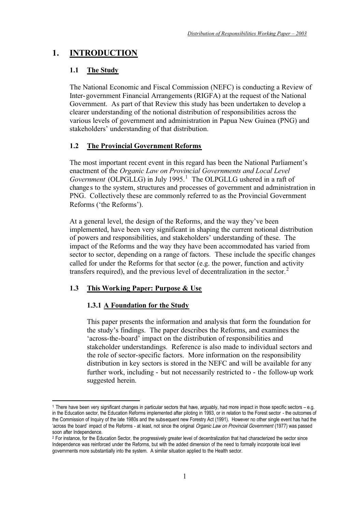# **1. INTRODUCTION**

# **1.1 The Study**

The National Economic and Fiscal Commission (NEFC) is conducting a Review of Inter-government Financial Arrangements (RIGFA) at the request of the National Government. As part of that Review this study has been undertaken to develop a clearer understanding of the notional distribution of responsibilities across the various levels of government and administration in Papua New Guinea (PNG) and stakeholders' understanding of that distribution.

# **1.2 The Provincial Government Reforms**

The most important recent event in this regard has been the National Parliament's enactment of the *Organic Law on Provincial Governments and Local Level*  Government (OLPGLLG) in July 1995.<sup>1</sup> The OLPGLLG ushered in a raft of changes to the system, structures and processes of government and administration in PNG. Collectively these are commonly referred to as the Provincial Government Reforms ('the Reforms').

At a general level, the design of the Reforms, and the way they've been implemented, have been very significant in shaping the current notional distribution of powers and responsibilities, and stakeholders' understanding of these. The impact of the Reforms and the way they have been accommodated has varied from sector to sector, depending on a range of factors. These include the specific changes called for under the Reforms for that sector (e.g. the power, function and activity transfers required), and the previous level of decentralization in the sector.<sup>2</sup>

## **1.3 This Working Paper: Purpose & Use**

## **1.3.1 A Foundation for the Study**

This paper presents the information and analysis that form the foundation for the study's findings. The paper describes the Reforms, and examines the 'across-the-board' impact on the distribution of responsibilities and stakeholder understandings. Reference is also made to individual sectors and the role of sector-specific factors. More information on the responsibility distribution in key sectors is stored in the NEFC and will be available for any further work, including - but not necessarily restricted to - the follow-up work suggested herein.

<sup>1</sup> There have been very significant changes in particular sectors that have, arguably, had more impact in those specific sectors – e.g. in the Education sector, the Education Reforms implemented after piloting in 1993, or in relation to the Forest sector - the outcomes of the Commission of Inquiry of the late 1980s and the subsequent new Forestry Act (1991). However no other single event has had the 'across the board' impact of the Reforms - at least, not since the original Organic Law on Provincial Government (1977) was passed soon after Independence.

<sup>&</sup>lt;sup>2</sup> For instance, for the Education Sector, the progressively greater level of decentralization that had characterized the sector since Independence was reinforced under the Reforms, but with the added dimension of the need to formally incorporate local level governments more substantially into the system. A similar situation applied to the Health sector.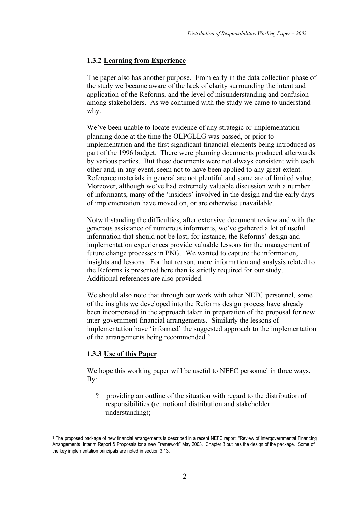### **1.3.2 Learning from Experience**

The paper also has another purpose. From early in the data collection phase of the study we became aware of the lack of clarity surrounding the intent and application of the Reforms, and the level of misunderstanding and confusion among stakeholders. As we continued with the study we came to understand why.

We've been unable to locate evidence of any strategic or implementation planning done at the time the OLPGLLG was passed, or prior to implementation and the first significant financial elements being introduced as part of the 1996 budget. There were planning documents produced afterwards by various parties. But these documents were not always consistent with each other and, in any event, seem not to have been applied to any great extent. Reference materials in general are not plentiful and some are of limited value. Moreover, although we've had extremely valuable discussion with a number of informants, many of the 'insiders' involved in the design and the early days of implementation have moved on, or are otherwise unavailable.

Notwithstanding the difficulties, after extensive document review and with the generous assistance of numerous informants, we've gathered a lot of useful information that should not be lost; for instance, the Reforms' design and implementation experiences provide valuable lessons for the management of future change processes in PNG. We wanted to capture the information, insights and lessons. For that reason, more information and analysis related to the Reforms is presented here than is strictly required for our study. Additional references are also provided.

We should also note that through our work with other NEFC personnel, some of the insights we developed into the Reforms design process have already been incorporated in the approach taken in preparation of the proposal for new inter-government financial arrangements. Similarly the lessons of implementation have 'informed' the suggested approach to the implementation of the arrangements being recommended.<sup>3</sup>

#### **1.3.3 Use of this Paper**

We hope this working paper will be useful to NEFC personnel in three ways. B<sub>v</sub>:

? providing an outline of the situation with regard to the distribution of responsibilities (re. notional distribution and stakeholder understanding);

<sup>3</sup> The proposed package of new financial arrangements is described in a recent NEFC report: "Review of Intergovernmental Financing Arrangements: Interim Report & Proposals for a new Framework" May 2003. Chapter 3 outlines the design of the package. Some of the key implementation principals are noted in section 3.13.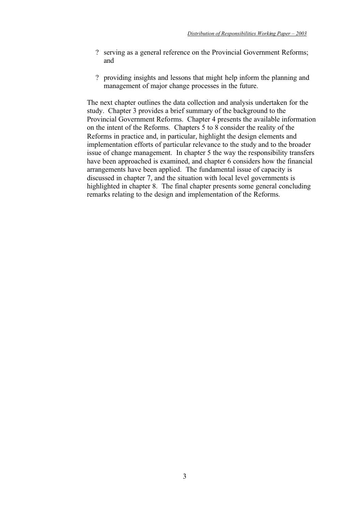- ? serving as a general reference on the Provincial Government Reforms; and
- ? providing insights and lessons that might help inform the planning and management of major change processes in the future.

The next chapter outlines the data collection and analysis undertaken for the study. Chapter 3 provides a brief summary of the background to the Provincial Government Reforms. Chapter 4 presents the available information on the intent of the Reforms. Chapters 5 to 8 consider the reality of the Reforms in practice and, in particular, highlight the design elements and implementation efforts of particular relevance to the study and to the broader issue of change management. In chapter 5 the way the responsibility transfers have been approached is examined, and chapter 6 considers how the financial arrangements have been applied. The fundamental issue of capacity is discussed in chapter 7, and the situation with local level governments is highlighted in chapter 8. The final chapter presents some general concluding remarks relating to the design and implementation of the Reforms.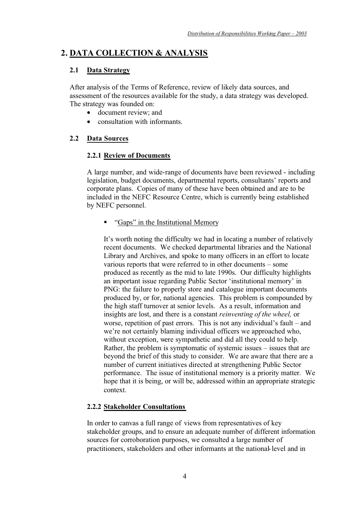# **2. DATA COLLECTION & ANALYSIS**

# **2.1 Data Strategy**

After analysis of the Terms of Reference, review of likely data sources, and assessment of the resources available for the study, a data strategy was developed. The strategy was founded on:

- document review: and
- consultation with informants.

## **2.2 Data Sources**

## **2.2.1 Review of Documents**

A large number, and wide-range of documents have been reviewed - including legislation, budget documents, departmental reports, consultants' reports and corporate plans. Copies of many of these have been obtained and are to be included in the NEFC Resource Centre, which is currently being established by NEFC personnel.

-"Gaps" in the Institutional Memory

It's worth noting the difficulty we had in locating a number of relatively recent documents. We checked departmental libraries and the National Library and Archives, and spoke to many officers in an effort to locate various reports that were referred to in other documents – some produced as recently as the mid to late 1990s. Our difficulty highlights an important issue regarding Public Sector 'institutional memory' in PNG: the failure to properly store and catalogue important documents produced by, or for, national agencies. This problem is compounded by the high staff turnover at senior levels. As a result, information and insights are lost, and there is a constant *reinventing of the wheel,* or worse, repetition of past errors. This is not any individual's fault – and we're not certainly blaming individual officers we approached who, without exception, were sympathetic and did all they could to help. Rather, the problem is symptomatic of systemic issues – issues that are beyond the brief of this study to consider. We are aware that there are a number of current initiatives directed at strengthening Public Sector performance. The issue of institutional memory is a priority matter. We hope that it is being, or will be, addressed within an appropriate strategic context.

## **2.2.2 Stakeholder Consultations**

In order to canvas a full range of views from representatives of key stakeholder groups, and to ensure an adequate number of different information sources for corroboration purposes, we consulted a large number of practitioners, stakeholders and other informants at the national-level and in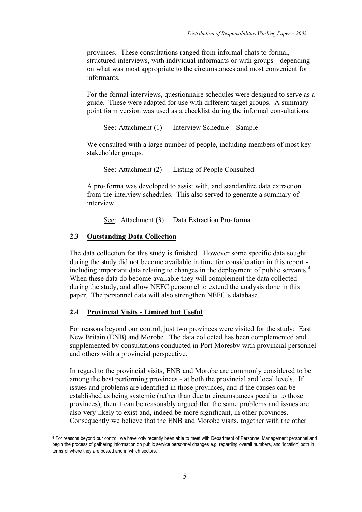provinces. These consultations ranged from informal chats to formal, structured interviews, with individual informants or with groups - depending on what was most appropriate to the circumstances and most convenient for informants.

For the formal interviews, questionnaire schedules were designed to serve as a guide. These were adapted for use with different target groups. A summary point form version was used as a checklist during the informal consultations.

See: Attachment (1) Interview Schedule – Sample.

We consulted with a large number of people, including members of most key stakeholder groups.

See: Attachment (2) Listing of People Consulted.

A pro-forma was developed to assist with, and standardize data extraction from the interview schedules. This also served to generate a summary of interview.

See: Attachment (3) Data Extraction Pro-forma.

#### **2.3 Outstanding Data Collection**

The data collection for this study is finished. However some specific data sought during the study did not become available in time for consideration in this report including important data relating to changes in the deployment of public servants.<sup>4</sup> When these data do become available they will complement the data collected during the study, and allow NEFC personnel to extend the analysis done in this paper. The personnel data will also strengthen NEFC's database.

#### **2.4 Provincial Visits - Limited but Useful**

For reasons beyond our control, just two provinces were visited for the study: East New Britain (ENB) and Morobe. The data collected has been complemented and supplemented by consultations conducted in Port Moresby with provincial personnel and others with a provincial perspective.

In regard to the provincial visits, ENB and Morobe are commonly considered to be among the best performing provinces - at both the provincial and local levels. If issues and problems are identified in those provinces, and if the causes can be established as being systemic (rather than due to circumstances peculiar to those provinces), then it can be reasonably argued that the same problems and issues are also very likely to exist and, indeed be more significant, in other provinces. Consequently we believe that the ENB and Morobe visits, together with the other

<sup>4</sup> For reasons beyond our control, we have only recently been able to meet with Department of Personnel Management personnel and begin the process of gathering information on public service personnel changes e.g. regarding overall numbers, and 'location' both in terms of where they are posted and in which sectors.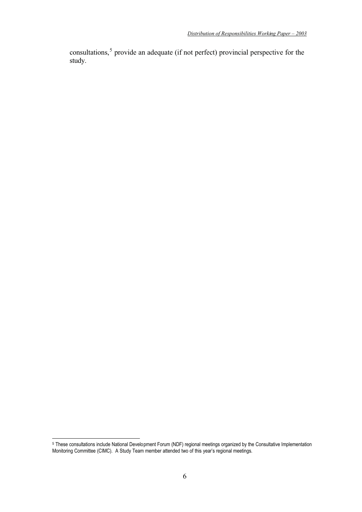consultations,<sup>5</sup> provide an adequate (if not perfect) provincial perspective for the study.

<sup>5</sup> These consultations include National Development Forum (NDF) regional meetings organized by the Consultative Implementation Monitoring Committee (CIMC). A Study Team member attended two of this year's regional meetings.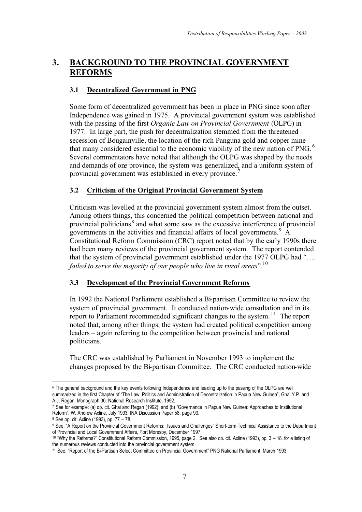# **3. BACKGROUND TO THE PROVINCIAL GOVERNMENT REFORMS**

### **3.1 Decentralized Government in PNG**

Some form of decentralized government has been in place in PNG since soon after Independence was gained in 1975. A provincial government system was established with the passing of the first *Organic Law on Provincial Government* (OLPG) in 1977. In large part, the push for decentralization stemmed from the threatened secession of Bougainville, the location of the rich Panguna gold and copper mine that many considered essential to the economic viability of the new nation of PNG.  $<sup>6</sup>$ </sup> Several commentators have noted that although the OLPG was shaped by the needs and demands of one province, the system was generalized, and a uniform system of provincial government was established in every province.<sup>7</sup>

## **3.2 Criticism of the Original Provincial Government System**

Criticism was levelled at the provincial government system almost from the outset. Among others things, this concerned the political competition between national and provincial politicians<sup>8</sup> and what some saw as the excessive interference of provincial governments in the activities and financial affairs of local governments.<sup>9</sup>  $\overrightarrow{A}$ Constitutional Reform Commission (CRC) report noted that by the early 1990s there had been many reviews of the provincial government system. The report contended that the system of provincial government established under the 1977 OLPG had "…. *failed to serve the majority of our people who live in rural areas*".<sup>10</sup>

#### **3.3 Development of the Provincial Government Reforms**

In 1992 the National Parliament established a Bi-partisan Committee to review the system of provincial government. It conducted nation-wide consultation and in its report to Parliament recommended significant changes to the system.<sup>11</sup> The report noted that, among other things, the system had created political competition among leaders – again referring to the competition between provincial and national politicians.

The CRC was established by Parliament in November 1993 to implement the changes proposed by the Bi-partisan Committee. The CRC conducted nation-wide

<sup>&</sup>lt;sup>6</sup> The general background and the key events following Independence and leading up to the passing of the OLPG are well summarized in the first Chapter of "The Law, Politics and Administration of Decentralization in Papua New Guinea", Ghai Y.P. and A.J. Regan, Monograph 30, National Research Institute, 1992.

<sup>7</sup> See for example: (a) op. cit. Ghai and Regan (1992); and (b) "Governance in Papua New Guinea: Approaches to Institutional Reform", W. Andrew Axline, July 1993, INA Discussion Paper 58, page 93.

<sup>8</sup> See op. cit. Axline (1993), pp. 77 – 78.

<sup>9</sup> See: "A Report on the Provincial Government Reforms: Issues and Challenges" Short-term Technical Assistance to the Department of Provincial and Local Government Affairs, Port Moresby, December 1997.

<sup>10 &</sup>quot;Why the Reforms?" Constitutional Reform Commission, 1995, page 2. See also op. cit. Axline (1993), pp. 3 – 18, for a listing of the numerous reviews conducted into the provincial government system.

<sup>11</sup> See: "Report of the Bi-Partisan Select Committee on Provincial Government" PNG National Parliament, March 1993.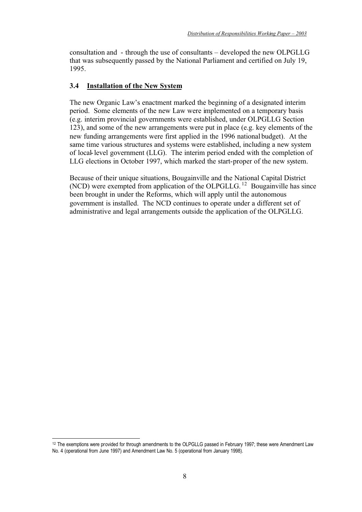consultation and - through the use of consultants – developed the new OLPGLLG that was subsequently passed by the National Parliament and certified on July 19, 1995.

#### **3.4 Installation of the New System**

The new Organic Law's enactment marked the beginning of a designated interim period. Some elements of the new Law were implemented on a temporary basis (e.g. interim provincial governments were established, under OLPGLLG Section 123), and some of the new arrangements were put in place (e.g. key elements of the new funding arrangements were first applied in the 1996 national budget). At the same time various structures and systems were established, including a new system of local-level government (LLG). The interim period ended with the completion of LLG elections in October 1997, which marked the start-proper of the new system.

Because of their unique situations, Bougainville and the National Capital District (NCD) were exempted from application of the OLPGLLG.<sup>12</sup> Bougainville has since been brought in under the Reforms, which will apply until the autonomous government is installed. The NCD continues to operate under a different set of administrative and legal arrangements outside the application of the OLPGLLG.

<sup>&</sup>lt;sup>12</sup> The exemptions were provided for through amendments to the OLPGLLG passed in February 1997; these were Amendment Law No. 4 (operational from June 1997) and Amendment Law No. 5 (operational from January 1998).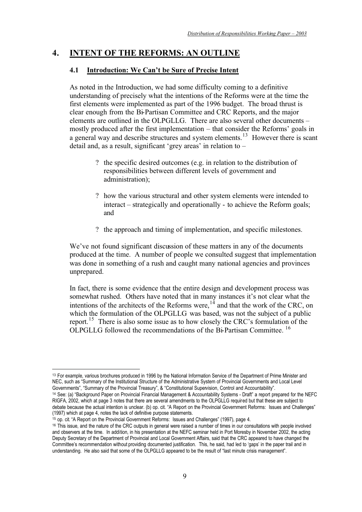# **4. INTENT OF THE REFORMS: AN OUTLINE**

# **4.1 Introduction: We Can't be Sure of Precise Intent**

As noted in the Introduction, we had some difficulty coming to a definitive understanding of precisely what the intentions of the Reforms were at the time the first elements were implemented as part of the 1996 budget. The broad thrust is clear enough from the Bi-Partisan Committee and CRC Reports, and the major elements are outlined in the OLPGLLG. There are also several other documents – mostly produced after the first implementation – that consider the Reforms' goals in a general way and describe structures and system elements.<sup>13</sup> However there is scant detail and, as a result, significant 'grey areas' in relation to –

- ? the specific desired outcomes (e.g. in relation to the distribution of responsibilities between different levels of government and administration);
- ? how the various structural and other system elements were intended to interact – strategically and operationally - to achieve the Reform goals; and
- ? the approach and timing of implementation, and specific milestones.

We've not found significant discussion of these matters in any of the documents produced at the time. A number of people we consulted suggest that implementation was done in something of a rush and caught many national agencies and provinces unprepared.

In fact, there is some evidence that the entire design and development process was somewhat rushed. Others have noted that in many instances it's not clear what the intentions of the architects of the Reforms were,  $14$  and that the work of the CRC, on which the formulation of the OLPGLLG was based, was not the subject of a public report.<sup>15</sup> There is also some issue as to how closely the CRC's formulation of the OLPGLLG followed the recommendations of the Bi-Partisan Committee.<sup>16</sup>

<sup>13</sup> For example, various brochures produced in 1996 by the National Information Service of the Department of Prime Minister and NEC, such as "Summary of the Institutional Structure of the Administrative System of Provincial Governments and Local Level Governments", "Summary of the Provincial Treasury", & "Constitutional Supervision, Control and Accountability".

<sup>14</sup> See: (a) "Background Paper on Provincial Financial Management & Accountability Systems - Draft" a report prepared for the NEFC RIGFA, 2002, which at page 3 notes that there are several amendments to the OLPGLLG required but that these are subject to debate because the actual intention is unclear. (b) op. cit. "A Report on the Provincial Government Reforms: Issues and Challenges" (1997) which at page 4, notes the lack of definitive purpose statements.

<sup>15</sup> op. cit. "A Report on the Provincial Government Reforms: Issues and Challenges" (1997), page 4.

<sup>&</sup>lt;sup>16</sup> This issue, and the nature of the CRC outputs in general were raised a number of times in our consultations with people involved and observers at the time. In addition, in his presentation at the NEFC seminar held in Port Moresby in November 2002, the acting Deputy Secretary of the Department of Provincial and Local Government Affairs, said that the CRC appeared to have changed the Committee's recommendation without providing documented justification. This, he said, had led to 'gaps' in the paper trail and in understanding. He also said that some of the OLPGLLG appeared to be the result of "last minute crisis management".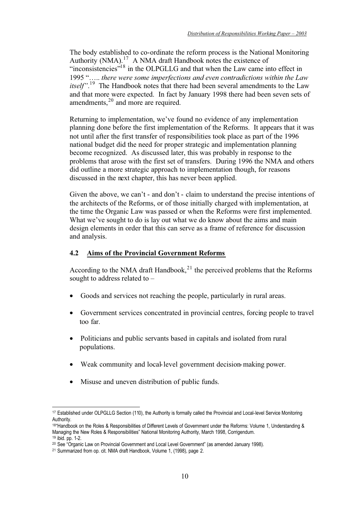The body established to co-ordinate the reform process is the National Monitoring Authority (NMA).<sup>17</sup> A NMA draft Handbook notes the existence of "inconsistencies"<sup>18</sup> in the OLPGLLG and that when the Law came into effect in 1995 "….. *there were some imperfections and even contradictions within the Law itself*".<sup>19</sup> The Handbook notes that there had been several amendments to the Law and that more were expected. In fact by January 1998 there had been seven sets of amendments, $^{20}$  and more are required.

Returning to implementation, we've found no evidence of any implementation planning done before the first implementation of the Reforms. It appears that it was not until after the first transfer of responsibilities took place as part of the 1996 national budget did the need for proper strategic and implementation planning become recognized. As discussed later, this was probably in response to the problems that arose with the first set of transfers. During 1996 the NMA and others did outline a more strategic approach to implementation though, for reasons discussed in the next chapter, this has never been applied.

Given the above, we can't - and don't - claim to understand the precise intentions of the architects of the Reforms, or of those initially charged with implementation, at the time the Organic Law was passed or when the Reforms were first implemented. What we've sought to do is lay out what we do know about the aims and main design elements in order that this can serve as a frame of reference for discussion and analysis.

#### **4.2 Aims of the Provincial Government Reforms**

According to the NMA draft Handbook, $^{21}$  the perceived problems that the Reforms sought to address related to –

- Goods and services not reaching the people, particularly in rural areas.
- Government services concentrated in provincial centres, forcing people to travel too far.
- Politicians and public servants based in capitals and isolated from rural populations.
- Weak community and local-level government decision-making power.
- Misuse and uneven distribution of public funds.

<sup>17</sup> Established under OLPGLLG Section (110), the Authority is formally called the Provincial and Local-level Service Monitoring Authority.

<sup>18&</sup>quot;Handbook on the Roles & Responsibilities of Different Levels of Government under the Reforms: Volume 1, Understanding & Managing the New Roles & Responsibilities" National Monitoring Authority, March 1998, Corrigendum. 19 ibid. pp. 1-2.

<sup>20</sup> See "Organic Law on Provincial Government and Local Level Government" (as amended January 1998).

<sup>21</sup> Summarized from op. cit. NMA draft Handbook, Volume 1, (1998), page 2.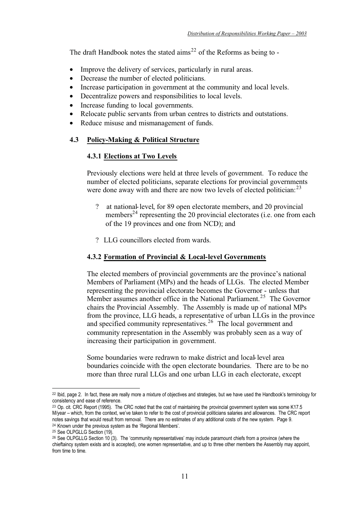The draft Handbook notes the stated  $\text{aims}^{22}$  of the Reforms as being to -

- Improve the delivery of services, particularly in rural areas.
- Decrease the number of elected politicians.
- Increase participation in government at the community and local levels.
- Decentralize powers and responsibilities to local levels.
- Increase funding to local governments.
- Relocate public servants from urban centres to districts and outstations.
- Reduce misuse and mismanagement of funds.

#### **4.3 Policy-Making & Political Structure**

#### **4.3.1 Elections at Two Levels**

Previously elections were held at three levels of government. To reduce the number of elected politicians, separate elections for provincial governments were done away with and there are now two levels of elected politician:  $^{23}$ 

- ? at national-level, for 89 open electorate members, and 20 provincial members<sup>24</sup> representing the 20 provincial electorates (i.e. one from each of the 19 provinces and one from NCD); and
- ? LLG councillors elected from wards.

#### **4.3.2 Formation of Provincial & Local-level Governments**

The elected members of provincial governments are the province's national Members of Parliament (MPs) and the heads of LLGs. The elected Member representing the provincial electorate becomes the Governor - unless that Member assumes another office in the National Parliament.<sup>25</sup> The Governor chairs the Provincial Assembly. The Assembly is made up of national MPs from the province, LLG heads, a representative of urban LLGs in the province and specified community representatives.<sup>26</sup> The local government and community representation in the Assembly was probably seen as a way of increasing their participation in government.

Some boundaries were redrawn to make district and local-level area boundaries coincide with the open electorate boundaries. There are to be no more than three rural LLGs and one urban LLG in each electorate, except

<sup>22</sup> Ibid, page 2. In fact, these are really more a mixture of objectives and strategies, but we have used the Handbook's terminology for consistency and ease of reference.

<sup>&</sup>lt;sup>23</sup> Op. cit. CRC Report (1995). The CRC noted that the cost of maintaining the provincial government system was some K17.5 M/year – which, from the context, we've taken to refer to the cost of provincial politicians salaries and allowances. The CRC report notes savings that would result from removal. There are no estimates of any additional costs of the new system. Page 9. 24 Known under the previous system as the 'Regional Members'.

<sup>25</sup> See OLPGLLG Section (19).

 $26$  See OLPGLLG Section 10 (3). The 'community representatives' may include paramount chiefs from a province (where the chieftaincy system exists and is accepted), one women representative, and up to three other members the Assembly may appoint, from time to time.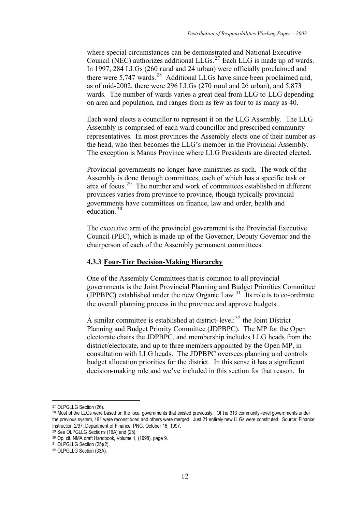where special circumstances can be demonstrated and National Executive Council (NEC) authorizes additional LLGs.<sup>27</sup> Each LLG is made up of wards. In 1997, 284 LLGs (260 rural and 24 urban) were officially proclaimed and there were 5,747 wards.<sup>28</sup> Additional LLGs have since been proclaimed and, as of mid-2002, there were 296 LLGs (270 rural and 26 urban), and 5,873 wards. The number of wards varies a great deal from LLG to LLG depending on area and population, and ranges from as few as four to as many as 40.

Each ward elects a councillor to represent it on the LLG Assembly. The LLG Assembly is comprised of each ward councillor and prescribed community representatives. In most provinces the Assembly elects one of their number as the head, who then becomes the LLG's member in the Provincial Assembly. The exception is Manus Province where LLG Presidents are directed elected.

Provincial governments no longer have ministries as such. The work of the Assembly is done through committees, each of which has a specific task or area of focus.29 The number and work of committees established in different provinces varies from province to province, though typically provincial governments have committees on finance, law and order, health and education. <sup>30</sup>

The executive arm of the provincial government is the Provincial Executive Council (PEC), which is made up of the Governor, Deputy Governor and the chairperson of each of the Assembly permanent committees.

#### **4.3.3 Four-Tier Decision-Making Hierarchy**

One of the Assembly Committees that is common to all provincial governments is the Joint Provincial Planning and Budget Priorities Committee (JPPBPC) established under the new Organic Law.<sup>31</sup> Its role is to co-ordinate the overall planning process in the province and approve budgets.

A similar committee is established at district-level: $32$  the Joint District Planning and Budget Priority Committee (JDPBPC). The MP for the Open electorate chairs the JDPBPC, and membership includes LLG heads from the district/electorate, and up to three members appointed by the Open MP, in consultation with LLG heads. The JDPBPC oversees planning and controls budget allocation priorities for the district. In this sense it has a significant decision-making role and we've included in this section for that reason. In

<sup>27</sup> OLPGLLG Section (26).

<sup>&</sup>lt;sup>28</sup> Most of the LLGs were based on the local governments that existed previously. Of the 313 community -level governments under the previous system, 191 were reconstituted and others were merged. Just 21 entirely new LLGs were constituted. Source: Finance Instruction 2/97, Department of Finance, PNG, October 16, 1997.

<sup>29</sup> See OLPGLLG Sections (16A) and (25).

<sup>30</sup> Op. cit. NMA draft Handbook, Volume 1, (1998), page 9.

<sup>31</sup> OLPGLLG Section (25)(2).

<sup>32</sup> OLPGLLG Section (33A).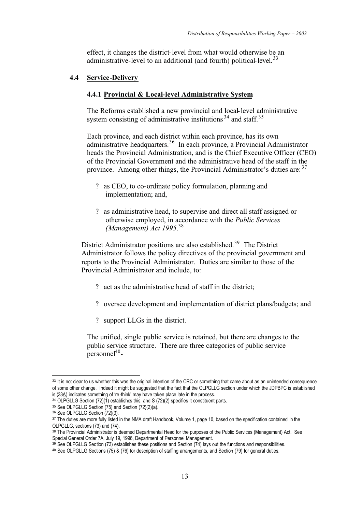effect, it changes the district-level from what would otherwise be an administrative-level to an additional (and fourth) political-level.  $33$ 

#### **4.4 Service-Delivery**

#### **4.4.1 Provincial & Local-level Administrative System**

The Reforms established a new provincial and local-level administrative system consisting of administrative institutions  $34$  and staff.  $35$ 

Each province, and each district within each province, has its own administrative headquarters.<sup>36</sup> In each province, a Provincial Administrator heads the Provincial Administration, and is the Chief Executive Officer (CEO) of the Provincial Government and the administrative head of the staff in the province. Among other things, the Provincial Administrator's duties are: <sup>37</sup>

- ? as CEO, to co-ordinate policy formulation, planning and implementation; and,
- ? as administrative head, to supervise and direct all staff assigned or otherwise employed, in accordance with the *Public Services (Management) Act 1995*. 38

District Administrator positions are also established.<sup>39</sup> The District Administrator follows the policy directives of the provincial government and reports to the Provincial Administrator. Duties are similar to those of the Provincial Administrator and include, to:

- ? act as the administrative head of staff in the district;
- ? oversee development and implementation of district plans/budgets; and
- ? support LLGs in the district.

The unified, single public service is retained, but there are changes to the public service structure. There are three categories of public service personnel $1^{40}$ -

<sup>33</sup> It is not clear to us whether this was the original intention of the CRC or something that came about as an unintended consequence of some other change. Indeed it might be suggested that the fact that the OLPGLLG section under which the JDPBPC is established is (33A) indicates something of 're-think' may have taken place late in the process.

<sup>34</sup> OLPGLLG Section (72)(1) establishes this, and S (72)(2) specifies it constituent parts.

 $35$  See OLPGLLG Section (75) and Section (72)(2)(a).

<sup>36</sup> See OLPGLLG Section (72)(3).

<sup>&</sup>lt;sup>37</sup> The duties are more fully listed in the NMA draft Handbook, Volume 1, page 10, based on the specification contained in the OLPGLLG, sections (73) and (74).

<sup>38</sup> The Provincial Administrator is deemed Departmental Head for the purposes of the Public Services (Management) Act. See Special General Order 7A, July 19, 1996, Department of Personnel Management.

<sup>39</sup> See OLPGLLG Section (73) establishes these positions and Section (74) lays out the functions and responsibilities.

<sup>40</sup> See OLPGLLG Sections (75) & (76) for description of staffing arrangements, and Section (79) for general duties.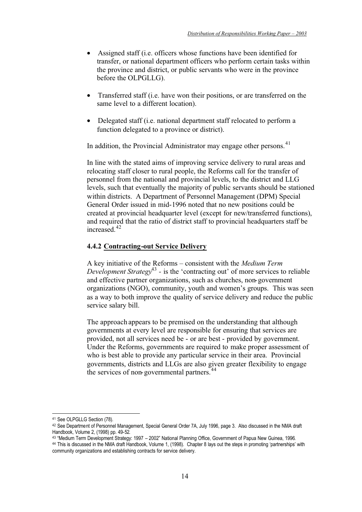- Assigned staff (i.e. officers whose functions have been identified for transfer, or national department officers who perform certain tasks within the province and district, or public servants who were in the province before the OLPGLLG).
- Transferred staff (i.e. have won their positions, or are transferred on the same level to a different location).
- Delegated staff (i.e. national department staff relocated to perform a function delegated to a province or district).

In addition, the Provincial Administrator may engage other persons.<sup>41</sup>

In line with the stated aims of improving service delivery to rural areas and relocating staff closer to rural people, the Reforms call for the transfer of personnel from the national and provincial levels, to the district and LLG levels, such that eventually the majority of public servants should be stationed within districts. A Department of Personnel Management (DPM) Special General Order issued in mid-1996 noted that no new positions could be created at provincial headquarter level (except for new/transferred functions), and required that the ratio of district staff to provincial headquarters staff be increased.<sup>42</sup>

#### **4.4.2 Contracting-out Service Delivery**

A key initiative of the Reforms – consistent with the *Medium Term Development Strategy*<sup>43</sup> - is the 'contracting out' of more services to reliable and effective partner organizations, such as churches, non-government organizations (NGO), community, youth and women's groups. This was seen as a way to both improve the quality of service delivery and reduce the public service salary bill.

The approach appears to be premised on the understanding that although governments at every level are responsible for ensuring that services are provided, not all services need be - or are best - provided by government. Under the Reforms, governments are required to make proper assessment of who is best able to provide any particular service in their area. Provincial governments, districts and LLGs are also given greater flexibility to engage the services of non-governmental partners.<sup>44</sup>

<sup>41</sup> See OLPGLLG Section (78).

<sup>42</sup> See Department of Personnel Management, Special General Order 7A, July 1996, page 3. Also discussed in the NMA draft Handbook, Volume 2, (1998) pp. 49-52.

<sup>43 &</sup>quot;Medium Term Development Strategy: 1997 – 2002" National Planning Office, Government of Papua New Guinea, 1996. 44 This is discussed in the NMA draft Handbook, Volume 1, (1998). Chapter 8 lays out the steps in promoting 'partnerships' with community organizations and establishing contracts for service delivery.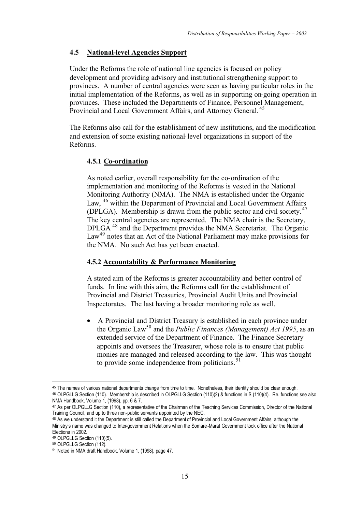#### **4.5 National-level Agencies Support**

Under the Reforms the role of national line agencies is focused on policy development and providing advisory and institutional strengthening support to provinces. A number of central agencies were seen as having particular roles in the initial implementation of the Reforms, as well as in supporting on-going operation in provinces. These included the Departments of Finance, Personnel Management, Provincial and Local Government Affairs, and Attorney General.<sup>45</sup>

The Reforms also call for the establishment of new institutions, and the modification and extension of some existing national-level organizations in support of the Reforms.

#### **4.5.1 Co-ordination**

As noted earlier, overall responsibility for the co-ordination of the implementation and monitoring of the Reforms is vested in the National Monitoring Authority (NMA). The NMA is established under the Organic Law, <sup>46</sup> within the Department of Provincial and Local Government Affairs (DPLGA). Membership is drawn from the public sector and civil society. <sup>47</sup> The key central agencies are represented. The NMA chair is the Secretary, DPLGA 48 and the Department provides the NMA Secretariat. The Organic Law<sup>49</sup> notes that an Act of the National Parliament may make provisions for the NMA. No such Act has yet been enacted.

#### **4.5.2 Accountability & Performance Monitoring**

A stated aim of the Reforms is greater accountability and better control of funds. In line with this aim, the Reforms call for the establishment of Provincial and District Treasuries, Provincial Audit Units and Provincial Inspectorates. The last having a broader monitoring role as well.

• A Provincial and District Treasury is established in each province under the Organic Law50 and the *Public Finances (Management) Act 1995*, as an extended service of the Department of Finance. The Finance Secretary appoints and oversees the Treasurer, whose role is to ensure that public monies are managed and released according to the law. This was thought to provide some independence from politicians.<sup>51</sup>

<sup>45</sup> The names of various national departments change from time to time. Nonetheless, their identity should be clear enough. 46 OLPGLLG Section (110). Membership is described in OLPGLLG Section (110)(2) & functions in S (110)(4). Re. functions see also NMA Handbook, Volume 1, (1998), pp. 6 & 7.

<sup>47</sup> As per OLPGLLG Section (110), a representative of the Chairman of the Teaching Services Commission, Director of the National Training Council, and up to three non-public servants appointed by the NEC.

<sup>48</sup> As we understand it the Department is still called the Department of Provincial and Local Government Affairs, although the Ministry's name was changed to Inter-government Relations when the Somare-Marat Government took office after the National Elections in 2002.

<sup>49</sup> OLPGLLG Section (110)(5).

<sup>50</sup> OLPGLLG Section (112).

<sup>51</sup> Noted in NMA draft Handbook, Volume 1, (1998), page 47.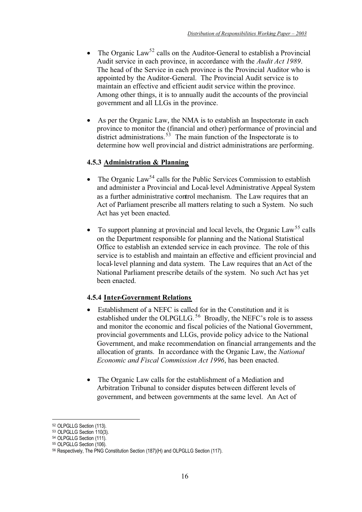- The Organic Law<sup>52</sup> calls on the Auditor-General to establish a Provincial Audit service in each province, in accordance with the *Audit Act 1989*. The head of the Service in each province is the Provincial Auditor who is appointed by the Auditor-General. The Provincial Audit service is to maintain an effective and efficient audit service within the province. Among other things, it is to annually audit the accounts of the provincial government and all LLGs in the province.
- As per the Organic Law, the NMA is to establish an Inspectorate in each province to monitor the (financial and other) performance of provincial and district administrations.<sup>53</sup> The main function of the Inspectorate is to determine how well provincial and district administrations are performing.

#### **4.5.3 Administration & Planning**

- The Organic Law<sup>54</sup> calls for the Public Services Commission to establish and administer a Provincial and Local-level Administrative Appeal System as a further administrative control mechanism. The Law requires that an Act of Parliament prescribe all matters relating to such a System. No such Act has yet been enacted.
- To support planning at provincial and local levels, the Organic Law<sup>55</sup> calls on the Department responsible for planning and the National Statistical Office to establish an extended service in each province. The role of this service is to establish and maintain an effective and efficient provincial and local-level planning and data system. The Law requires that an Act of the National Parliament prescribe details of the system. No such Act has yet been enacted.

#### **4.5.4 Inter-Government Relations**

- Establishment of a NEFC is called for in the Constitution and it is established under the OLPGLLG.<sup>56</sup> Broadly, the NEFC's role is to assess and monitor the economic and fiscal policies of the National Government, provincial governments and LLGs, provide policy advice to the National Government, and make recommendation on financial arrangements and the allocation of grants. In accordance with the Organic Law, the *National Economic and Fiscal Commission Act 1996*, has been enacted.
- The Organic Law calls for the establishment of a Mediation and Arbitration Tribunal to consider disputes between different levels of government, and between governments at the same level. An Act of

<sup>52</sup> OLPGLLG Section (113).

<sup>53</sup> OLPGLLG Section 110(3).

<sup>54</sup> OLPGLLG Section (111).

<sup>55</sup> OLPGLLG Section (106).

<sup>56</sup> Respectively, The PNG Constitution Section (187)(H) and OLPGLLG Section (117).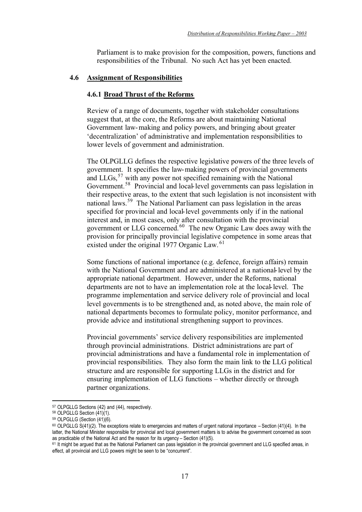Parliament is to make provision for the composition, powers, functions and responsibilities of the Tribunal. No such Act has yet been enacted.

#### **4.6 Assignment of Responsibilities**

#### **4.6.1 Broad Thrust of the Reforms**

Review of a range of documents, together with stakeholder consultations suggest that, at the core, the Reforms are about maintaining National Government law-making and policy powers, and bringing about greater 'decentralization' of administrative and implementation responsibilities to lower levels of government and administration.

The OLPGLLG defines the respective legislative powers of the three levels of government. It specifies the law-making powers of provincial governments and LLGs, $57$  with any power not specified remaining with the National Government.<sup>58</sup> Provincial and local-level governments can pass legislation in their respective areas, to the extent that such legislation is not inconsistent with national laws.59 The National Parliament can pass legislation in the areas specified for provincial and local-level governments only if in the national interest and, in most cases, only after consultation with the provincial government or LLG concerned.<sup>60</sup> The new Organic Law does away with the provision for principally provincial legislative competence in some areas that existed under the original 1977 Organic Law.<sup>61</sup>

Some functions of national importance (e.g. defence, foreign affairs) remain with the National Government and are administered at a national-level by the appropriate national department. However, under the Reforms, national departments are not to have an implementation role at the local-level. The programme implementation and service delivery role of provincial and local level governments is to be strengthened and, as noted above, the main role of national departments becomes to formulate policy, monitor performance, and provide advice and institutional strengthening support to provinces.

Provincial governments' service delivery responsibilities are implemented through provincial administrations. District administrations are part of provincial administrations and have a fundamental role in implementation of provincial responsibilities. They also form the main link to the LLG political structure and are responsible for supporting LLGs in the district and for ensuring implementation of LLG functions – whether directly or through partner organizations.

<sup>57</sup> OLPGLLG Sections (42) and (44), respectively.

<sup>58</sup> OLPGLLG Section (41)(1).

<sup>59</sup> OLPGLLG (Section (41)(6).

 $60$  OLPGLLG S(41)(2). The exceptions relate to emergencies and matters of urgent national importance  $-$  Section (41)(4). In the latter, the National Minister responsible for provincial and local government matters is to advise the government concerned as soon as practicable of the National Act and the reason for its urgency – Section (41)(5).

<sup>61</sup> It might be argued that as the National Parliament can pass legislation in the provincial government and LLG specified areas, in effect, all provincial and LLG powers might be seen to be "concurrent".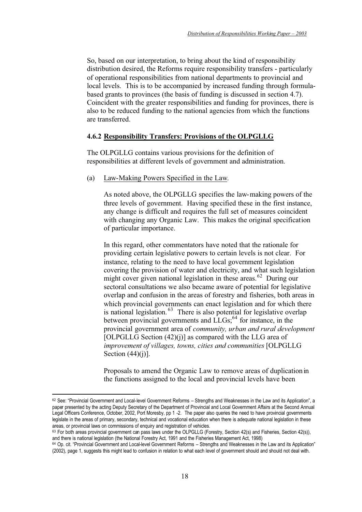So, based on our interpretation, to bring about the kind of responsibility distribution desired, the Reforms require responsibility transfers - particularly of operational responsibilities from national departments to provincial and local levels. This is to be accompanied by increased funding through formulabased grants to provinces (the basis of funding is discussed in section 4.7). Coincident with the greater responsibilities and funding for provinces, there is also to be reduced funding to the national agencies from which the functions are transferred.

### **4.6.2 Responsibility Transfers: Provisions of the OLPGLLG**

The OLPGLLG contains various provisions for the definition of responsibilities at different levels of government and administration.

(a) Law-Making Powers Specified in the Law.

As noted above, the OLPGLLG specifies the law-making powers of the three levels of government. Having specified these in the first instance, any change is difficult and requires the full set of measures coincident with changing any Organic Law. This makes the original specification of particular importance.

In this regard, other commentators have noted that the rationale for providing certain legislative powers to certain levels is not clear. For instance, relating to the need to have local government legislation covering the provision of water and electricity, and what such legislation might cover given national legislation in these areas.<sup>62</sup> During our sectoral consultations we also became aware of potential for legislative overlap and confusion in the areas of forestry and fisheries, both areas in which provincial governments can enact legislation and for which there is national legislation.<sup>63</sup> There is also potential for legislative overlap between provincial governments and LLGs;<sup>64</sup> for instance, in the provincial government area of *community, urban and rural development* [OLPGLLG Section  $(42)(i)$ ] as compared with the LLG area of *improvement of villages, towns, cities and communities* [OLPGLLG Section  $(44)(i)$ ].

Proposals to amend the Organic Law to remove areas of duplication in the functions assigned to the local and provincial levels have been

<sup>62</sup> See: "Provincial Government and Local-level Government Reforms - Strengths and Weaknesses in the Law and its Application", a paper presented by the acting Deputy Secretary of the Department of Provincial and Local Government Affairs at the Second Annual Legal Officers Conference, October, 2002, Port Moresby, pp 1 -2. The paper also queries the need to have provincial governments legislate in the areas of primary, secondary, technical and vocational education when there is adequate national legislation in these areas, or provincial laws on commissions of enquiry and registration of vehicles.

<sup>63</sup> For both areas provincial government can pass laws under the OLPGLLG (Forestry, Section 42(s) and Fisheries, Section 42(s)), and there is national legislation (the National Forestry Act, 1991 and the Fisheries Management Act, 1998)

<sup>64</sup> Op. cit. "Provincial Government and Local-level Government Reforms – Strengths and Weaknesses in the Law and its Application" (2002), page 1, suggests this might lead to confusion in relation to what each level of government should and should not deal with.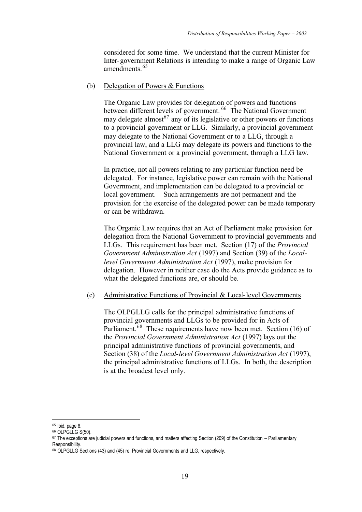considered for some time. We understand that the current Minister for Inter-government Relations is intending to make a range of Organic Law amendments<sup>65</sup>

#### (b) Delegation of Powers & Functions

The Organic Law provides for delegation of powers and functions between different levels of government.<sup>66</sup> The National Government may delegate almost<sup>67</sup> any of its legislative or other powers or functions to a provincial government or LLG. Similarly, a provincial government may delegate to the National Government or to a LLG, through a provincial law, and a LLG may delegate its powers and functions to the National Government or a provincial government, through a LLG law.

In practice, not all powers relating to any particular function need be delegated. For instance, legislative power can remain with the National Government, and implementation can be delegated to a provincial or local government. Such arrangements are not permanent and the provision for the exercise of the delegated power can be made temporary or can be withdrawn.

The Organic Law requires that an Act of Parliament make provision for delegation from the National Government to provincial governments and LLGs. This requirement has been met. Section (17) of the *Provincial Government Administration Act* (1997) and Section (39) of the *Locallevel Government Administration Act* (1997), make provision for delegation. However in neither case do the Acts provide guidance as to what the delegated functions are, or should be.

#### (c) Administrative Functions of Provincial & Local-level Governments

The OLPGLLG calls for the principal administrative functions of provincial governments and LLGs to be provided for in Acts of Parliament.<sup>68</sup> These requirements have now been met. Section (16) of the *Provincial Government Administration Act* (1997) lays out the principal administrative functions of provincial governments, and Section (38) of the *Local-level Government Administration Act* (1997), the principal administrative functions of LLGs. In both, the description is at the broadest level only.

<sup>65</sup> Ibid. page 8.

<sup>66</sup> OLPGLLG S(50).

 $67$  The exceptions are judicial powers and functions, and matters affecting Section (209) of the Constitution – Parliamentary Responsibility.

<sup>68</sup> OLPGLLG Sections (43) and (45) re. Provincial Governments and LLG, respectively.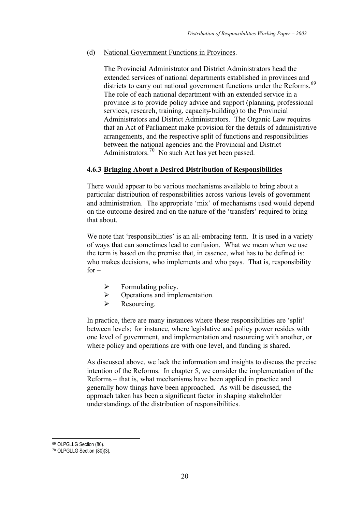(d) National Government Functions in Provinces.

The Provincial Administrator and District Administrators head the extended services of national departments established in provinces and districts to carry out national government functions under the Reforms.<sup>69</sup> The role of each national department with an extended service in a province is to provide policy advice and support (planning, professional services, research, training, capacity-building) to the Provincial Administrators and District Administrators. The Organic Law requires that an Act of Parliament make provision for the details of administrative arrangements, and the respective split of functions and responsibilities between the national agencies and the Provincial and District Administrators.<sup>70</sup> No such Act has yet been passed.

# **4.6.3 Bringing About a Desired Distribution of Responsibilities**

There would appear to be various mechanisms available to bring about a particular distribution of responsibilities across various levels of government and administration. The appropriate 'mix' of mechanisms used would depend on the outcome desired and on the nature of the 'transfers' required to bring that about.

We note that 'responsibilities' is an all-embracing term. It is used in a variety of ways that can sometimes lead to confusion. What we mean when we use the term is based on the premise that, in essence, what has to be defined is: who makes decisions, who implements and who pays. That is, responsibility  $for -$ 

- $\triangleright$  Formulating policy.
- $\triangleright$  Operations and implementation.
- > Resourcing.

In practice, there are many instances where these responsibilities are 'split' between levels; for instance, where legislative and policy power resides with one level of government, and implementation and resourcing with another, or where policy and operations are with one level, and funding is shared.

As discussed above, we lack the information and insights to discuss the precise intention of the Reforms. In chapter 5, we consider the implementation of the Reforms – that is, what mechanisms have been applied in practice and generally how things have been approached. As will be discussed, the approach taken has been a significant factor in shaping stakeholder understandings of the distribution of responsibilities.

<sup>&</sup>lt;sup>69</sup> OLPGLLG Section (80).

<sup>70</sup> OLPGLLG Section (80)(3).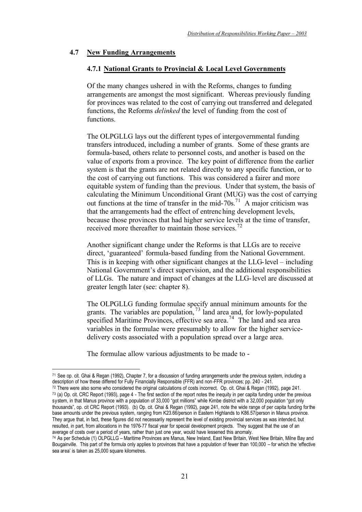### **4.7 New Funding Arrangements**

#### **4.7.1 National Grants to Provincial & Local Level Governments**

Of the many changes ushered in with the Reforms, changes to funding arrangements are amongst the most significant. Whereas previously funding for provinces was related to the cost of carrying out transferred and delegated functions, the Reforms *delinked* the level of funding from the cost of functions.

The OLPGLLG lays out the different types of intergovernmental funding transfers introduced, including a number of grants. Some of these grants are formula-based, others relate to personnel costs, and another is based on the value of exports from a province. The key point of difference from the earlier system is that the grants are not related directly to any specific function, or to the cost of carrying out functions. This was considered a fairer and more equitable system of funding than the previous. Under that system, the basis of calculating the Minimum Unconditional Grant (MUG) was the cost of carrying out functions at the time of transfer in the mid-70s.<sup>71</sup> A major criticism was that the arrangements had the effect of entrenching development levels, because those provinces that had higher service levels at the time of transfer, received more thereafter to maintain those services.<sup>72</sup>

Another significant change under the Reforms is that LLGs are to receive direct, 'guaranteed' formula-based funding from the National Government. This is in keeping with other significant changes at the LLG-level – including National Government's direct supervision, and the additional responsibilities of LLGs. The nature and impact of changes at the LLG-level are discussed at greater length later (see: chapter 8).

The OLPGLLG funding formulae specify annual minimum amounts for the grants. The variables are population,  $73$  land area and, for lowly-populated specified Maritime Provinces, effective sea area.<sup>74</sup> The land and sea area variables in the formulae were presumably to allow for the higher servicedelivery costs associated with a population spread over a large area.

The formulae allow various adjustments to be made to -

<sup>71</sup> See op. cit. Ghai & Regan (1992), Chapter 7, for a discussion of funding arrangements under the previous system, including a description of how these differed for Fully Financially Responsible (FFR) and non-FFR provinces; pp. 240 - 241.

<sup>72</sup> There were also some who considered the original calculations of costs incorrect. Op. cit. Ghai & Regan (1992), page 241. 73 (a) Op. cit. CRC Report (1993), page 4 - The first section of the report notes the inequity in per capita funding under the previous system, in that Manus province with a population of 33,000 "got millions" while Kimbe district with a 32,000 population "got only thousands", op. cit CRC Report (1993). (b) Op. cit. Ghai & Regan (1992), page 241, note the wide range of per capita funding for the base amounts under the previous system, ranging from K23.66/person in Eastern Highlands to K86.57/person in Manus province. They argue that, in fact, these figures did not necessarily represent the level of existing provincial services as was intended, but resulted, in part, from allocations in the 1976-77 fiscal year for special development projects. They suggest that the use of an average of costs over a period of years, rather than just one year, would have lessened this anomaly.

<sup>74</sup> As per Schedule (1) OLPGLLG – Maritime Provinces are Manus, New Ireland, East New Britain, West New Britain, Milne Bay and Bougainville. This part of the formula only applies to provinces that have a population of fewer than 100,000 – for which the 'effective sea area' is taken as 25,000 square kilometres.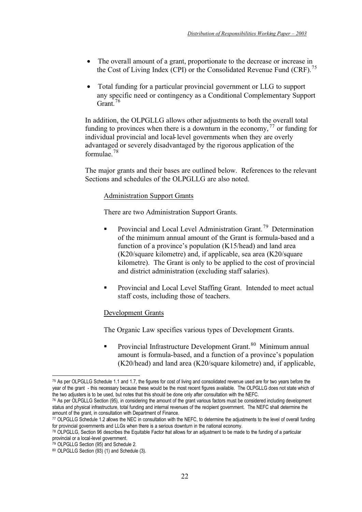- The overall amount of a grant, proportionate to the decrease or increase in the Cost of Living Index (CPI) or the Consolidated Revenue Fund (CRF).<sup>75</sup>
- Total funding for a particular provincial government or LLG to support any specific need or contingency as a Conditional Complementary Support Grant<sup>76</sup>

In addition, the OLPGLLG allows other adjustments to both the overall total funding to provinces when there is a downturn in the economy,  $^{77}$  or funding for individual provincial and local-level governments when they are overly advantaged or severely disadvantaged by the rigorous application of the formulae.<sup>78</sup>

The major grants and their bases are outlined below. References to the relevant Sections and schedules of the OLPGLLG are also noted.

### Administration Support Grants

There are two Administration Support Grants.

- -Provincial and Local Level Administration Grant.<sup>79</sup> Determination of the minimum annual amount of the Grant is formula-based and a function of a province's population (K15/head) and land area (K20/square kilometre) and, if applicable, sea area (K20/square kilometre). The Grant is only to be applied to the cost of provincial and district administration (excluding staff salaries).
- - Provincial and Local Level Staffing Grant. Intended to meet actual staff costs, including those of teachers.

#### Development Grants

The Organic Law specifies various types of Development Grants.

-Provincial Infrastructure Development Grant.<sup>80</sup> Minimum annual amount is formula-based, and a function of a province's population (K20/head) and land area (K20/square kilometre) and, if applicable,

<sup>75</sup> As per OLPGLLG Schedule 1.1 and 1.7, the figures for cost of living and consolidated revenue used are for two years before the year of the grant - this necessary because these would be the most recent figures available. The OLPGLLG does not state which of the two adjusters is to be used, but notes that this should be done only after consultation with the NEFC.

<sup>76</sup> As per OLPGLLG Section (95), in considering the amount of the grant various factors must be considered including development status and physical infrastructure, total funding and internal revenues of the recipient government. The NEFC shall determine the amount of the grant, in consultation with Department of Finance.

<sup>77</sup> OLPGLLG Schedule 1.2 allows the NEC in consultation with the NEFC, to determine the adjustments to the level of overall funding for provincial governments and LLGs when there is a serious downturn in the national economy.

<sup>78</sup> OLPGLLG, Section 96 describes the Equitable Factor that allows for an adjustment to be made to the funding of a particular provincial or a local-level government.

<sup>79</sup> OLPGLLG Section (95) and Schedule 2.

<sup>80</sup> OLPGLLG Section (93) (1) and Schedule (3).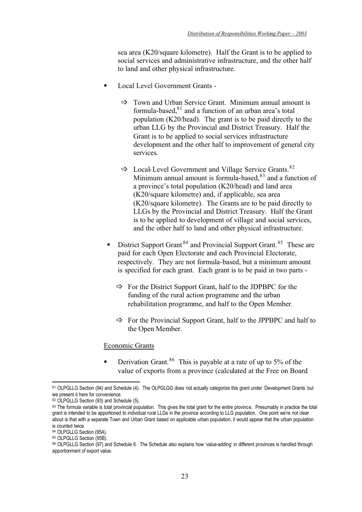sea area (K20/square kilometre). Half the Grant is to be applied to social services and administrative infrastructure, and the other half to land and other physical infrastructure.

- - Local Level Government Grants -
	- Town and Urban Service Grant. Minimum annual amount is formula-based, $81$  and a function of an urban area's total population (K20/head). The grant is to be paid directly to the urban LLG by the Provincial and District Treasury. Half the Grant is to be applied to social services infrastructure development and the other half to improvement of general city services.
	- $\Rightarrow$  Local-Level Government and Village Service Grants.<sup>82</sup> Minimum annual amount is formula-based,  $83$  and a function of a province's total population (K20/head) and land area (K20/square kilometre) and, if applicable, sea area (K20/square kilometre). The Grants are to be paid directly to LLGs by the Provincial and District Treasury. Half the Grant is to be applied to development of village and social services, and the other half to land and other physical infrastructure.
	- -District Support Grant<sup>84</sup> and Provincial Support Grant.<sup>85</sup> These are paid for each Open Electorate and each Provincial Electorate, respectively. They are not formula-based, but a minimum amount is specified for each grant. Each grant is to be paid in two parts -
		- For the District Support Grant, half to the JDPBPC for the funding of the rural action programme and the urban rehabilitation programme, and half to the Open Member.
		- For the Provincial Support Grant, half to the JPPBPC and half to the Open Member.

#### Economic Grants

-Derivation Grant.<sup>86</sup> This is payable at a rate of up to 5% of the value of exports from a province (calculated at the Free on Board

<sup>81</sup> OLPGLLG Section (94) and Schedule (4). The OLPGLGG does not actually categorize this grant under 'Development Grants' but we present it here for convenience.

<sup>82</sup> OLPGLLG Section (93) and Schedule (5).

<sup>83</sup> The formula variable is total provincial population. This gives the total grant for the entire province. Presumably in practice the total grant is intended to be apportioned to individual rural LLGs in the province according to LLG population. One point we're not clear about is that with a separate Town and Urban Grant based on applicable urban population, it would appear that the urban population is counted twice.

<sup>84</sup> OLPGLLG Section (95A).

<sup>85</sup> OLPGLLG Section (95B).

<sup>86</sup> OLPGLLG Section (97) and Schedule 6. The Schedule also explains how 'value-adding' in different provinces is handled through apportionment of export value.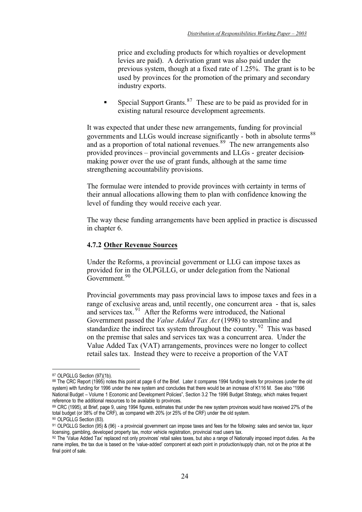price and excluding products for which royalties or development levies are paid). A derivation grant was also paid under the previous system, though at a fixed rate of 1.25%. The grant is to be used by provinces for the promotion of the primary and secondary industry exports.

-Special Support Grants.<sup>87</sup> These are to be paid as provided for in existing natural resource development agreements.

It was expected that under these new arrangements, funding for provincial governments and LLGs would increase significantly - both in absolute terms<sup>88</sup> and as a proportion of total national revenues.<sup>89</sup> The new arrangements also provided provinces – provincial governments and LLGs - greater decisionmaking power over the use of grant funds, although at the same time strengthening accountability provisions.

The formulae were intended to provide provinces with certainty in terms of their annual allocations allowing them to plan with confidence knowing the level of funding they would receive each year.

The way these funding arrangements have been applied in practice is discussed in chapter 6.

### **4.7.2 Other Revenue Sources**

Under the Reforms, a provincial government or LLG can impose taxes as provided for in the OLPGLLG, or under delegation from the National Government.<sup>90</sup>

Provincial governments may pass provincial laws to impose taxes and fees in a range of exclusive areas and, until recently, one concurrent area - that is, sales and services tax. 91 After the Reforms were introduced, the National Government passed the *Value Added Tax Act* (1998) to streamline and standardize the indirect tax system throughout the country.  $92$  This was based on the premise that sales and services tax was a concurrent area. Under the Value Added Tax (VAT) arrangements, provinces were no longer to collect retail sales tax. Instead they were to receive a proportion of the VAT

<sup>87</sup> OLPGLLG Section (97)(1b).

<sup>88</sup> The CRC Report (1995) notes this point at page 6 of the Brief. Later it compares 1994 funding levels for provinces (under the old system) with funding for 1996 under the new system and concludes that there would be an increase of K116 M. See also "1996 National Budget – Volume 1 Economic and Development Policies", Section 3.2 The 1996 Budget Strategy, which makes frequent reference to the additional resources to be available to provinces.

<sup>89</sup> CRC (1995), at Brief, page 9, using 1994 figures, estimates that under the new system provinces would have received 27% of the total budget (or 38% of the CRF), as compared with 20% (or 25% of the CRF) under the old system.

<sup>90</sup> OLPGLLG Section (83).

<sup>91</sup> OLPGLLG Section (95) & (96) - a provincial government can impose taxes and fees for the following: sales and service tax, liquor licensing, gambling, developed property tax, motor vehicle registration, provincial road users tax.

<sup>92</sup> The Value Added Tax' replaced not only provinces' retail sales taxes, but also a range of Nationally imposed import duties. As the name implies, the tax due is based on the 'value-added' component at each point in production/supply chain, not on the price at the final point of sale.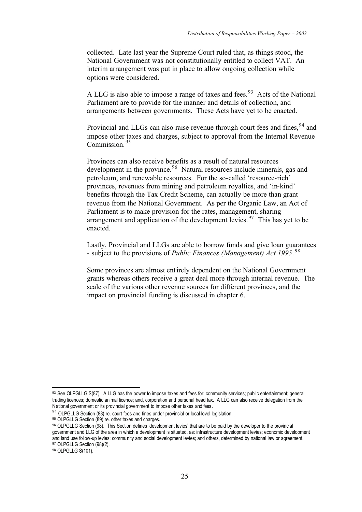collected. Late last year the Supreme Court ruled that, as things stood, the National Government was not constitutionally entitled to collect VAT. An interim arrangement was put in place to allow ongoing collection while options were considered.

A LLG is also able to impose a range of taxes and fees.<sup>93</sup> Acts of the National Parliament are to provide for the manner and details of collection, and arrangements between governments. These Acts have yet to be enacted.

Provincial and LLGs can also raise revenue through court fees and fines, <sup>94</sup> and impose other taxes and charges, subject to approval from the Internal Revenue Commission. <sup>95</sup>

Provinces can also receive benefits as a result of natural resources development in the province.96 Natural resources include minerals, gas and petroleum, and renewable resources. For the so-called 'resource-rich' provinces, revenues from mining and petroleum royalties, and 'in-kind' benefits through the Tax Credit Scheme, can actually be more than grant revenue from the National Government. As per the Organic Law, an Act of Parliament is to make provision for the rates, management, sharing arrangement and application of the development levies.<sup>97</sup> This has yet to be enacted.

Lastly, Provincial and LLGs are able to borrow funds and give loan guarantees - subject to the provisions of *Public Finances (Management) Act 1995*. 98

Some provinces are almost entirely dependent on the National Government grants whereas others receive a great deal more through internal revenue. The scale of the various other revenue sources for different provinces, and the impact on provincial funding is discussed in chapter 6.

98 OLPGLLG S(101).

<sup>93</sup> See OLPGLLG S(87). A LLG has the power to impose taxes and fees for: community services; public entertainment; general trading licences; domestic animal licence; and, corporation and personal head tax. A LLG can also receive delegation from the National government or its provincial government to impose other taxes and fees.

<sup>&</sup>lt;sup>94</sup> OLPGLLG Section (88) re. court fees and fines under provincial or local-level legislation.

<sup>95</sup> OLPGLLG Section (89) re. other taxes and charges.

<sup>96</sup> OLPGLLG Section (98). This Section defines 'development levies' that are to be paid by the developer to the provincial government and LLG of the area in which a development is situated, as: infrastructure development levies; economic development and land use follow-up levies; community and social development levies; and others, determined by national law or agreement. 97 OLPGLLG Section (98)(2).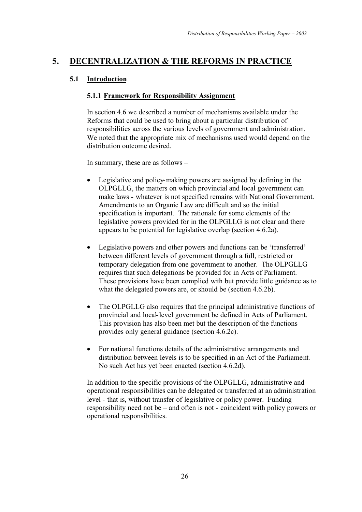# **5. DECENTRALIZATION & THE REFORMS IN PRACTICE**

# **5.1 Introduction**

# **5.1.1 Framework for Responsibility Assignment**

In section 4.6 we described a number of mechanisms available under the Reforms that could be used to bring about a particular distribution of responsibilities across the various levels of government and administration. We noted that the appropriate mix of mechanisms used would depend on the distribution outcome desired.

In summary, these are as follows –

- Legislative and policy-making powers are assigned by defining in the OLPGLLG, the matters on which provincial and local government can make laws - whatever is not specified remains with National Government. Amendments to an Organic Law are difficult and so the initial specification is important. The rationale for some elements of the legislative powers provided for in the OLPGLLG is not clear and there appears to be potential for legislative overlap (section 4.6.2a).
- Legislative powers and other powers and functions can be 'transferred' between different levels of government through a full, restricted or temporary delegation from one government to another. The OLPGLLG requires that such delegations be provided for in Acts of Parliament. These provisions have been complied with but provide little guidance as to what the delegated powers are, or should be (section 4.6.2b).
- The OLPGLLG also requires that the principal administrative functions of provincial and local-level government be defined in Acts of Parliament. This provision has also been met but the description of the functions provides only general guidance (section 4.6.2c).
- For national functions details of the administrative arrangements and distribution between levels is to be specified in an Act of the Parliament. No such Act has yet been enacted (section 4.6.2d).

In addition to the specific provisions of the OLPGLLG, administrative and operational responsibilities can be delegated or transferred at an administration level - that is, without transfer of legislative or policy power. Funding responsibility need not be – and often is not - coincident with policy powers or operational responsibilities.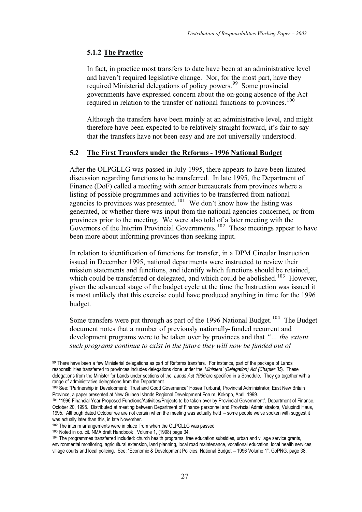# **5.1.2 The Practice**

In fact, in practice most transfers to date have been at an administrative level and haven't required legislative change. Nor, for the most part, have they required Ministerial delegations of policy powers.<sup>99</sup> Some provincial governments have expressed concern about the on-going absence of the Act required in relation to the transfer of national functions to provinces.<sup>100</sup>

Although the transfers have been mainly at an administrative level, and might therefore have been expected to be relatively straight forward, it's fair to say that the transfers have not been easy and are not universally understood.

# **5.2 The First Transfers under the Reforms - 1996 National Budget**

After the OLPGLLG was passed in July 1995, there appears to have been limited discussion regarding functions to be transferred. In late 1995, the Department of Finance (DoF) called a meeting with senior bureaucrats from provinces where a listing of possible programmes and activities to be transferred from national agencies to provinces was presented.<sup>101</sup> We don't know how the listing was generated, or whether there was input from the national agencies concerned, or from provinces prior to the meeting. We were also told of a later meeting with the Governors of the Interim Provincial Governments.<sup>102</sup> These meetings appear to have been more about informing provinces than seeking input.

In relation to identification of functions for transfer, in a DPM Circular Instruction issued in December 1995, national departments were instructed to review their mission statements and functions, and identify which functions should be retained, which could be transferred or delegated, and which could be abolished.<sup>103</sup> However, given the advanced stage of the budget cycle at the time the Instruction was issued it is most unlikely that this exercise could have produced anything in time for the 1996 budget.

Some transfers were put through as part of the 1996 National Budget.<sup>104</sup> The Budget document notes that a number of previously nationally-funded recurrent and development programs were to be taken over by provinces and that *"… the extent such programs continue to exist in the future they will now be funded out of* 

<sup>99</sup> There have been a few Ministerial delegations as part of Reforms transfers. For instance, part of the package of Lands responsibilities transferred to provinces includes delegations done under the Ministers' (Delegation) Act (Chapter 35). These delegations from the Minister for Lands under sections of the Lands Act 1996 are specified in a Schedule. They go together with a range of administrative delegations from the Department.

<sup>100</sup> See: "Partnership in Development: Trust and Good Governance" Hosea Turburat, Provincial Administrator, East New Britain Province, a paper presented at New Guinea Islands Regional Development Forum, Kokopo, April, 1999.

<sup>101 &</sup>quot;1996 Financial Year Proposed Functions/Activities/Projects to be taken over by Provincial Government", Department of Finance, October 20, 1995. Distributed at meeting between Department of Finance personnel and Provincial Administrators, Vulupindi Haus, 1995. Although dated October we are not certain when the meeting was actually held – some people we've spoken with suggest it was actually later than this, in late November.

<sup>102</sup> The interim arrangements were in place from when the OLPGLLG was passed.

<sup>&</sup>lt;sup>103</sup> Noted in op. cit. NMA draft Handbook , Volume 1, (1998) page 34.<br><sup>104</sup> The programmes transferred included: church health programs, free education subsidies, urban and village service grants, environmental monitoring, agricultural extension, land planning, local road maintenance, vocational education, local health services, village courts and local policing. See: "Economic & Development Policies, National Budget – 1996 Volume 1", GoPNG, page 38.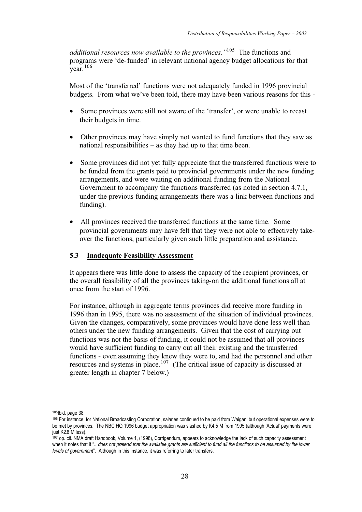*additional resources now available to the provinces."*105 The functions and programs were 'de-funded' in relevant national agency budget allocations for that  $\frac{6}{\sqrt{2}}$  vear. <sup>106</sup>

Most of the 'transferred' functions were not adequately funded in 1996 provincial budgets. From what we've been told, there may have been various reasons for this -

- Some provinces were still not aware of the 'transfer', or were unable to recast their budgets in time.
- Other provinces may have simply not wanted to fund functions that they saw as national responsibilities – as they had up to that time been.
- Some provinces did not yet fully appreciate that the transferred functions were to be funded from the grants paid to provincial governments under the new funding arrangements, and were waiting on additional funding from the National Government to accompany the functions transferred (as noted in section 4.7.1, under the previous funding arrangements there was a link between functions and funding).
- All provinces received the transferred functions at the same time. Some provincial governments may have felt that they were not able to effectively takeover the functions, particularly given such little preparation and assistance.

### **5.3 Inadequate Feasibility Assessment**

It appears there was little done to assess the capacity of the recipient provinces, or the overall feasibility of all the provinces taking-on the additional functions all at once from the start of 1996.

For instance, although in aggregate terms provinces did receive more funding in 1996 than in 1995, there was no assessment of the situation of individual provinces. Given the changes, comparatively, some provinces would have done less well than others under the new funding arrangements. Given that the cost of carrying out functions was not the basis of funding, it could not be assumed that all provinces would have sufficient funding to carry out all their existing and the transferred functions - even assuming they knew they were to, and had the personnel and other resources and systems in place.<sup>107</sup> (The critical issue of capacity is discussed at greater length in chapter 7 below.)

<sup>105</sup>Ibid. page 38.

<sup>106</sup> For instance, for National Broadcasting Corporation, salaries continued to be paid from Waigani but operational expenses were to be met by provinces. The NBC HQ 1996 budget appropriation was slashed by K4.5 M from 1995 (although 'Actual' payments were just K2.8 M less).

<sup>107</sup> op. cit. NMA draft Handbook, Volume 1, (1998), Corrigendum, appears to acknowledge the lack of such capacity assessment when it notes that it ".. does not pretend that the available grants are sufficient to fund all the functions to be assumed by the lower levels of government". Although in this instance, it was referring to later transfers.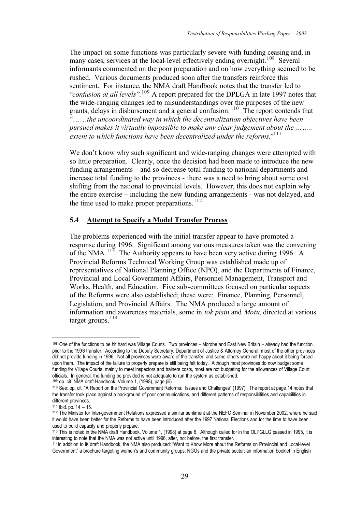The impact on some functions was particularly severe with funding ceasing and, in many cases, services at the local-level effectively ending overnight.<sup>108</sup> Several informants commented on the poor preparation and on how everything seemed to be rushed. Various documents produced soon after the transfers reinforce this sentiment. For instance, the NMA draft Handbook notes that the transfer led to "*confusion at all levels*".109 A report prepared for the DPLGA in late 1997 notes that the wide-ranging changes led to misunderstandings over the purposes of the new grants, delays in disbursement and a general confusion. 110 The report contends that "……*the uncoordinated way in which the decentralization objectives have been pursued makes it virtually impossible to make any clear judgement about the …….. extent to which functions have been decentralized under the reforms*."111

We don't know why such significant and wide-ranging changes were attempted with so little preparation. Clearly, once the decision had been made to introduce the new funding arrangements – and so decrease total funding to national departments and increase total funding to the provinces - there was a need to bring about some cost shifting from the national to provincial levels. However, this does not explain why the entire exercise – including the new funding arrangements - was not delayed, and the time used to make proper preparations. $112$ 

# **5.4 Attempt to Specify a Model Transfer Process**

The problems experienced with the initial transfer appear to have prompted a response during 1996. Significant among various measures taken was the convening of the NMA.<sup>113</sup> The Authority appears to have been very active during 1996. A Provincial Reforms Technical Working Group was established made up of representatives of National Planning Office (NPO), and the Departments of Finance, Provincial and Local Government Affairs, Personnel Management, Transport and Works, Health, and Education. Five sub-committees focused on particular aspects of the Reforms were also established; these were: Finance, Planning, Personnel, Legislation, and Provincial Affairs. The NMA produced a large amount of information and awareness materials, some in *tok pisin* and *Motu*, directed at various target groups. $114$ 

<sup>108</sup> One of the functions to be hit hard was Village Courts. Two provinces – Morobe and East New Britain – already had the function prior to the 1996 transfer. According to the Deputy Secretary, Department of Justice & Attorney General, most of the other provinces did not provide funding in 1996. Not all provinces were aware of the transfer, and some others were not happy about it being forced upon them. The impact of the failure to properly prepare is still being felt today. Although most provinces do now budget some funding for Village Courts, mainly to meet inspectors and trainers costs, most are not budgeting for the allowances of Village Court officials. In general, the funding be provided is not adequate to run the system as established.<br><sup>109</sup> op. cit. NMA draft Handbook, Volume 1, (1998), page (iii).

<sup>&</sup>lt;sup>110</sup> See: op. cit. "A Report on the Provincial Government Reforms: Issues and Challenges" (1997). The report at page 14 notes that the transfer took place against a background of poor communications, and different patterns of responsibilities and capabilities in different provinces.

<sup>111</sup> Ibid. pp. 14 – 15.

<sup>112</sup> The Minister for Inter-government Relations expressed a similar sentiment at the NEFC Seminar in November 2002, where he said it would have been better for the Reforms to have been introduced after the 1997 National Elections and for the time to have been used to build capacity and properly prepare.

<sup>113</sup> This is noted in the NMA draft Handbook, Volume 1, (1998) at page 6. Although called for in the OLPGLLG passed in 1995, it is interesting to note that the NMA was not active until 1996, after, not before, the first transfer.

<sup>114</sup>In addition to its draft Handbook, the NMA also produced: "Want to Know More about the Reforms on Provincial and Local-level Government" a brochure targeting women's and community groups, NGOs and the private sector; an information booklet in English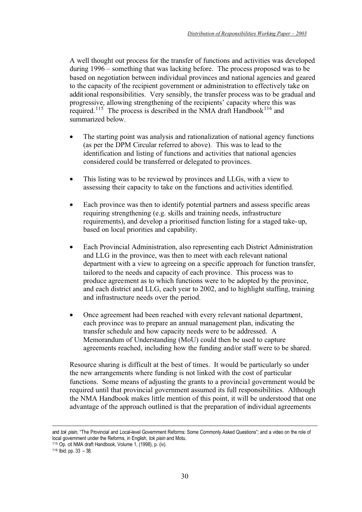A well thought out process for the transfer of functions and activities was developed during 1996 – something that was lacking before. The process proposed was to be based on negotiation between individual provinces and national agencies and geared to the capacity of the recipient government or administration to effectively take on additional responsibilities. Very sensibly, the transfer process was to be gradual and progressive, allowing strengthening of the recipients' capacity where this was required.<sup>115</sup> The process is described in the NMA draft Handbook<sup>116</sup> and summarized below.

- The starting point was analysis and rationalization of national agency functions (as per the DPM Circular referred to above). This was to lead to the identification and listing of functions and activities that national agencies considered could be transferred or delegated to provinces.
- This listing was to be reviewed by provinces and LLGs, with a view to assessing their capacity to take on the functions and activities identified.
- Each province was then to identify potential partners and assess specific areas requiring strengthening (e.g. skills and training needs, infrastructure requirements), and develop a prioritised function listing for a staged take-up, based on local priorities and capability.
- Each Provincial Administration, also representing each District Administration and LLG in the province, was then to meet with each relevant national department with a view to agreeing on a specific approach for function transfer, tailored to the needs and capacity of each province. This process was to produce agreement as to which functions were to be adopted by the province, and each district and LLG, each year to 2002, and to highlight staffing, training and infrastructure needs over the period.
- Once agreement had been reached with every relevant national department, each province was to prepare an annual management plan, indicating the transfer schedule and how capacity needs were to be addressed. A Memorandum of Understanding (MoU) could then be used to capture agreements reached, including how the funding and/or staff were to be shared.

Resource sharing is difficult at the best of times. It would be particularly so under the new arrangements where funding is not linked with the cost of particular functions. Some means of adjusting the grants to a provincial government would be required until that provincial government assumed its full responsibilities. Although the NMA Handbook makes little mention of this point, it will be understood that one advantage of the approach outlined is that the preparation of individual agreements

and tok pisin, "The Provincial and Local-level Government Reforms: Some Commonly Asked Questions"; and a video on the role of local government under the Reforms, in English, tok pisin and Motu.

<sup>115</sup> Op. cit NMA draft Handbook, Volume 1, (1998), p. (iv).

 $116$  Ibid. pp. 33 – 38.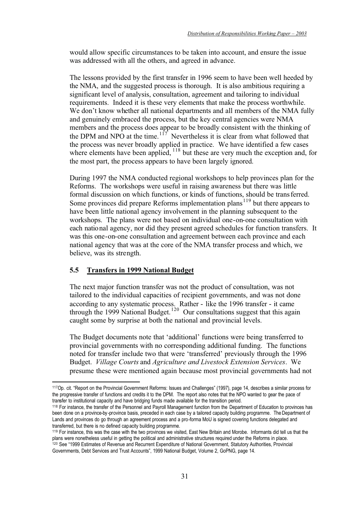would allow specific circumstances to be taken into account, and ensure the issue was addressed with all the others, and agreed in advance.

The lessons provided by the first transfer in 1996 seem to have been well heeded by the NMA, and the suggested process is thorough. It is also ambitious requiring a significant level of analysis, consultation, agreement and tailoring to individual requirements. Indeed it is these very elements that make the process worthwhile. We don't know whether all national departments and all members of the NMA fully and genuinely embraced the process, but the key central agencies were NMA members and the process does appear to be broadly consistent with the thinking of the DPM and NPO at the time.<sup>117</sup> Nevertheless it is clear from what followed that the process was never broadly applied in practice. We have identified a few cases where elements have been applied, <sup>118</sup> but these are very much the exception and, for the most part, the process appears to have been largely ignored.

During 1997 the NMA conducted regional workshops to help provinces plan for the Reforms. The workshops were useful in raising awareness but there was little formal discussion on which functions, or kinds of functions, should be transferred. Some provinces did prepare Reforms implementation plans<sup>119</sup> but there appears to have been little national agency involvement in the planning subsequent to the workshops. The plans were not based on individual one-on-one consultation with each national agency, nor did they present agreed schedules for function transfers. It was this one-on-one consultation and agreement between each province and each national agency that was at the core of the NMA transfer process and which, we believe, was its strength.

# **5.5 Transfers in 1999 National Budget**

The next major function transfer was not the product of consultation, was not tailored to the individual capacities of recipient governments, and was not done according to any systematic process. Rather - like the 1996 transfer - it came through the 1999 National Budget.<sup>120</sup> Our consultations suggest that this again caught some by surprise at both the national and provincial levels.

The Budget documents note that 'additional' functions were being transferred to provincial governments with no corresponding additional funding. The functions noted for transfer include two that were 'transferred' previously through the 1996 Budget. *Village Courts* and *Agriculture and Livestock Extension Services*. We presume these were mentioned again because most provincial governments had not

<sup>117</sup>Op. cit. "Report on the Provincial Government Reforms: Issues and Challenges" (1997), page 14, describes a similar process for the progressive transfer of functions and credits it to the DPM. The report also notes that the NPO wanted to gear the pace of transfer to institutional capacity and have bridging funds made available for the transition period.

<sup>118</sup> For instance, the transfer of the Personnel and Payroll Management function from the Department of Education to provinces has been done on a province-by-province basis, preceded in each case by a tailored capacity building programme. The Department of Lands and provinces do go through an agreement process and a pro-forma MoU is signed covering functions delegated and transferred, but there is no defined capacity building programme.

<sup>119</sup> For instance, this was the case with the two provinces we visited, East New Britain and Morobe. Informants did tell us that the plans were nonetheless useful in getting the political and administrative structures required under the Reforms in place. 120 See "1999 Estimates of Revenue and Recurrent Expenditure of National Government, Statutory Authorities, Provincial Governments, Debt Services and Trust Accounts", 1999 National Budget, Volume 2, GoPNG, page 14.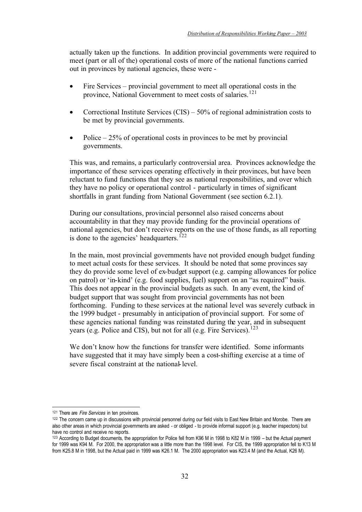actually taken up the functions. In addition provincial governments were required to meet (part or all of the) operational costs of more of the national functions carried out in provinces by national agencies, these were -

- Fire Services provincial government to meet all operational costs in the province, National Government to meet costs of salaries.<sup>121</sup>
- Correctional Institute Services  $(CIS) 50\%$  of regional administration costs to be met by provincial governments.
- Police  $-25\%$  of operational costs in provinces to be met by provincial governments.

This was, and remains, a particularly controversial area. Provinces acknowledge the importance of these services operating effectively in their provinces, but have been reluctant to fund functions that they see as national responsibilities, and over which they have no policy or operational control - particularly in times of significant shortfalls in grant funding from National Government (see section 6.2.1).

During our consultations, provincial personnel also raised concerns about accountability in that they may provide funding for the provincial operations of national agencies, but don't receive reports on the use of those funds, as all reporting is done to the agencies' headquarters.<sup>122</sup>

In the main, most provincial governments have not provided enough budget funding to meet actual costs for these services. It should be noted that some provinces say they do provide some level of ex-budget support (e.g. camping allowances for police on patrol) or 'in-kind' (e.g. food supplies, fuel) support on an "as required" basis. This does not appear in the provincial budgets as such. In any event, the kind of budget support that was sought from provincial governments has not been forthcoming. Funding to these services at the national level was severely cutback in the 1999 budget - presumably in anticipation of provincial support. For some of these agencies national funding was reinstated during the year, and in subsequent years (e.g. Police and CIS), but not for all (e.g. Fire Services).<sup>123</sup>

We don't know how the functions for transfer were identified. Some informants have suggested that it may have simply been a cost-shifting exercise at a time of severe fiscal constraint at the national-level.

<sup>&</sup>lt;sup>121</sup> There are *Fire Services* in ten provinces.

<sup>122</sup> The concern came up in discussions with provincial personnel during our field visits to East New Britain and Morobe. There are also other areas in which provincial governments are asked - or obliged - to provide informal support (e.g. teacher inspectors) but have no control and receive no reports.

<sup>123</sup> According to Budget documents, the appropriation for Police fell from K96 M in 1998 to K82 M in 1999 – but the Actual payment for 1999 was K94 M. For 2000, the appropriation was a little more than the 1998 level. For CIS, the 1999 appropriation fell to K13 M from K25.8 M in 1998, but the Actual paid in 1999 was K26.1 M. The 2000 appropriation was K23.4 M (and the Actual, K26 M).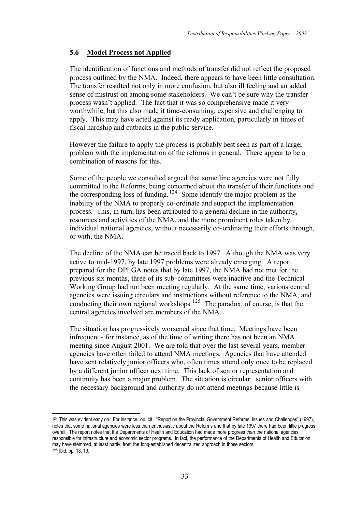# **5.6 Model Process not Applied**

The identification of functions and methods of transfer did not reflect the proposed process outlined by the NMA. Indeed, there appears to have been little consultation. The transfer resulted not only in more confusion, but also ill feeling and an added sense of mistrust on among some stakeholders. We can't be sure why the transfer process wasn't applied. The fact that it was so comprehensive made it very worthwhile, but this also made it time-consuming, expensive and challenging to apply. This may have acted against its ready application, particularly in times of fiscal hardship and cutbacks in the public service.

However the failure to apply the process is probably best seen as part of a larger problem with the implementation of the reforms in general. There appear to be a combination of reasons for this.

Some of the people we consulted argued that some line agencies were not fully committed to the Reforms, being concerned about the transfer of their functions and the corresponding loss of funding. 124 Some identify the major problem as the inability of the NMA to properly co-ordinate and support the implementation process. This, in turn, has been attributed to a general decline in the authority, resources and activities of the NMA, and the more prominent roles taken by individual national agencies, without necessarily co-ordinating their efforts through, or with, the NMA.

The decline of the NMA can be traced back to 1997. Although the NMA was very active to mid-1997, by late 1997 problems were already emerging. A report prepared for the DPLGA notes that by late 1997, the NMA had not met for the previous six months, three of its sub-committees were inactive and the Technical Working Group had not been meeting regularly. At the same time, various central agencies were issuing circulars and instructions without reference to the NMA, and conducting their own regional workshops.<sup>125</sup> The paradox, of course, is that the central agencies involved are members of the NMA.

The situation has progressively worsened since that time. Meetings have been infrequent - for instance, as of the time of writing there has not been an NMA meeting since August 2001. We are told that over the last several years, member agencies have often failed to attend NMA meetings. Agencies that have attended have sent relatively junior officers who, often times attend only once to be replaced by a different junior officer next time. This lack of senior representation and continuity has been a major problem. The situation is circular: senior officers with the necessary background and authority do not attend meetings because little is

<sup>124</sup> This was evident early on. For instance, op. cit. "Report on the Provincial Government Reforms: Issues and Challenges" (1997), notes that some national agencies were less than enthusiastic about the Reforms and that by late 1997 there had been little progress overall. The report notes that the Departments of Health and Education had made more progress than the national agencies responsible for infrastructure and economic sector programs. In fact, the performance of the Departments of Health and Education may have stemmed, at least partly, from the long-established decentralized approach in those sectors. 125 Ibid. pp. 18, 19.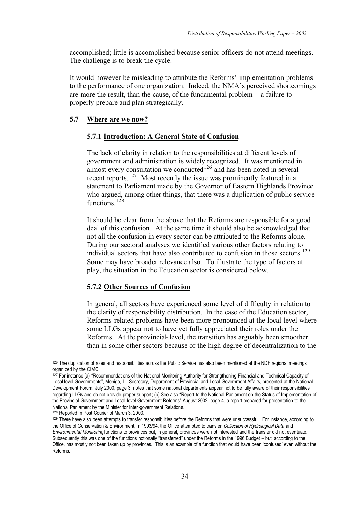accomplished; little is accomplished because senior officers do not attend meetings. The challenge is to break the cycle.

It would however be misleading to attribute the Reforms' implementation problems to the performance of one organization. Indeed, the NMA's perceived shortcomings are more the result, than the cause, of the fundamental problem – a failure to properly prepare and plan strategically.

# **5.7 Where are we now?**

### **5.7.1 Introduction: A General State of Confusion**

The lack of clarity in relation to the responsibilities at different levels of government and administration is widely recognized. It was mentioned in almost every consultation we conducted $126$  and has been noted in several recent reports.<sup>127</sup> Most recently the issue was prominently featured in a statement to Parliament made by the Governor of Eastern Highlands Province who argued, among other things, that there was a duplication of public service functions.<sup>128</sup>

It should be clear from the above that the Reforms are responsible for a good deal of this confusion. At the same time it should also be acknowledged that not all the confusion in every sector can be attributed to the Reforms alone. During our sectoral analyses we identified various other factors relating to individual sectors that have also contributed to confusion in those sectors.<sup>129</sup> Some may have broader relevance also. To illustrate the type of factors at play, the situation in the Education sector is considered below.

#### **5.7.2 Other Sources of Confusion**

In general, all sectors have experienced some level of difficulty in relation to the clarity of responsibility distribution. In the case of the Education sector, Reforms-related problems have been more pronounced at the local-level where some LLGs appear not to have yet fully appreciated their roles under the Reforms. At the provincial-level, the transition has arguably been smoother than in some other sectors because of the high degree of decentralization to the

<sup>126</sup> The duplication of roles and responsibilities across the Public Service has also been mentioned at the NDF regional meetings organized by the CIMC.

<sup>127</sup> For instance (a) "Recommendations of the National Monitoring Authority for Strengthening Financial and Technical Capacity of Local-level Governments", Meniga, L., Secretary, Department of Provincial and Local Government Affairs, presented at the National Development Forum, July 2000, page 3, notes that some national departments appear not to be fully aware of their responsibilities regarding LLGs and do not provide proper support; (b) See also "Report to the National Parliament on the Status of Implementation of the Provincial Government and Local-level Government Reforms" August 2002, page 4, a report prepared for presentation to the National Parliament by the Minister for Inter-government Relations.

<sup>128</sup> Reported in Post Courier of March 3, 2003.

<sup>129</sup> There have also been attempts to transfer responsibilities before the Reforms that were unsuccessful. For instance, according to the Office of Conservation & Environment, in 1993/94, the Office attempted to transfer Collection of Hydrological Data and Environmental Monitoring functions to provinces but, in general, provinces were not interested and the transfer did not eventuate. Subsequently this was one of the functions notionally "transferred" under the Reforms in the 1996 Budget – but, according to the Office, has mostly not been taken up by provinces. This is an example of a function that would have been 'confused' even without the Reforms.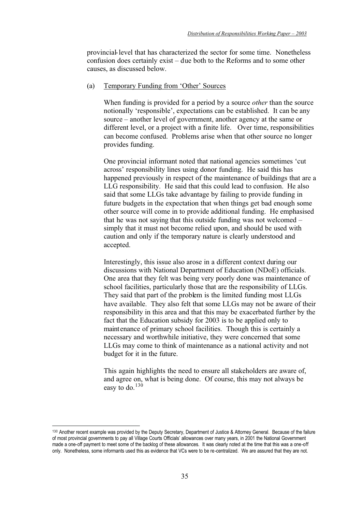provincial-level that has characterized the sector for some time. Nonetheless confusion does certainly exist – due both to the Reforms and to some other causes, as discussed below.

#### (a) Temporary Funding from 'Other' Sources

When funding is provided for a period by a source *other* than the source notionally 'responsible', expectations can be established. It can be any source – another level of government, another agency at the same or different level, or a project with a finite life. Over time, responsibilities can become confused. Problems arise when that other source no longer provides funding.

One provincial informant noted that national agencies sometimes 'cut across' responsibility lines using donor funding. He said this has happened previously in respect of the maintenance of buildings that are a LLG responsibility. He said that this could lead to confusion. He also said that some LLGs take advantage by failing to provide funding in future budgets in the expectation that when things get bad enough some other source will come in to provide additional funding. He emphasised that he was not saying that this outside funding was not welcomed – simply that it must not become relied upon, and should be used with caution and only if the temporary nature is clearly understood and accepted.

Interestingly, this issue also arose in a different context during our discussions with National Department of Education (NDoE) officials. One area that they felt was being very poorly done was maintenance of school facilities, particularly those that are the responsibility of LLGs. They said that part of the problem is the limited funding most LLGs have available. They also felt that some LLGs may not be aware of their responsibility in this area and that this may be exacerbated further by the fact that the Education subsidy for 2003 is to be applied only to maintenance of primary school facilities. Though this is certainly a necessary and worthwhile initiative, they were concerned that some LLGs may come to think of maintenance as a national activity and not budget for it in the future.

This again highlights the need to ensure all stakeholders are aware of, and agree on, what is being done. Of course, this may not always be easy to do. $130$ 

<sup>130</sup> Another recent example was provided by the Deputy Secretary, Department of Justice & Attorney General. Because of the failure of most provincial governments to pay all Village Courts Officials' allowances over many years, in 2001 the National Government made a one-off payment to meet some of the backlog of these allowances. It was clearly noted at the time that this was a one-off only. Nonetheless, some informants used this as evidence that VCs were to be re-centralized. We are assured that they are not.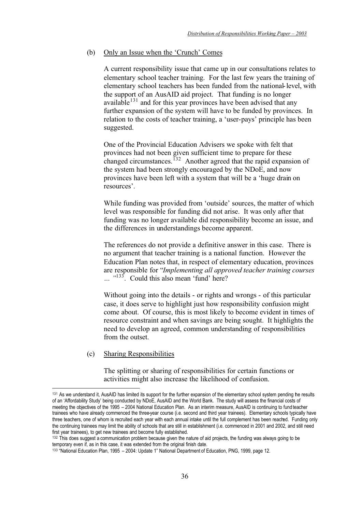#### (b) Only an Issue when the 'Crunch' Comes

A current responsibility issue that came up in our consultations relates to elementary school teacher training. For the last few years the training of elementary school teachers has been funded from the national-level, with the support of an AusAID aid project. That funding is no longer available $131$  and for this year provinces have been advised that any further expansion of the system will have to be funded by provinces. In relation to the costs of teacher training, a 'user-pays' principle has been suggested.

One of the Provincial Education Advisers we spoke with felt that provinces had not been given sufficient time to prepare for these changed circumstances.<sup>132</sup> Another agreed that the rapid expansion of the system had been strongly encouraged by the NDoE, and now provinces have been left with a system that will be a 'huge drain on resources'.

While funding was provided from 'outside' sources, the matter of which level was responsible for funding did not arise. It was only after that funding was no longer available did responsibility become an issue, and the differences in understandings become apparent.

The references do not provide a definitive answer in this case. There is no argument that teacher training is a national function. However the Education Plan notes that, in respect of elementary education, provinces are responsible for "*Implementing all approved teacher training courses*  <sup>133</sup>. Could this also mean 'fund' here?

Without going into the details - or rights and wrongs - of this particular case, it does serve to highlight just how responsibility confusion might come about. Of course, this is most likely to become evident in times of resource constraint and when savings are being sought. It highlights the need to develop an agreed, common understanding of responsibilities from the outset.

#### (c) Sharing Responsibilities

The splitting or sharing of responsibilities for certain functions or activities might also increase the likelihood of confusion.

<sup>&</sup>lt;sup>131</sup> As we understand it, AusAID has limited its support for the further expansion of the elementary school system pending the results of an 'Affordability Study' being conducted by NDoE, AusAID and the World Bank. The study will assess the financial costs of meeting the objectives of the 1995 – 2004 National Education Plan. As an interim measure, AusAID is continuing to fund teacher trainees who have already commenced the three-year course (i.e. second and third year trainees). Elementary schools typically have three teachers, one of whom is recruited each year with each annual intake until the full complement has been reached. Funding only the continuing trainees may limit the ability of schools that are still in establishment (i.e. commenced in 2001 and 2002, and still need first year trainees), to get new trainees and become fully established.

<sup>&</sup>lt;sup>132</sup> This does suggest a communication problem because given the nature of aid projects, the funding was always going to be temporary even if, as in this case, it was extended from the original finish date.

<sup>133 &</sup>quot;National Education Plan, 1995 – 2004: Update 1" National Department of Education, PNG, 1999, page 12.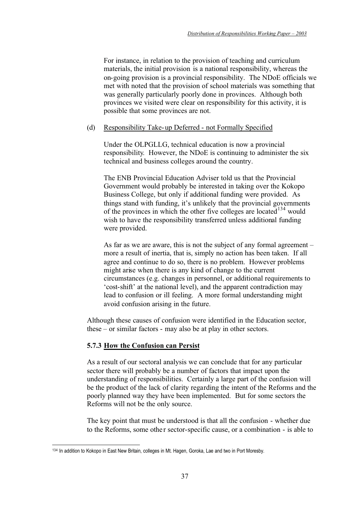For instance, in relation to the provision of teaching and curriculum materials, the initial provision is a national responsibility, whereas the on-going provision is a provincial responsibility. The NDoE officials we met with noted that the provision of school materials was something that was generally particularly poorly done in provinces. Although both provinces we visited were clear on responsibility for this activity, it is possible that some provinces are not.

### (d) Responsibility Take-up Deferred - not Formally Specified

Under the OLPGLLG, technical education is now a provincial responsibility. However, the NDoE is continuing to administer the six technical and business colleges around the country.

The ENB Provincial Education Adviser told us that the Provincial Government would probably be interested in taking over the Kokopo Business College, but only if additional funding were provided. As things stand with funding, it's unlikely that the provincial governments of the provinces in which the other five colleges are located<sup>134</sup> would wish to have the responsibility transferred unless additional funding were provided.

As far as we are aware, this is not the subject of any formal agreement – more a result of inertia, that is, simply no action has been taken. If all agree and continue to do so, there is no problem. However problems might arise when there is any kind of change to the current circumstances (e.g. changes in personnel, or additional requirements to 'cost-shift' at the national level), and the apparent contradiction may lead to confusion or ill feeling. A more formal understanding might avoid confusion arising in the future.

Although these causes of confusion were identified in the Education sector, these – or similar factors - may also be at play in other sectors.

# **5.7.3 How the Confusion can Persist**

As a result of our sectoral analysis we can conclude that for any particular sector there will probably be a number of factors that impact upon the understanding of responsibilities. Certainly a large part of the confusion will be the product of the lack of clarity regarding the intent of the Reforms and the poorly planned way they have been implemented. But for some sectors the Reforms will not be the only source.

The key point that must be understood is that all the confusion - whether due to the Reforms, some other sector-specific cause, or a combination - is able to

<sup>134</sup> In addition to Kokopo in East New Britain, colleges in Mt. Hagen, Goroka, Lae and two in Port Moresby.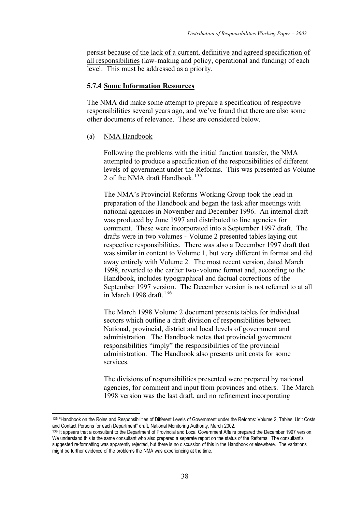persist because of the lack of a current, definitive and agreed specification of all responsibilities (law-making and policy, operational and funding) of each level. This must be addressed as a priority.

#### **5.7.4 Some Information Resources**

The NMA did make some attempt to prepare a specification of respective responsibilities several years ago, and we've found that there are also some other documents of relevance. These are considered below.

#### (a) NMA Handbook

Following the problems with the initial function transfer, the NMA attempted to produce a specification of the responsibilities of different levels of government under the Reforms. This was presented as Volume 2 of the NMA draft Handbook.<sup>135</sup>

The NMA's Provincial Reforms Working Group took the lead in preparation of the Handbook and began the task after meetings with national agencies in November and December 1996. An internal draft was produced by June 1997 and distributed to line agencies for comment. These were incorporated into a September 1997 draft. The drafts were in two volumes - Volume 2 presented tables laying out respective responsibilities. There was also a December 1997 draft that was similar in content to Volume 1, but very different in format and did away entirely with Volume 2. The most recent version, dated March 1998, reverted to the earlier two-volume format and, according to the Handbook, includes typographical and factual corrections of the September 1997 version. The December version is not referred to at all in March 1998 draft. $136$ 

The March 1998 Volume 2 document presents tables for individual sectors which outline a draft division of responsibilities between National, provincial, district and local levels of government and administration. The Handbook notes that provincial government responsibilities "imply" the responsibilities of the provincial administration. The Handbook also presents unit costs for some services.

The divisions of responsibilities presented were prepared by national agencies, for comment and input from provinces and others. The March 1998 version was the last draft, and no refinement incorporating

<sup>135 &</sup>quot;Handbook on the Roles and Responsibilities of Different Levels of Government under the Reforms: Volume 2, Tables, Unit Costs and Contact Persons for each Department" draft, National Monitoring Authority, March 2002.

<sup>136</sup> It appears that a consultant to the Department of Provincial and Local Government Affairs prepared the December 1997 version. We understand this is the same consultant who also prepared a separate report on the status of the Reforms. The consultant's suggested re-formatting was apparently rejected, but there is no discussion of this in the Handbook or elsewhere. The variations might be further evidence of the problems the NMA was experiencing at the time.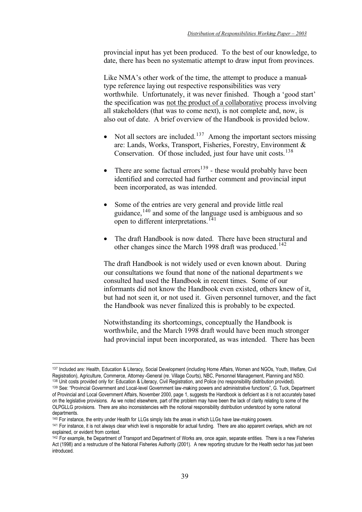provincial input has yet been produced. To the best of our knowledge, to date, there has been no systematic attempt to draw input from provinces.

Like NMA's other work of the time, the attempt to produce a manualtype reference laying out respective responsibilities was very worthwhile. Unfortunately, it was never finished. Though a 'good start' the specification was not the product of a collaborative process involving all stakeholders (that was to come next), is not complete and, now, is also out of date. A brief overview of the Handbook is provided below.

- Not all sectors are included.<sup>137</sup> Among the important sectors missing are: Lands, Works, Transport, Fisheries, Forestry, Environment & Conservation. Of those included, just four have unit costs.<sup>138</sup>
- There are some factual errors<sup>139</sup> these would probably have been identified and corrected had further comment and provincial input been incorporated, as was intended.
- Some of the entries are very general and provide little real guidance,140 and some of the language used is ambiguous and so open to different interpretations.<sup> $141$ </sup>
- The draft Handbook is now dated. There have been structural and other changes since the March 1998 draft was produced.<sup>142</sup>

The draft Handbook is not widely used or even known about. During our consultations we found that none of the national departments we consulted had used the Handbook in recent times. Some of our informants did not know the Handbook even existed, others knew of it, but had not seen it, or not used it. Given personnel turnover, and the fact the Handbook was never finalized this is probably to be expected.

Notwithstanding its shortcomings, conceptually the Handbook is worthwhile, and the March 1998 draft would have been much stronger had provincial input been incorporated, as was intended. There has been

<sup>137</sup> Included are: Health, Education & Literacy, Social Development (including Home Affairs, Women and NGOs, Youth, Welfare, Civil Registration), Agriculture, Commerce, Attorney -General (re. Village Courts), NBC, Personnel Management, Planning and NSO. 138 Unit costs provided only for: Education & Literacy, Civil Registration, and Police (no responsibility distribution provided).

<sup>139</sup> See: "Provincial Government and Local-level Government law-making powers and administrative functions", G. Tuck, Department of Provincial and Local Government Affairs, November 2000, page 1, suggests the Handbook is deficient as it is not accurately based on the legislative provisions. As we noted elsewhere, part of the problem may have been the lack of clarity relating to some of the OLPGLLG provisions. There are also inconsistencies with the notional responsibility distribution understood by some national departments.

<sup>&</sup>lt;sup>140</sup> For instance, the entry under Health for LLGs simply lists the areas in which LLGs have law-making powers.<br><sup>141</sup> For instance, it is not always clear which level is responsible for actual funding. There are also appa

explained, or evident from context.

<sup>&</sup>lt;sup>142</sup> For example, the Department of Transport and Department of Works are, once again, separate entities. There is a new Fisheries Act (1998) and a restructure of the National Fisheries Authority (2001). A new reporting structure for the Health sector has just been introduced.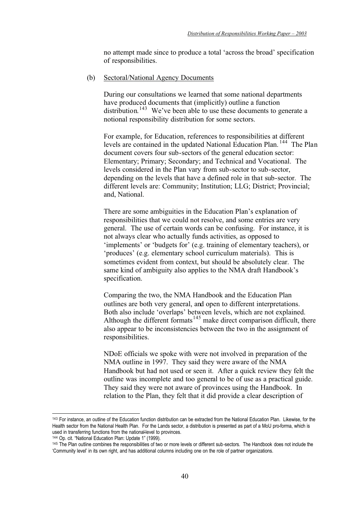no attempt made since to produce a total 'across the broad' specification of responsibilities.

(b) Sectoral/National Agency Documents

During our consultations we learned that some national departments have produced documents that (implicitly) outline a function distribution.<sup>143</sup> We've been able to use these documents to generate a notional responsibility distribution for some sectors.

For example, for Education, references to responsibilities at different levels are contained in the updated National Education Plan. <sup>144</sup> The Plan document covers four sub-sectors of the general education sector: Elementary; Primary; Secondary; and Technical and Vocational. The levels considered in the Plan vary from sub-sector to sub-sector, depending on the levels that have a defined role in that sub-sector. The different levels are: Community; Institution; LLG; District; Provincial; and, National.

There are some ambiguities in the Education Plan's explanation of responsibilities that we could not resolve, and some entries are very general. The use of certain words can be confusing. For instance, it is not always clear who actually funds activities, as opposed to 'implements' or 'budgets for' (e.g. training of elementary teachers), or 'produces' (e.g. elementary school curriculum materials). This is sometimes evident from context, but should be absolutely clear. The same kind of ambiguity also applies to the NMA draft Handbook's specification.

Comparing the two, the NMA Handbook and the Education Plan outlines are both very general, and open to different interpretations. Both also include 'overlaps' between levels, which are not explained. Although the different formats<sup>145</sup> make direct comparison difficult, there also appear to be inconsistencies between the two in the assignment of responsibilities.

NDoE officials we spoke with were not involved in preparation of the NMA outline in 1997. They said they were aware of the NMA Handbook but had not used or seen it. After a quick review they felt the outline was incomplete and too general to be of use as a practical guide. They said they were not aware of provinces using the Handbook. In relation to the Plan, they felt that it did provide a clear description of

<sup>&</sup>lt;sup>143</sup> For instance, an outline of the Education function distribution can be extracted from the National Education Plan. Likewise, for the Health sector from the National Health Plan. For the Lands sector, a distribution is presented as part of a MoU pro-forma, which is used in transferring functions from the national-level to provinces.

<sup>144</sup> Op. cit. "National Education Plan: Update 1" (1999).

<sup>145</sup> The Plan outline combines the responsibilities of two or more levels or different sub-sectors. The Handbook does not include the 'Community level' in its own right, and has additional columns including one on the role of partner organizations.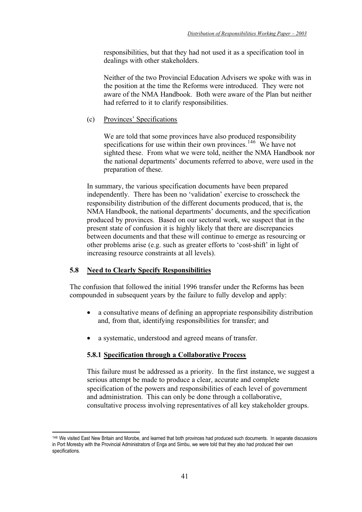responsibilities, but that they had not used it as a specification tool in dealings with other stakeholders.

Neither of the two Provincial Education Advisers we spoke with was in the position at the time the Reforms were introduced. They were not aware of the NMA Handbook. Both were aware of the Plan but neither had referred to it to clarify responsibilities.

### (c) Provinces' Specifications

We are told that some provinces have also produced responsibility specifications for use within their own provinces.<sup>146</sup> We have not sighted these. From what we were told, neither the NMA Handbook nor the national departments' documents referred to above, were used in the preparation of these.

In summary, the various specification documents have been prepared independently. There has been no 'validation' exercise to crosscheck the responsibility distribution of the different documents produced, that is, the NMA Handbook, the national departments' documents, and the specification produced by provinces. Based on our sectoral work, we suspect that in the present state of confusion it is highly likely that there are discrepancies between documents and that these will continue to emerge as resourcing or other problems arise (e.g. such as greater efforts to 'cost-shift' in light of increasing resource constraints at all levels).

# **5.8 Need to Clearly Specify Responsibilities**

The confusion that followed the initial 1996 transfer under the Reforms has been compounded in subsequent years by the failure to fully develop and apply:

- a consultative means of defining an appropriate responsibility distribution and, from that, identifying responsibilities for transfer; and
- a systematic, understood and agreed means of transfer.

# **5.8.1 Specification through a Collaborative Process**

This failure must be addressed as a priority. In the first instance, we suggest a serious attempt be made to produce a clear, accurate and complete specification of the powers and responsibilities of each level of government and administration. This can only be done through a collaborative, consultative process involving representatives of all key stakeholder groups.

<sup>146</sup> We visited East New Britain and Morobe, and learned that both provinces had produced such documents. In separate discussions in Port Moresby with the Provincial Administrators of Enga and Simbu, we were told that they also had produced their own specifications.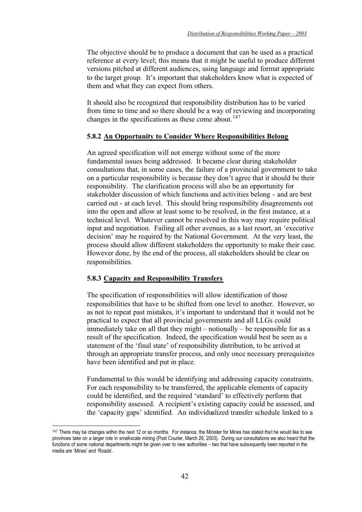The objective should be to produce a document that can be used as a practical reference at every level; this means that it might be useful to produce different versions pitched at different audiences, using language and format appropriate to the target group. It's important that stakeholders know what is expected of them and what they can expect from others.

It should also be recognized that responsibility distribution has to be varied from time to time and so there should be a way of reviewing and incorporating changes in the specifications as these come about.<sup>147</sup>

# **5.8.2 An Opportunity to Consider Where Responsibilities Belong**

An agreed specification will not emerge without some of the more fundamental issues being addressed. It became clear during stakeholder consultations that, in some cases, the failure of a provincial government to take on a particular responsibility is because they don't agree that it should be their responsibility. The clarification process will also be an opportunity for stakeholder discussion of which functions and activities belong - and are best carried out - at each level. This should bring responsibility disagreements out into the open and allow at least some to be resolved, in the first instance, at a technical level. Whatever cannot be resolved in this way may require political input and negotiation. Failing all other avenues, as a last resort, an 'executive decision' may be required by the National Government. At the very least, the process should allow different stakeholders the opportunity to make their case. However done, by the end of the process, all stakeholders should be clear on responsibilities.

#### **5.8.3 Capacity and Responsibility Transfers**

The specification of responsibilities will allow identification of those responsibilities that have to be shifted from one level to another. However, so as not to repeat past mistakes, it's important to understand that it would not be practical to expect that all provincial governments and all LLGs could immediately take on all that they might – notionally – be responsible for as a result of the specification. Indeed, the specification would best be seen as a statement of the 'final state' of responsibility distribution, to be arrived at through an appropriate transfer process, and only once necessary prerequisites have been identified and put in place.

Fundamental to this would be identifying and addressing capacity constraints. For each responsibility to be transferred, the applicable elements of capacity could be identified, and the required 'standard' to effectively perform that responsibility assessed. A recipient's existing capacity could be assessed, and the 'capacity gaps' identified. An individualized transfer schedule linked to a

<sup>&</sup>lt;sup>147</sup> There may be changes within the next 12 or so months. For instance, the Minister for Mines has stated that he would like to see provinces take on a larger role in small-scale mining (Post Courier, March 26, 2003). During our consultations we also heard that the functions of some national departments might be given over to new authorities – two that have subsequently been reported in the media are 'Mines' and 'Roads'.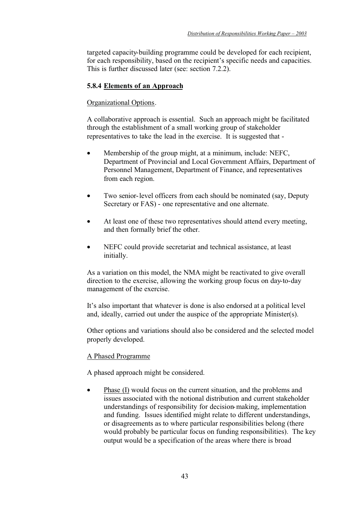targeted capacity-building programme could be developed for each recipient, for each responsibility, based on the recipient's specific needs and capacities. This is further discussed later (see: section 7.2.2).

# **5.8.4 Elements of an Approach**

# Organizational Options.

A collaborative approach is essential. Such an approach might be facilitated through the establishment of a small working group of stakeholder representatives to take the lead in the exercise. It is suggested that -

- Membership of the group might, at a minimum, include: NEFC, Department of Provincial and Local Government Affairs, Department of Personnel Management, Department of Finance, and representatives from each region.
- Two senior-level officers from each should be nominated (say, Deputy Secretary or FAS) - one representative and one alternate.
- At least one of these two representatives should attend every meeting, and then formally brief the other.
- NEFC could provide secretariat and technical assistance, at least initially.

As a variation on this model, the NMA might be reactivated to give overall direction to the exercise, allowing the working group focus on day-to-day management of the exercise.

It's also important that whatever is done is also endorsed at a political level and, ideally, carried out under the auspice of the appropriate Minister(s).

Other options and variations should also be considered and the selected model properly developed.

# A Phased Programme

A phased approach might be considered.

• Phase (I) would focus on the current situation, and the problems and issues associated with the notional distribution and current stakeholder understandings of responsibility for decision-making, implementation and funding. Issues identified might relate to different understandings, or disagreements as to where particular responsibilities belong (there would probably be particular focus on funding responsibilities). The key output would be a specification of the areas where there is broad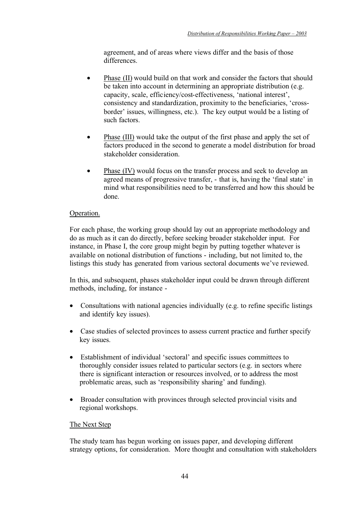agreement, and of areas where views differ and the basis of those differences.

- Phase *(II)* would build on that work and consider the factors that should be taken into account in determining an appropriate distribution (e.g. capacity, scale, efficiency/cost-effectiveness, 'national interest', consistency and standardization, proximity to the beneficiaries, 'crossborder' issues, willingness, etc.). The key output would be a listing of such factors.
- Phase *(III)* would take the output of the first phase and apply the set of factors produced in the second to generate a model distribution for broad stakeholder consideration.
- Phase (IV) would focus on the transfer process and seek to develop an agreed means of progressive transfer, - that is, having the 'final state' in mind what responsibilities need to be transferred and how this should be done.

# Operation.

For each phase, the working group should lay out an appropriate methodology and do as much as it can do directly, before seeking broader stakeholder input. For instance, in Phase I, the core group might begin by putting together whatever is available on notional distribution of functions - including, but not limited to, the listings this study has generated from various sectoral documents we've reviewed.

In this, and subsequent, phases stakeholder input could be drawn through different methods, including, for instance -

- Consultations with national agencies individually (e.g. to refine specific listings and identify key issues).
- Case studies of selected provinces to assess current practice and further specify key issues.
- Establishment of individual 'sectoral' and specific issues committees to thoroughly consider issues related to particular sectors (e.g. in sectors where there is significant interaction or resources involved, or to address the most problematic areas, such as 'responsibility sharing' and funding).
- Broader consultation with provinces through selected provincial visits and regional workshops.

# The Next Step

The study team has begun working on issues paper, and developing different strategy options, for consideration. More thought and consultation with stakeholders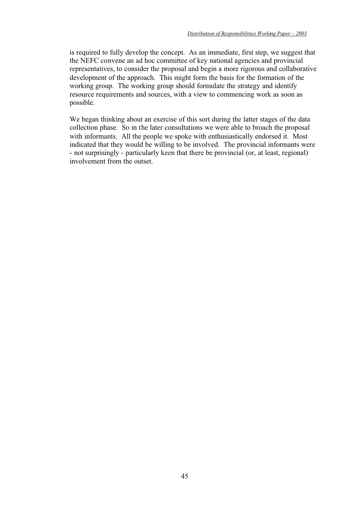is required to fully develop the concept. As an immediate, first step, we suggest that the NEFC convene an ad hoc committee of key national agencies and provincial representatives, to consider the proposal and begin a more rigorous and collaborative development of the approach. This might form the basis for the formation of the working group. The working group should formulate the strategy and identify resource requirements and sources, with a view to commencing work as soon as possible.

We began thinking about an exercise of this sort during the latter stages of the data collection phase. So in the later consultations we were able to broach the proposal with informants. All the people we spoke with enthusiastically endorsed it. Most indicated that they would be willing to be involved. The provincial informants were - not surprisingly - particularly keen that there be provincial (or, at least, regional) involvement from the outset.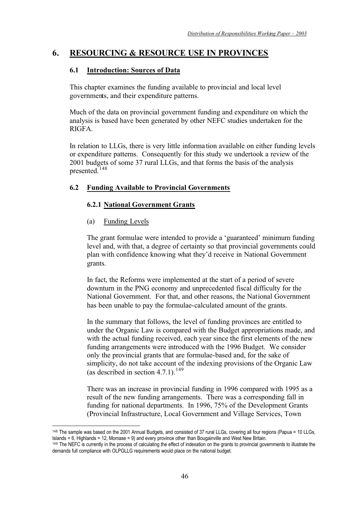# **6. RESOURCING & RESOURCE USE IN PROVINCES**

# **6.1 Introduction: Sources of Data**

This chapter examines the funding available to provincial and local level governments, and their expenditure patterns.

Much of the data on provincial government funding and expenditure on which the analysis is based have been generated by other NEFC studies undertaken for the RIGFA.

In relation to LLGs, there is very little information available on either funding levels or expenditure patterns. Consequently for this study we undertook a review of the 2001 budgets of some 37 rural LLGs, and that forms the basis of the analysis presented.<sup>148</sup>

# **6.2 Funding Available to Provincial Governments**

# **6.2.1 National Government Grants**

# (a) Funding Levels

The grant formulae were intended to provide a 'guaranteed' minimum funding level and, with that, a degree of certainty so that provincial governments could plan with confidence knowing what they'd receive in National Government grants.

In fact, the Reforms were implemented at the start of a period of severe downturn in the PNG economy and unprecedented fiscal difficulty for the National Government. For that, and other reasons, the National Government has been unable to pay the formulae-calculated amount of the grants.

In the summary that follows, the level of funding provinces are entitled to under the Organic Law is compared with the Budget appropriations made, and with the actual funding received, each year since the first elements of the new funding arrangements were introduced with the 1996 Budget. We consider only the provincial grants that are formulae-based and, for the sake of simplicity, do not take account of the indexing provisions of the Organic Law (as described in section  $4.7.1$ ).<sup>149</sup>

There was an increase in provincial funding in 1996 compared with 1995 as a result of the new funding arrangements. There was a corresponding fall in funding for national departments. In 1996, 75% of the Development Grants (Provincial Infrastructure, Local Government and Village Services, Town

<sup>148</sup> The sample was based on the 2001 Annual Budgets, and consisted of 37 rural LLGs, covering all four regions (Papua = 10 LLGs, Islands = 6, Highlands = 12, Momase = 9) and every province other than Bougainville and West New Britain.

<sup>149</sup> The NEFC is currently in the process of calculating the effect of indexation on the grants to provincial governments to illustrate the demands full compliance with OLPGLLG requirements would place on the national budget.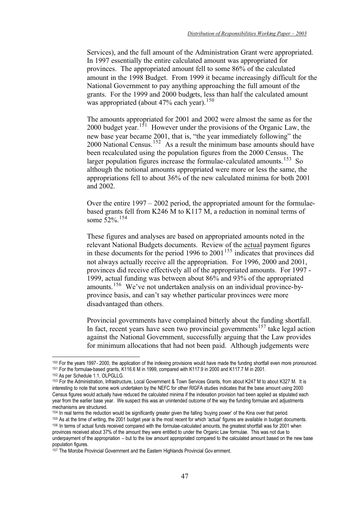Services), and the full amount of the Administration Grant were appropriated. In 1997 essentially the entire calculated amount was appropriated for provinces. The appropriated amount fell to some 86% of the calculated amount in the 1998 Budget. From 1999 it became increasingly difficult for the National Government to pay anything approaching the full amount of the grants. For the 1999 and 2000 budgets, less than half the calculated amount was appropriated (about  $47\%$  each year).<sup>150</sup>

The amounts appropriated for 2001 and 2002 were almost the same as for the 2000 budget year.<sup>151</sup> However under the provisions of the Organic Law, the new base year became 2001, that is, "the year immediately following" the 2000 National Census.<sup>152</sup> As a result the minimum base amounts should have been recalculated using the population figures from the 2000 Census. The larger population figures increase the formulae-calculated amounts.<sup>153</sup> So although the notional amounts appropriated were more or less the same, the appropriations fell to about 36% of the new calculated minima for both 2001 and 2002.

Over the entire  $1997 - 2002$  period, the appropriated amount for the formulaebased grants fell from K246 M to K117 M, a reduction in nominal terms of some 52%.<sup>154</sup>

These figures and analyses are based on appropriated amounts noted in the relevant National Budgets documents. Review of the actual payment figures in these documents for the period 1996 to 2001<sup>155</sup> indicates that provinces did not always actually receive all the appropriation. For 1996, 2000 and 2001, provinces did receive effectively all of the appropriated amounts. For 1997 - 1999, actual funding was between about 86% and 93% of the appropriated amounts.<sup>156</sup> We've not undertaken analysis on an individual province-byprovince basis, and can't say whether particular provinces were more disadvantaged than others.

Provincial governments have complained bitterly about the funding shortfall. In fact, recent years have seen two provincial governments<sup>157</sup> take legal action against the National Government, successfully arguing that the Law provides for minimum allocations that had not been paid. Although judgements were

155 As at the time of writing, the 2001 budget year is the most recent for which 'actual' figures are available in budget documents. 156 In terms of actual funds received compared with the formulae-calculated amounts, the greatest shortfall was for 2001 when provinces received about 37% of the amount they were entitled to under the Organic Law formulae. This was not due to underpayment of the appropriation – but to the low amount appropriated compared to the calculated amount based on the new base population figures.

<sup>150</sup> For the years 1997- 2000, the application of the indexing provisions would have made the funding shortfall even more pronounced. <sup>151</sup> For the formulae-based grants, K116.6 M in 1999, compared with K117.9 in 2000 and K117.7 M in 2001.<br><sup>152</sup> As per Schedule 1.1, OLPGLLG.

<sup>153</sup> For the Administration, Infrastructure, Local Government & Town Services Grants, from about K247 M to about K327 M. It is interesting to note that some work undertaken by the NEFC for other RIGFA studies indicates that the base amount using 2000 Census figures would actually have reduced the calculated minima if the indexation provision had been applied as stipulated each year from the earlier base year. We suspect this was an unintended outcome of the way the funding formulae and adjustments mechanisms are structured.<br>
<sup>154</sup> In real terms the reduction would be significantly greater given the falling 'buying power' of the Kina over that period.

<sup>&</sup>lt;sup>157</sup> The Morobe Provincial Government and the Eastern Highlands Provincial Gov ernment.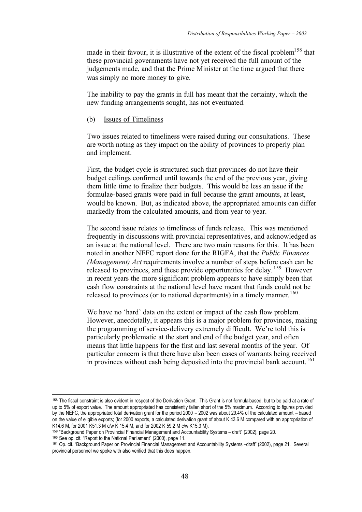made in their favour, it is illustrative of the extent of the fiscal problem<sup>158</sup> that these provincial governments have not yet received the full amount of the judgements made, and that the Prime Minister at the time argued that there was simply no more money to give.

The inability to pay the grants in full has meant that the certainty, which the new funding arrangements sought, has not eventuated.

(b) Issues of Timeliness

Two issues related to timeliness were raised during our consultations. These are worth noting as they impact on the ability of provinces to properly plan and implement.

First, the budget cycle is structured such that provinces do not have their budget ceilings confirmed until towards the end of the previous year, giving them little time to finalize their budgets. This would be less an issue if the formulae-based grants were paid in full because the grant amounts, at least, would be known. But, as indicated above, the appropriated amounts can differ markedly from the calculated amounts, and from year to year.

The second issue relates to timeliness of funds release. This was mentioned frequently in discussions with provincial representatives, and acknowledged as an issue at the national level. There are two main reasons for this. It has been noted in another NEFC report done for the RIGFA, that the *Public Finances (Management) Act* requirements involve a number of steps before cash can be released to provinces, and these provide opportunities for delay. 159 However in recent years the more significant problem appears to have simply been that cash flow constraints at the national level have meant that funds could not be released to provinces (or to national departments) in a timely manner.<sup>160</sup>

We have no 'hard' data on the extent or impact of the cash flow problem. However, anecdotally, it appears this is a major problem for provinces, making the programming of service-delivery extremely difficult. We're told this is particularly problematic at the start and end of the budget year, and often means that little happens for the first and last several months of the year. Of particular concern is that there have also been cases of warrants being received in provinces without cash being deposited into the provincial bank account.<sup>161</sup>

<sup>158</sup> The fiscal constraint is also evident in respect of the Derivation Grant. This Grant is not formula-based, but to be paid at a rate of up to 5% of export value. The amount appropriated has consistently fallen short of the 5% maximum. According to figures provided by the NEFC, the appropriated total derivation grant for the period 2000 – 2002 was about 29.4% of the calculated amount – based on the value of eligible exports; (for 2000 exports, a calculated derivation grant of about K 43.6 M compared with an appropriation of K14.6 M, for 2001 K51.3 M c/w K 15.4 M, and for 2002 K 59.2 M c/w K15.3 M).

<sup>&</sup>lt;sup>159</sup> "Background Paper on Provincial Financial Management and Accountability Systems – draft" (2002), page 20.<br><sup>160</sup> See op. cit. "Report to the National Parliament" (2000), page 11.

<sup>161</sup> Op. cit. "Background Paper on Provincial Financial Management and Accountability Systems –draft" (2002), page 21. Several provincial personnel we spoke with also verified that this does happen.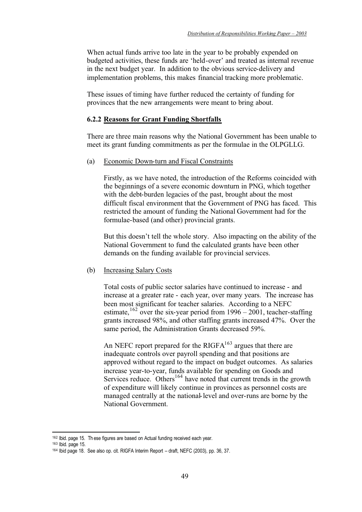When actual funds arrive too late in the year to be probably expended on budgeted activities, these funds are 'held-over' and treated as internal revenue in the next budget year. In addition to the obvious service-delivery and implementation problems, this makes financial tracking more problematic.

These issues of timing have further reduced the certainty of funding for provinces that the new arrangements were meant to bring about.

### **6.2.2 Reasons for Grant Funding Shortfalls**

There are three main reasons why the National Government has been unable to meet its grant funding commitments as per the formulae in the OLPGLLG.

(a) Economic Down-turn and Fiscal Constraints

Firstly, as we have noted, the introduction of the Reforms coincided with the beginnings of a severe economic downturn in PNG, which together with the debt-burden legacies of the past, brought about the most difficult fiscal environment that the Government of PNG has faced. This restricted the amount of funding the National Government had for the formulae-based (and other) provincial grants.

But this doesn't tell the whole story. Also impacting on the ability of the National Government to fund the calculated grants have been other demands on the funding available for provincial services.

#### (b) Increasing Salary Costs

Total costs of public sector salaries have continued to increase - and increase at a greater rate - each year, over many years. The increase has been most significant for teacher salaries. According to a NEFC estimate,  $162$  over the six-year period from 1996 – 2001, teacher-staffing grants increased 98%, and other staffing grants increased 47%. Over the same period, the Administration Grants decreased 59%.

An NEFC report prepared for the RIGF $A^{163}$  argues that there are inadequate controls over payroll spending and that positions are approved without regard to the impact on budget outcomes. As salaries increase year-to-year, funds available for spending on Goods and Services reduce. Others<sup>164</sup> have noted that current trends in the growth of expenditure will likely continue in provinces as personnel costs are managed centrally at the national-level and over-runs are borne by the National Government.

<sup>162</sup> Ibid. page 15. Th ese figures are based on Actual funding received each year.

<sup>163</sup> Ibid. page 15.

<sup>164</sup> Ibid page 18. See also op. cit. RIGFA Interim Report – draft, NEFC (2003), pp. 36, 37.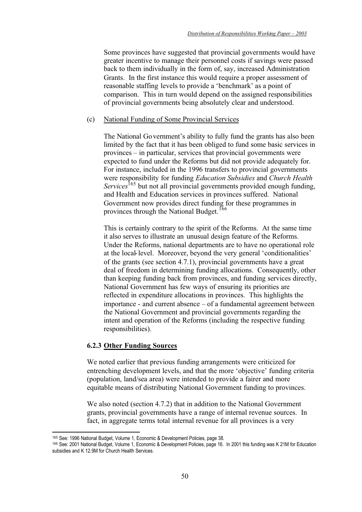Some provinces have suggested that provincial governments would have greater incentive to manage their personnel costs if savings were passed back to them individually in the form of, say, increased Administration Grants. In the first instance this would require a proper assessment of reasonable staffing levels to provide a 'benchmark' as a point of comparison. This in turn would depend on the assigned responsibilities of provincial governments being absolutely clear and understood.

### (c) National Funding of Some Provincial Services

The National Government's ability to fully fund the grants has also been limited by the fact that it has been obliged to fund some basic services in provinces – in particular, services that provincial governments were expected to fund under the Reforms but did not provide adequately for. For instance, included in the 1996 transfers to provincial governments were responsibility for funding *Education Subsidies* and *Church Health Services*<sup>165</sup> but not all provincial governments provided enough funding, and Health and Education services in provinces suffered. National Government now provides direct funding for these programmes in provinces through the National Budget.<sup>166</sup>

This is certainly contrary to the spirit of the Reforms. At the same time it also serves to illustrate an unusual design feature of the Reforms. Under the Reforms, national departments are to have no operational role at the local-level. Moreover, beyond the very general 'conditionalities' of the grants (see section 4.7.1), provincial governments have a great deal of freedom in determining funding allocations. Consequently, other than keeping funding back from provinces, and funding services directly, National Government has few ways of ensuring its priorities are reflected in expenditure allocations in provinces. This highlights the importance - and current absence – of a fundamental agreement between the National Government and provincial governments regarding the intent and operation of the Reforms (including the respective funding responsibilities).

### **6.2.3 Other Funding Sources**

We noted earlier that previous funding arrangements were criticized for entrenching development levels, and that the more 'objective' funding criteria (population, land/sea area) were intended to provide a fairer and more equitable means of distributing National Government funding to provinces.

We also noted (section 4.7.2) that in addition to the National Government grants, provincial governments have a range of internal revenue sources. In fact, in aggregate terms total internal revenue for all provinces is a very

<sup>165</sup> See: 1996 National Budget, Volume 1, Economic & Development Policies, page 38.

<sup>166</sup> See: 2001 National Budget, Volume 1, Economic & Development Policies, page 16. In 2001 this funding was K 21M for Education subsidies and K 12.9M for Church Health Services.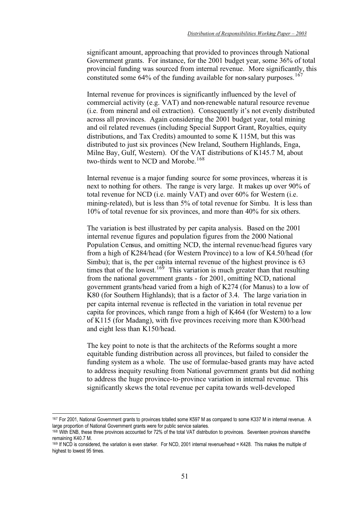significant amount, approaching that provided to provinces through National Government grants. For instance, for the 2001 budget year, some 36% of total provincial funding was sourced from internal revenue. More significantly, this constituted some  $64\%$  of the funding available for non-salary purposes.<sup>167</sup>

Internal revenue for provinces is significantly influenced by the level of commercial activity (e.g. VAT) and non-renewable natural resource revenue (i.e. from mineral and oil extraction). Consequently it's not evenly distributed across all provinces. Again considering the 2001 budget year, total mining and oil related revenues (including Special Support Grant, Royalties, equity distributions, and Tax Credits) amounted to some K 115M, but this was distributed to just six provinces (New Ireland, Southern Highlands, Enga, Milne Bay, Gulf, Western). Of the VAT distributions of K145.7 M, about two-thirds went to NCD and Morobe.<sup>168</sup>

Internal revenue is a major funding source for some provinces, whereas it is next to nothing for others. The range is very large. It makes up over 90% of total revenue for NCD (i.e. mainly VAT) and over 60% for Western (i.e. mining-related), but is less than 5% of total revenue for Simbu. It is less than 10% of total revenue for six provinces, and more than 40% for six others.

The variation is best illustrated by per capita analysis. Based on the 2001 internal revenue figures and population figures from the 2000 National Population Census, and omitting NCD, the internal revenue/head figures vary from a high of K284/head (for Western Province) to a low of K4.50/head (for Simbu); that is, the per capita internal revenue of the highest province is 63 times that of the lowest.<sup>169</sup> This variation is much greater than that resulting from the national government grants - for 2001, omitting NCD, national government grants/head varied from a high of K274 (for Manus) to a low of K80 (for Southern Highlands); that is a factor of 3.4. The large variation in per capita internal revenue is reflected in the variation in total revenue per capita for provinces, which range from a high of K464 (for Western) to a low of K115 (for Madang), with five provinces receiving more than K300/head and eight less than K150/head.

The key point to note is that the architects of the Reforms sought a more equitable funding distribution across all provinces, but failed to consider the funding system as a whole. The use of formulae-based grants may have acted to address inequity resulting from National government grants but did nothing to address the huge province-to-province variation in internal revenue. This significantly skews the total revenue per capita towards well-developed

<sup>167</sup> For 2001, National Government grants to provinces totalled some K597 M as compared to some K337 M in internal revenue. A large proportion of National Government grants were for public service salaries.

<sup>168</sup> With ENB, these three provinces accounted for 72% of the total VAT distribution to provinces. Seventeen provinces shared the remaining K40.7 M.

<sup>169</sup> If NCD is considered, the variation is even starker. For NCD, 2001 internal revenue/head = K428. This makes the multiple of highest to lowest 95 times.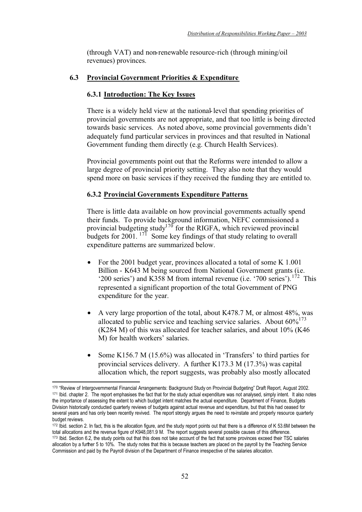(through VAT) and non-renewable resource-rich (through mining/oil revenues) provinces.

### **6.3 Provincial Government Priorities & Expenditure**

### **6.3.1 Introduction: The Key Issues**

There is a widely held view at the national-level that spending priorities of provincial governments are not appropriate, and that too little is being directed towards basic services. As noted above, some provincial governments didn't adequately fund particular services in provinces and that resulted in National Government funding them directly (e.g. Church Health Services).

Provincial governments point out that the Reforms were intended to allow a large degree of provincial priority setting. They also note that they would spend more on basic services if they received the funding they are entitled to.

### **6.3.2 Provincial Governments Expenditure Patterns**

There is little data available on how provincial governments actually spend their funds. To provide background information, NEFC commissioned a provincial budgeting study<sup>170</sup> for the RIGFA, which reviewed provincial budgets for 2001.  $17\overline{1}$  Some key findings of that study relating to overall expenditure patterns are summarized below.

- For the 2001 budget year, provinces allocated a total of some K 1.001 Billion - K643 M being sourced from National Government grants (i.e. '200 series') and K358 M from internal revenue (i.e. '700 series').<sup>172</sup> This represented a significant proportion of the total Government of PNG expenditure for the year.
- A very large proportion of the total, about K478.7 M, or almost 48%, was allocated to public service and teaching service salaries. About  $60\%^{173}$ (K284 M) of this was allocated for teacher salaries, and about 10% (K46 M) for health workers' salaries.
- Some K156.7 M (15.6%) was allocated in 'Transfers' to third parties for provincial services delivery. A further K173.3 M (17.3%) was capital allocation which, the report suggests, was probably also mostly allocated

<sup>170 &</sup>quot;Review of Intergovernmental Financial Arrangements: Background Study on Provincial Budgeting" Draft Report, August 2002. <sup>171</sup> Ibid, chapter 2. The report emphasises the fact that for the study actual expenditure was not analysed, simply intent. It also notes the importance of assessing the extent to which budget intent matches the actual expenditure. Department of Finance, Budgets Division historically conducted quarterly reviews of budgets against actual revenue and expenditure, but that this had ceased for several years and has only been recently revived. The report strongly argues the need to re-instate and properly resource quarterly budget reviews.

<sup>172</sup> Ibid. section 2. In fact, this is the allocation figure, and the study report points out that there is a difference of K 53.6M between the total allocations and the revenue figure of K948,081.9 M. The report suggests several possible causes of this difference. 173 Ibid. Section 6.2, the study points out that this does not take account of the fact that some provinces exceed their TSC salaries allocation by a further 5 to 10%. The study notes that this is because teachers are placed on the payroll by the Teaching Service Commission and paid by the Payroll division of the Department of Finance irrespective of the salaries allocation.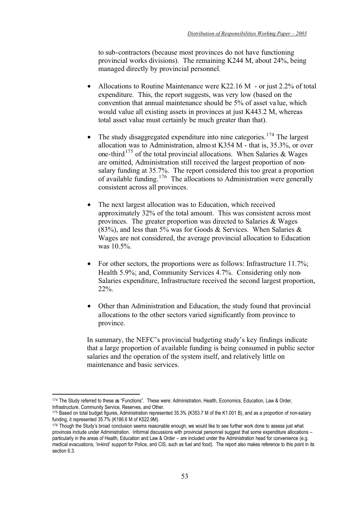to sub-contractors (because most provinces do not have functioning provincial works divisions). The remaining K244 M, about 24%, being managed directly by provincial personnel.

- Allocations to Routine Maintenance were K22.16 M or just 2.2% of total expenditure. This, the report suggests, was very low (based on the convention that annual maintenance should be 5% of asset value, which would value all existing assets in provinces at just K443.2 M, whereas total asset value must certainly be much greater than that).
- The study disaggregated expenditure into nine categories.<sup>174</sup> The largest allocation was to Administration, almost K354 M - that is,  $35.3\%$ , or over one-third<sup>175</sup> of the total provincial allocations. When Salaries  $\&$  Wages are omitted, Administration still received the largest proportion of nonsalary funding at 35.7%. The report considered this too great a proportion of available funding.176 The allocations to Administration were generally consistent across all provinces.
- The next largest allocation was to Education, which received approximately 32% of the total amount. This was consistent across most provinces. The greater proportion was directed to Salaries & Wages  $(83%)$ , and less than 5% was for Goods & Services. When Salaries & Wages are not considered, the average provincial allocation to Education was 10.5%.
- For other sectors, the proportions were as follows: Infrastructure 11.7%; Health 5.9%; and, Community Services 4.7%. Considering only non-Salaries expenditure, Infrastructure received the second largest proportion, 22%.
- Other than Administration and Education, the study found that provincial allocations to the other sectors varied significantly from province to province.

In summary, the NEFC's provincial budgeting study's key findings indicate that a large proportion of available funding is being consumed in public sector salaries and the operation of the system itself, and relatively little on maintenance and basic services.

<sup>174</sup> The Study referred to these as "Functions". These were: Administration, Health, Economics, Education, Law & Order, Infrastructure, Community Service, Reserves, and Other.

<sup>175</sup> Based on total budget figures, Administration represented 35.3% (K353.7 M of the K1.001 B), and as a proportion of non-salary funding, it represented 35.7% (K186.6 M of K522.9M).

<sup>176</sup> Though the Study's broad conclusion seems reasonable enough, we would like to see further work done to assess just what provinces include under Administration. Informal discussions with provincial personnel suggest that some expenditure allocations – particularly in the areas of Health, Education and Law & Order – are included under the Administration head for convenience (e.g. medical evacuations, 'in-kind' support for Police, and CIS, such as fuel and food). The report also makes reference to this point in its section 6.3.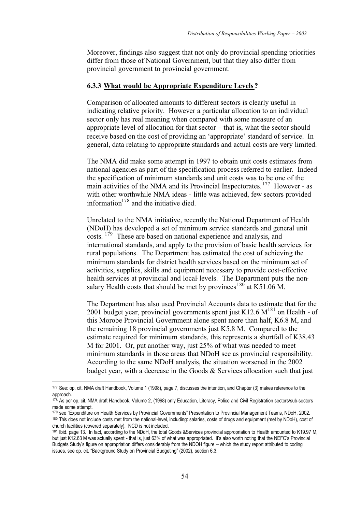Moreover, findings also suggest that not only do provincial spending priorities differ from those of National Government, but that they also differ from provincial government to provincial government.

### **6.3.3 What would be Appropriate Expenditure Levels?**

Comparison of allocated amounts to different sectors is clearly useful in indicating relative priority. However a particular allocation to an individual sector only has real meaning when compared with some measure of an appropriate level of allocation for that sector – that is, what the sector should receive based on the cost of providing an 'appropriate' standard of service. In general, data relating to appropriate standards and actual costs are very limited.

The NMA did make some attempt in 1997 to obtain unit costs estimates from national agencies as part of the specification process referred to earlier. Indeed the specification of minimum standards and unit costs was to be one of the main activities of the NMA and its Provincial Inspectorates.<sup>177</sup> However - as with other worthwhile NMA ideas - little was achieved, few sectors provided information $178$  and the initiative died.

Unrelated to the NMA initiative, recently the National Department of Health (NDoH) has developed a set of minimum service standards and general unit costs. <sup>179</sup> These are based on national experience and analysis, and international standards, and apply to the provision of basic health services for rural populations. The Department has estimated the cost of achieving the minimum standards for district health services based on the minimum set of activities, supplies, skills and equipment necessary to provide cost-effective health services at provincial and local-levels. The Department puts the nonsalary Health costs that should be met by provinces<sup>180</sup> at K51.06 M.

The Department has also used Provincial Accounts data to estimate that for the 2001 budget year, provincial governments spent just K12.6  $M^{181}$  on Health - of this Morobe Provincial Government alone spent more than half, K6.8 M, and the remaining 18 provincial governments just K5.8 M. Compared to the estimate required for minimum standards, this represents a shortfall of K38.43 M for 2001. Or, put another way, just 25% of what was needed to meet minimum standards in those areas that NDoH see as provincial responsibility. According to the same NDoH analysis, the situation worsened in the 2002 budget year, with a decrease in the Goods  $\&$  Services allocation such that just

<sup>177</sup> See: op. cit. NMA draft Handbook, Volume 1 (1998), page 7, discusses the intention, and Chapter (3) makes reference to the approach.

<sup>178</sup> As per op. cit. NMA draft Handbook, Volume 2, (1998) only Education, Literacy, Police and Civil Registration sectors/sub-sectors made some attempt.

<sup>179</sup> see "Expenditure on Health Services by Provincial Governments" Presentation to Provincial Management Teams, NDoH, 2002. 180 This does not include costs met from the national-level, including: salaries, costs of drugs and equipment (met by NDoH), cost of church facilities (covered separately). NCD is not included.

<sup>181</sup> Ibid. page 13. In fact, according to the NDoH, the total Goods &Services provincial appropriation to Health amounted to K19.97 M, but just K12.63 M was actually spent - that is, just 63% of what was appropriated. It's also worth noting that the NEFC's Provincial Budgets Study's figure on appropriation differs considerably from the NDOH figure – which the study report attributed to coding issues, see op. cit. "Background Study on Provincial Budgeting" (2002), section 6.3.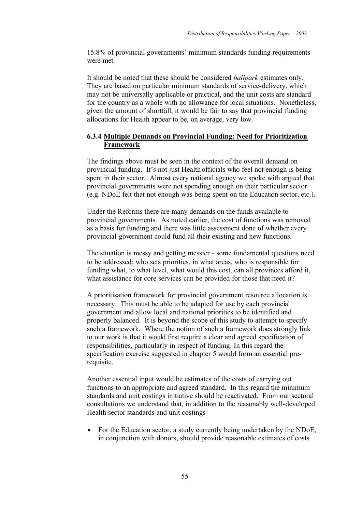15.8% of provincial governments' minimum standards funding requirements were met.

It should be noted that these should be considered *ballpark* estimates only. They are based on particular minimum standards of service-delivery, which may not be universally applicable or practical, and the unit costs are standard for the country as a whole with no allowance for local situations. Nonetheless, given the amount of shortfall, it would be fair to say that provincial funding allocations for Health appear to be, on average, very low.

# **6.3.4 Multiple Demands on Provincial Funding: Need for Prioritization Framework**

The findings above must be seen in the context of the overall demand on provincial funding. It's not just Health officials who feel not enough is being spent in their sector. Almost every national agency we spoke with argued that provincial governments were not spending enough on their particular sector (e.g. NDoE felt that not enough was being spent on the Education sector, etc.).

Under the Reforms there are many demands on the funds available to provincial governments. As noted earlier, the cost of functions was removed as a basis for funding and there was little assessment done of whether every provincial government could fund all their existing and new functions.

The situation is messy and getting messier - some fundamental questions need to be addressed: who sets priorities, in what areas, who is responsible for funding what, to what level, what would this cost, can all provinces afford it, what assistance for core services can be provided for those that need it?

A prioritisation framework for provincial government resource allocation is necessary. This must be able to be adapted for use by each provincial government and allow local and national priorities to be identified and properly balanced. It is beyond the scope of this study to attempt to specify such a framework. Where the notion of such a framework does strongly link to our work is that it would first require a clear and agreed specification of responsibilities, particularly in respect of funding. In this regard the specification exercise suggested in chapter 5 would form an essential prerequisite.

Another essential input would be estimates of the costs of carrying out functions to an appropriate and agreed standard. In this regard the minimum standards and unit costings initiative should be reactivated. From our sectoral consultations we understand that, in addition to the reasonably well-developed Health sector standards and unit costings –

• For the Education sector, a study currently being undertaken by the NDoE, in conjunction with donors, should provide reasonable estimates of costs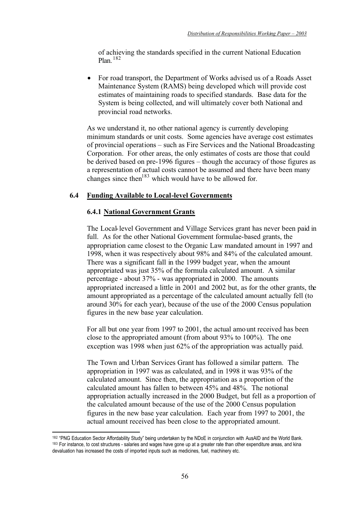of achieving the standards specified in the current National Education Plan. <sup>182</sup>

• For road transport, the Department of Works advised us of a Roads Asset Maintenance System (RAMS) being developed which will provide cost estimates of maintaining roads to specified standards. Base data for the System is being collected, and will ultimately cover both National and provincial road networks.

As we understand it, no other national agency is currently developing minimum standards or unit costs. Some agencies have average cost estimates of provincial operations – such as Fire Services and the National Broadcasting Corporation. For other areas, the only estimates of costs are those that could be derived based on pre-1996 figures – though the accuracy of those figures as a representation of actual costs cannot be assumed and there have been many changes since then<sup>183</sup> which would have to be allowed for.

# **6.4 Funding Available to Local-level Governments**

### **6.4.1 National Government Grants**

The Local-level Government and Village Services grant has never been paid in full. As for the other National Government formulae-based grants, the appropriation came closest to the Organic Law mandated amount in 1997 and 1998, when it was respectively about 98% and 84% of the calculated amount. There was a significant fall in the 1999 budget year, when the amount appropriated was just 35% of the formula calculated amount. A similar percentage - about 37% - was appropriated in 2000. The amounts appropriated increased a little in 2001 and 2002 but, as for the other grants, the amount appropriated as a percentage of the calculated amount actually fell (to around 30% for each year), because of the use of the 2000 Census population figures in the new base year calculation.

For all but one year from 1997 to 2001, the actual amount received has been close to the appropriated amount (from about 93% to 100%). The one exception was 1998 when just 62% of the appropriation was actually paid.

The Town and Urban Services Grant has followed a similar pattern. The appropriation in 1997 was as calculated, and in 1998 it was 93% of the calculated amount. Since then, the appropriation as a proportion of the calculated amount has fallen to between 45% and 48%. The notional appropriation actually increased in the 2000 Budget, but fell as a proportion of the calculated amount because of the use of the 2000 Census population figures in the new base year calculation. Each year from 1997 to 2001, the actual amount received has been close to the appropriated amount.

<sup>&</sup>lt;sup>182</sup> "PNG Education Sector Affordability Study" being undertaken by the NDoE in conjunction with AusAID and the World Bank.<br><sup>183</sup> For instance, to cost structures - salaries and wages have gone up at a greater rate than o devaluation has increased the costs of imported inputs such as medicines, fuel, machinery etc.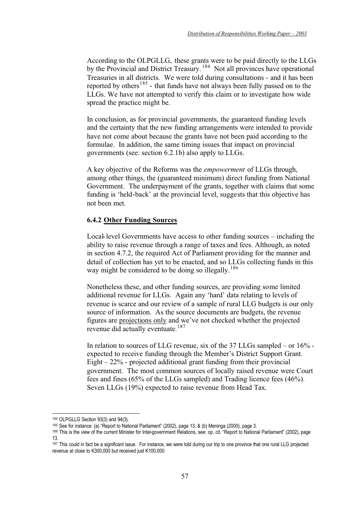According to the OLPGLLG, these grants were to be paid directly to the LLGs by the Provincial and District Treasury.<sup>184</sup> Not all provinces have operational Treasuries in all districts. We were told during consultations - and it has been reported by others<sup>185</sup> - that funds have not always been fully passed on to the LLGs. We have not attempted to verify this claim or to investigate how wide spread the practice might be.

In conclusion, as for provincial governments, the guaranteed funding levels and the certainty that the new funding arrangements were intended to provide have not come about because the grants have not been paid according to the formulae. In addition, the same timing issues that impact on provincial governments (see: section 6.2.1b) also apply to LLGs.

A key objective of the Reforms was the *empowerment* of LLGs through, among other things, the (guaranteed minimum) direct funding from National Government. The underpayment of the grants, together with claims that some funding is 'held-back' at the provincial level, suggests that this objective has not been met.

# **6.4.2 Other Funding Sources**

Local-level Governments have access to other funding sources – including the ability to raise revenue through a range of taxes and fees. Although, as noted in section 4.7.2, the required Act of Parliament providing for the manner and detail of collection has yet to be enacted, and so LLGs collecting funds in this way might be considered to be doing so illegally.<sup>186</sup>

Nonetheless these, and other funding sources, are providing some limited additional revenue for LLGs. Again any 'hard' data relating to levels of revenue is scarce and our review of a sample of rural LLG budgets is our only source of information. As the source documents are budgets, the revenue figures are projections only and we've not checked whether the projected revenue did actually eventuate.<sup>187</sup>

In relation to sources of LLG revenue, six of the 37 LLGs sampled – or 16% expected to receive funding through the Member's District Support Grant. Eight – 22% - projected additional grant funding from their provincial government. The most common sources of locally raised revenue were Court fees and fines (65% of the LLGs sampled) and Trading licence fees (46%). Seven LLGs (19%) expected to raise revenue from Head Tax.

<sup>184</sup> OLPGLLG Section 93(3) and 94(3).

<sup>185</sup> See for instance: (a) "Report to National Parliament" (2002), page 13; & (b) Meninga (2000), page 3.

<sup>186</sup> This is the view of the current Minister for Inter-government Relations, see: op. cit. "Report to National Parliament" (2002), page 13.

<sup>187</sup> This could in fact be a significant issue. For instance, we were told during our trip to one province that one rural LLG projected revenue at close to K300,000 but received just K100,000.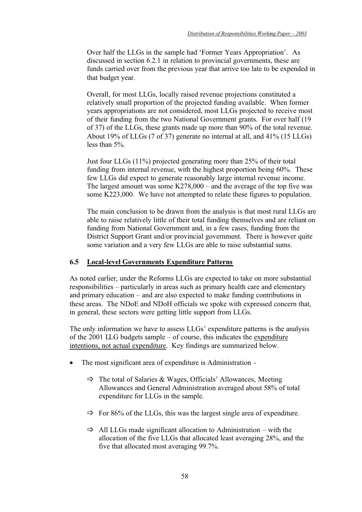Over half the LLGs in the sample had 'Former Years Appropriation'. As discussed in section 6.2.1 in relation to provincial governments, these are funds carried over from the previous year that arrive too late to be expended in that budget year.

Overall, for most LLGs, locally raised revenue projections constituted a relatively small proportion of the projected funding available. When former years appropriations are not considered, most LLGs projected to receive most of their funding from the two National Government grants. For over half (19 of 37) of the LLGs, these grants made up more than 90% of the total revenue. About 19% of LLGs (7 of 37) generate no internal at all, and 41% (15 LLGs) less than 5%.

Just four LLGs (11%) projected generating more than 25% of their total funding from internal revenue, with the highest proportion being 60%. These few LLGs did expect to generate reasonably large internal revenue income. The largest amount was some K278,000 – and the average of the top five was some K223,000. We have not attempted to relate these figures to population.

The main conclusion to be drawn from the analysis is that most rural LLGs are able to raise relatively little of their total funding themselves and are reliant on funding from National Government and, in a few cases, funding from the District Support Grant and/or provincial government. There is however quite some variation and a very few LLGs are able to raise substantial sums.

### **6.5 Local-level Governments Expenditure Patterns**

As noted earlier, under the Reforms LLGs are expected to take on more substantial responsibilities – particularly in areas such as primary health care and elementary and primary education – and are also expected to make funding contributions in these areas. The NDoE and NDoH officials we spoke with expressed concern that, in general, these sectors were getting little support from LLGs.

The only information we have to assess LLGs' expenditure patterns is the analysis of the 2001 LLG budgets sample – of course, this indicates the expenditure intentions, not actual expenditure. Key findings are summarized below.

- The most significant area of expenditure is Administration
	- The total of Salaries & Wages, Officials' Allowances, Meeting Allowances and General Administration averaged about 58% of total expenditure for LLGs in the sample.
	- $\Rightarrow$  For 86% of the LLGs, this was the largest single area of expenditure.
	- $\Rightarrow$  All LLGs made significant allocation to Administration with the allocation of the five LLGs that allocated least averaging 28%, and the five that allocated most averaging 99.7%.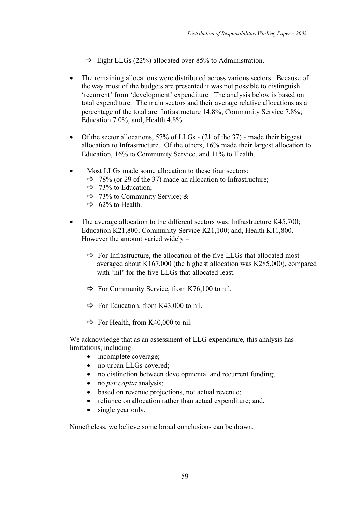- $\Rightarrow$  Eight LLGs (22%) allocated over 85% to Administration.
- The remaining allocations were distributed across various sectors. Because of the way most of the budgets are presented it was not possible to distinguish 'recurrent' from 'development' expenditure. The analysis below is based on total expenditure. The main sectors and their average relative allocations as a percentage of the total are: Infrastructure 14.8%; Community Service 7.8%; Education 7.0%; and, Health 4.8%.
- Of the sector allocations,  $57\%$  of LLGs (21 of the 37) made their biggest allocation to Infrastructure. Of the others, 16% made their largest allocation to Education, 16% to Community Service, and 11% to Health.
- Most LLGs made some allocation to these four sectors:
	- $\Rightarrow$  78% (or 29 of the 37) made an allocation to Infrastructure;
	- $\Rightarrow$  73% to Education;
	- $\Rightarrow$  73% to Community Service; &
	- $\Rightarrow$  62% to Health.
- The average allocation to the different sectors was: Infrastructure K45,700; Education K21,800; Community Service K21,100; and, Health K11,800. However the amount varied widely –
	- For Infrastructure, the allocation of the five LLGs that allocated most averaged about K167,000 (the highest allocation was K285,000), compared with 'nil' for the five LLGs that allocated least.
	- For Community Service, from K76,100 to nil.
	- For Education, from K43,000 to nil.
	- $\Rightarrow$  For Health, from K40,000 to nil.

We acknowledge that as an assessment of LLG expenditure, this analysis has limitations, including:

- incomplete coverage;
- no urban LLGs covered:
- no distinction between developmental and recurrent funding;
- no *per capita* analysis:
- based on revenue projections, not actual revenue:
- reliance on allocation rather than actual expenditure; and,
- single year only.

Nonetheless, we believe some broad conclusions can be drawn.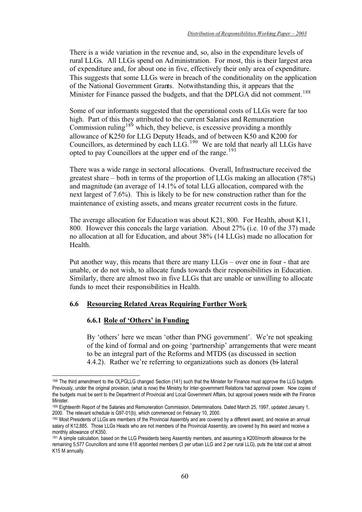There is a wide variation in the revenue and, so, also in the expenditure levels of rural LLGs. All LLGs spend on Administration. For most, this is their largest area of expenditure and, for about one in five, effectively their only area of expenditure. This suggests that some LLGs were in breach of the conditionality on the application of the National Government Grants. Notwithstanding this, it appears that the Minister for Finance passed the budgets, and that the DPLGA did not comment.<sup>188</sup>

Some of our informants suggested that the operational costs of LLGs were far too high. Part of this they attributed to the current Salaries and Remuneration Commission ruling<sup>189</sup> which, they believe, is excessive providing a monthly allowance of K250 for LLG Deputy Heads, and of between K50 and K200 for Councillors, as determined by each LLG.  $^{190}$  We are told that nearly all LLGs have opted to pay Councillors at the upper end of the range.<sup>191</sup>

There was a wide range in sectoral allocations. Overall, Infrastructure received the greatest share – both in terms of the proportion of LLGs making an allocation (78%) and magnitude (an average of 14.1% of total LLG allocation, compared with the next largest of 7.6%). This is likely to be for new construction rather than for the maintenance of existing assets, and means greater recurrent costs in the future.

The average allocation for Education was about K21, 800. For Health, about K11, 800. However this conceals the large variation. About 27% (i.e. 10 of the 37) made no allocation at all for Education, and about 38% (14 LLGs) made no allocation for Health.

Put another way, this means that there are many LLGs – over one in four - that are unable, or do not wish, to allocate funds towards their responsibilities in Education. Similarly, there are almost two in five LLGs that are unable or unwilling to allocate funds to meet their responsibilities in Health.

### **6.6 Resourcing Related Areas Requiring Further Work**

### **6.6.1 Role of 'Others' in Funding**

By 'others' here we mean 'other than PNG government'. We're not speaking of the kind of formal and on-going 'partnership' arrangements that were meant to be an integral part of the Reforms and MTDS (as discussed in section 4.4.2). Rather we're referring to organizations such as donors (bi-lateral

<sup>188</sup> The third amendment to the OLPGLLG changed Section (141) such that the Minister for Finance must approve the LLG budgets. Previously, under the original provision, (what is now) the Ministry for Inter-government Relations had approval power. Now copies of the budgets must be sent to the Department of Provincial and Local Government Affairs, but approval powers reside with the Finance Minister.

<sup>189</sup> Eighteenth Report of the Salaries and Remuneration Commission, Determinations. Dated March 25, 1997, updated January 1, 2000. The relevant schedule is G97-01(b), which commenced on February 10, 2000.

<sup>190</sup> Most Presidents of LLGs are members of the Provincial Assembly and are covered by a different award, and receive an annual salary of K12,885. Those LLGs Heads who are not members of the Provincial Assembly, are covered by this award and receive a monthly allowance of K350.

<sup>191</sup> A simple calculation, based on the LLG Presidents being Assembly members, and assuming a K200/month allowance for the remaining 5,577 Councillors and some 618 appointed members (3 per urban LLG and 2 per rural LLG), puts the total cost at almost K15 M annually.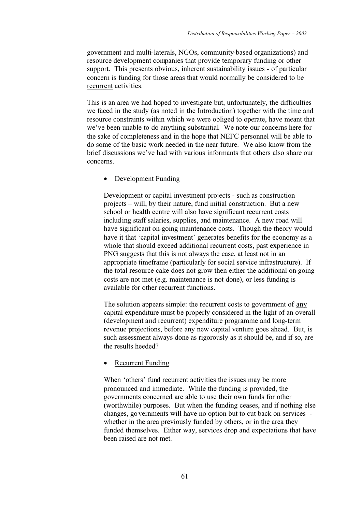government and multi-laterals, NGOs, community-based organizations) and resource development companies that provide temporary funding or other support. This presents obvious, inherent sustainability issues - of particular concern is funding for those areas that would normally be considered to be recurrent activities.

This is an area we had hoped to investigate but, unfortunately, the difficulties we faced in the study (as noted in the Introduction) together with the time and resource constraints within which we were obliged to operate, have meant that we've been unable to do anything substantial. We note our concerns here for the sake of completeness and in the hope that NEFC personnel will be able to do some of the basic work needed in the near future. We also know from the brief discussions we've had with various informants that others also share our concerns.

# • Development Funding

Development or capital investment projects - such as construction projects – will, by their nature, fund initial construction. But a new school or health centre will also have significant recurrent costs including staff salaries, supplies, and maintenance. A new road will have significant on-going maintenance costs. Though the theory would have it that 'capital investment' generates benefits for the economy as a whole that should exceed additional recurrent costs, past experience in PNG suggests that this is not always the case, at least not in an appropriate timeframe (particularly for social service infrastructure). If the total resource cake does not grow then either the additional on-going costs are not met (e.g. maintenance is not done), or less funding is available for other recurrent functions.

The solution appears simple: the recurrent costs to government of any capital expenditure must be properly considered in the light of an overall (development and recurrent) expenditure programme and long-term revenue projections, before any new capital venture goes ahead. But, is such assessment always done as rigorously as it should be, and if so, are the results heeded?

### • Recurrent Funding

When 'others' fund recurrent activities the issues may be more pronounced and immediate. While the funding is provided, the governments concerned are able to use their own funds for other (worthwhile) purposes. But when the funding ceases, and if nothing else changes, governments will have no option but to cut back on services whether in the area previously funded by others, or in the area they funded themselves. Either way, services drop and expectations that have been raised are not met.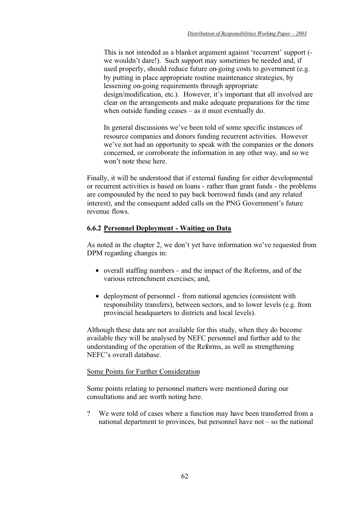This is not intended as a blanket argument against 'recurrent' support ( we wouldn't dare!). Such support may sometimes be needed and, if used properly, should reduce future on-going costs to government (e.g. by putting in place appropriate routine maintenance strategies, by lessening on-going requirements through appropriate design/modification, etc.). However, it's important that all involved are clear on the arrangements and make adequate preparations for the time when outside funding ceases – as it must eventually do.

In general discussions we've been told of some specific instances of resource companies and donors funding recurrent activities. However we've not had an opportunity to speak with the companies or the donors concerned, or corroborate the information in any other way, and so we won't note these here.

Finally, it will be understood that if external funding for either developmental or recurrent activities is based on loans - rather than grant funds - the problems are compounded by the need to pay back borrowed funds (and any related interest), and the consequent added calls on the PNG Government's future revenue flows.

# **6.6.2 Personnel Deployment - Waiting on Data**

As noted in the chapter 2, we don't yet have information we've requested from DPM regarding changes in:

- overall staffing numbers and the impact of the Reforms, and of the various retrenchment exercises; and,
- deployment of personnel from national agencies (consistent with responsibility transfers), between sectors, and to lower levels (e.g. from provincial headquarters to districts and local levels).

Although these data are not available for this study, when they do become available they will be analysed by NEFC personnel and further add to the understanding of the operation of the Reforms, as well as strengthening NEFC's overall database.

### Some Points for Further Consideration

Some points relating to personnel matters were mentioned during our consultations and are worth noting here.

? We were told of cases where a function may have been transferred from a national department to provinces, but personnel have not  $-$  so the national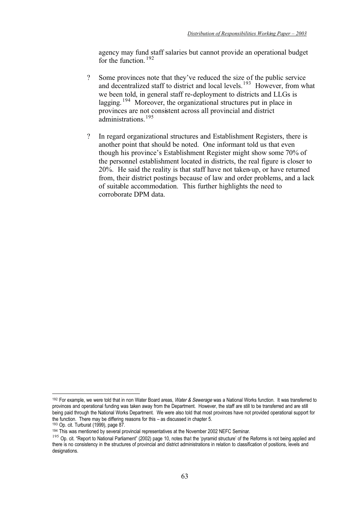agency may fund staff salaries but cannot provide an operational budget for the function  $192$ 

- ? Some provinces note that they've reduced the size of the public service and decentralized staff to district and local levels.<sup>193</sup> However, from what we been told, in general staff re-deployment to districts and LLGs is lagging.  $194$  Moreover, the organizational structures put in place in provinces are not consistent across all provincial and district administrations.<sup>195</sup>
- ? In regard organizational structures and Establishment Registers, there is another point that should be noted. One informant told us that even though his province's Establishment Register might show some 70% of the personnel establishment located in districts, the real figure is closer to 20%. He said the reality is that staff have not taken-up, or have returned from, their district postings because of law and order problems, and a lack of suitable accommodation. This further highlights the need to corroborate DPM data.

<sup>&</sup>lt;sup>192</sup> For example, we were told that in non Water Board areas, *Water & Sewerage* was a National Works function. It was transferred to provinces and operational funding was taken away from the Department. However, the staff are still to be transferred and are still being paid through the National Works Department. We were also told that most provinces have not provided operational support for the function. There may be differing reasons for this – as discussed in chapter 5.

<sup>193</sup> Op. cit. Turburat (1999), page 87.

<sup>194</sup> This was mentioned by several provincial representatives at the November 2002 NEFC Seminar.

<sup>&</sup>lt;sup>195</sup> Op. cit. "Report to National Parliament" (2002) page 10, notes that the 'pyramid structure' of the Reforms is not being applied and there is no consistency in the structures of provincial and district administrations in relation to classification of positions, levels and designations.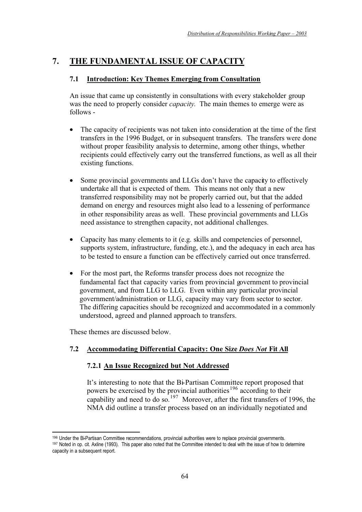# **7. THE FUNDAMENTAL ISSUE OF CAPACITY**

# **7.1 Introduction: Key Themes Emerging from Consultation**

An issue that came up consistently in consultations with every stakeholder group was the need to properly consider *capacity*. The main themes to emerge were as follows -

- The capacity of recipients was not taken into consideration at the time of the first transfers in the 1996 Budget, or in subsequent transfers. The transfers were done without proper feasibility analysis to determine, among other things, whether recipients could effectively carry out the transferred functions, as well as all their existing functions.
- Some provincial governments and LLGs don't have the capacity to effectively undertake all that is expected of them. This means not only that a new transferred responsibility may not be properly carried out, but that the added demand on energy and resources might also lead to a lessening of performance in other responsibility areas as well. These provincial governments and LLGs need assistance to strengthen capacity, not additional challenges.
- Capacity has many elements to it (e.g. skills and competencies of personnel, supports system, infrastructure, funding, etc.), and the adequacy in each area has to be tested to ensure a function can be effectively carried out once transferred.
- For the most part, the Reforms transfer process does not recognize the fundamental fact that capacity varies from provincial government to provincial government, and from LLG to LLG. Even within any particular provincial government/administration or LLG, capacity may vary from sector to sector. The differing capacities should be recognized and accommodated in a commonly understood, agreed and planned approach to transfers.

These themes are discussed below.

# **7.2 Accommodating Differential Capacity: One Size** *Does Not* **Fit All**

# **7.2.1 An Issue Recognized but Not Addressed**

It's interesting to note that the Bi-Partisan Committee report proposed that powers be exercised by the provincial authorities<sup>196</sup> according to their capability and need to do so.<sup>197</sup> Moreover, after the first transfers of 1996, the NMA did outline a transfer process based on an individually negotiated and

<sup>&</sup>lt;sup>196</sup> Under the Bi-Partisan Committee recommendations, provincial authorities were to replace provincial governments.<br><sup>197</sup> Noted in op. cit. Axline (1993). This paper also noted that the Committee intended to deal with th capacity in a subsequent report.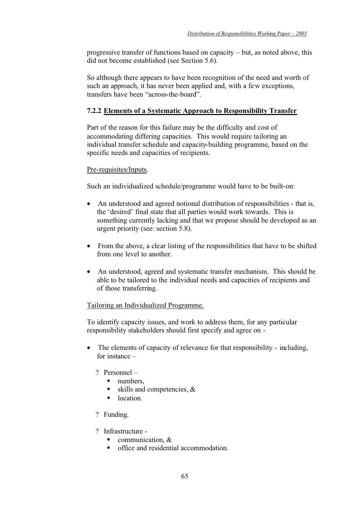progressive transfer of functions based on capacity – but, as noted above, this did not become established (see Section 5.6).

So although there appears to have been recognition of the need and worth of such an approach, it has never been applied and, with a few exceptions, transfers have been "across-the-board".

# **7.2.2 Elements of a Systematic Approach to Responsibility Transfer**

Part of the reason for this failure may be the difficulty and cost of accommodating differing capacities. This would require tailoring an individual transfer schedule and capacity-building programme, based on the specific needs and capacities of recipients.

### Pre-requisites/Inputs.

Such an individualized schedule/programme would have to be built-on:

- An understood and agreed notional distribution of responsibilities that is, the 'desired' final state that all parties would work towards. This is something currently lacking and that we propose should be developed as an urgent priority (see: section 5.8).
- From the above, a clear listing of the responsibilities that have to be shifted from one level to another.
- An understood, agreed and systematic transfer mechanism. This should be able to be tailored to the individual needs and capacities of recipients and of those transferring.

### Tailoring an Individualized Programme.

To identify capacity issues, and work to address them, for any particular responsibility stakeholders should first specify and agree on -

- The elements of capacity of relevance for that responsibility including, for instance –
	- ? Personnel
		- numbers,
		- skills and competencies, &
		- location.
	- ? Funding.
	- ? Infrastructure
		- communication, &
		- office and residential accommodation.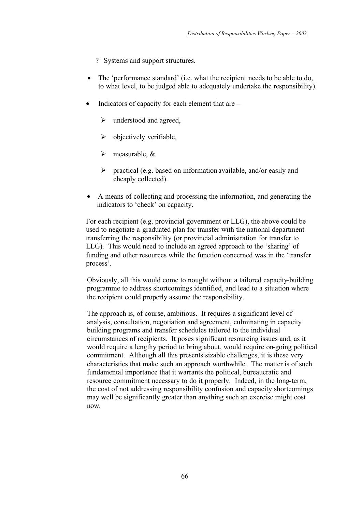- ? Systems and support structures.
- The 'performance standard' (i.e. what the recipient needs to be able to do, to what level, to be judged able to adequately undertake the responsibility).
- Indicators of capacity for each element that are
	- $\triangleright$  understood and agreed,
	- $\triangleright$  objectively verifiable,
	- $\triangleright$  measurable, &
	- $\triangleright$  practical (e.g. based on information available, and/or easily and cheaply collected).
- A means of collecting and processing the information, and generating the indicators to 'check' on capacity.

For each recipient (e.g. provincial government or LLG), the above could be used to negotiate a graduated plan for transfer with the national department transferring the responsibility (or provincial administration for transfer to LLG). This would need to include an agreed approach to the 'sharing' of funding and other resources while the function concerned was in the 'transfer process'.

Obviously, all this would come to nought without a tailored capacity-building programme to address shortcomings identified, and lead to a situation where the recipient could properly assume the responsibility.

The approach is, of course, ambitious. It requires a significant level of analysis, consultation, negotiation and agreement, culminating in capacity building programs and transfer schedules tailored to the individual circumstances of recipients. It poses significant resourcing issues and, as it would require a lengthy period to bring about, would require on-going political commitment. Although all this presents sizable challenges, it is these very characteristics that make such an approach worthwhile. The matter is of such fundamental importance that it warrants the political, bureaucratic and resource commitment necessary to do it properly. Indeed, in the long-term, the cost of not addressing responsibility confusion and capacity shortcomings may well be significantly greater than anything such an exercise might cost now.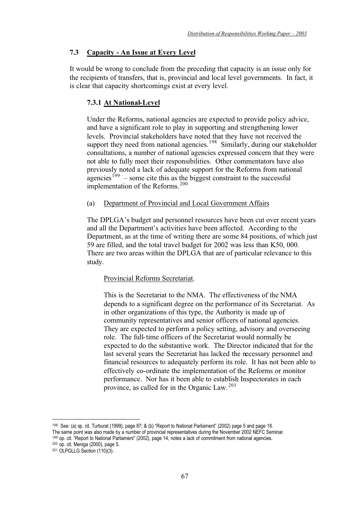# **7.3 Capacity - An Issue at Every Level**

It would be wrong to conclude from the preceding that capacity is an issue only for the recipients of transfers, that is, provincial and local level governments. In fact, it is clear that capacity shortcomings exist at every level.

# **7.3.1 At National-Level**

Under the Reforms, national agencies are expected to provide policy advice, and have a significant role to play in supporting and strengthening lower levels. Provincial stakeholders have noted that they have not received the support they need from national agencies.<sup>198</sup> Similarly, during our stakeholder consultations, a number of national agencies expressed concern that they were not able to fully meet their responsibilities. Other commentators have also previously noted a lack of adequate support for the Reforms from national  $a$ gencies<sup>199</sup> – some cite this as the biggest constraint to the successful implementation of the Reforms.<sup>200</sup>

# (a) Department of Provincial and Local Government Affairs

The DPLGA's budget and personnel resources have been cut over recent years and all the Department's activities have been affected. According to the Department, as at the time of writing there are some 84 positions, of which just 59 are filled, and the total travel budget for 2002 was less than K50, 000. There are two areas within the DPLGA that are of particular relevance to this study.

### Provincial Reforms Secretariat.

This is the Secretariat to the NMA. The effectiveness of the NMA depends to a significant degree on the performance of its Secretariat. As in other organizations of this type, the Authority is made up of community representatives and senior officers of national agencies. They are expected to perform a policy setting, advisory and overseeing role. The full-time officers of the Secretariat would normally be expected to do the substantive work. The Director indicated that for the last several years the Secretariat has lacked the necessary personnel and financial resources to adequately perform its role. It has not been able to effectively co-ordinate the implementation of the Reforms or monitor performance. Nor has it been able to establish Inspectorates in each province, as called for in the Organic Law. <sup>201</sup>

198 See: (a) op. cit. Turburat (1999), page 87; & (b) "Report to National Parliament" (2002) page 5 and page 18. The same point was also made by a number of provincial representatives during the November 2002 NEFC Seminar. 199 op. cit. "Report to National Parliament" (2002), page 14, notes a lack of commitment from national agencies.

200 op. cit. Meniga (2000), page 5.

<sup>201</sup> OLPGLLG Section (110)(3).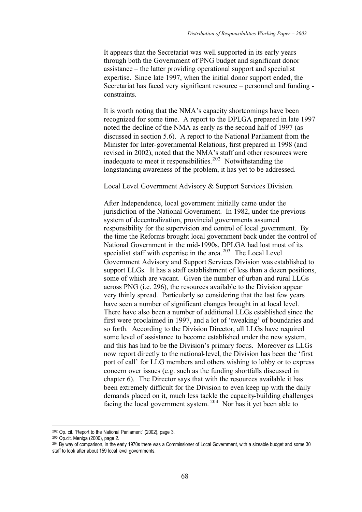It appears that the Secretariat was well supported in its early years through both the Government of PNG budget and significant donor assistance – the latter providing operational support and specialist expertise. Since late 1997, when the initial donor support ended, the Secretariat has faced very significant resource – personnel and funding constraints.

It is worth noting that the NMA's capacity shortcomings have been recognized for some time. A report to the DPLGA prepared in late 1997 noted the decline of the NMA as early as the second half of 1997 (as discussed in section 5.6). A report to the National Parliament from the Minister for Inter-governmental Relations, first prepared in 1998 (and revised in 2002), noted that the NMA's staff and other resources were inadequate to meet it responsibilities.<sup>202</sup> Notwithstanding the longstanding awareness of the problem, it has yet to be addressed.

#### Local Level Government Advisory & Support Services Division.

After Independence, local government initially came under the jurisdiction of the National Government. In 1982, under the previous system of decentralization, provincial governments assumed responsibility for the supervision and control of local government. By the time the Reforms brought local government back under the control of National Government in the mid-1990s, DPLGA had lost most of its specialist staff with expertise in the area.<sup>203</sup> The Local Level Government Advisory and Support Services Division was established to support LLGs. It has a staff establishment of less than a dozen positions, some of which are vacant. Given the number of urban and rural LLGs across PNG (i.e. 296), the resources available to the Division appear very thinly spread. Particularly so considering that the last few years have seen a number of significant changes brought in at local level. There have also been a number of additional LLGs established since the first were proclaimed in 1997, and a lot of 'tweaking' of boundaries and so forth. According to the Division Director, all LLGs have required some level of assistance to become established under the new system, and this has had to be the Division's primary focus. Moreover as LLGs now report directly to the national-level, the Division has been the 'first port of call' for LLG members and others wishing to lobby or to express concern over issues (e.g. such as the funding shortfalls discussed in chapter 6). The Director says that with the resources available it has been extremely difficult for the Division to even keep up with the daily demands placed on it, much less tackle the capacity-building challenges facing the local government system. 204 Nor has it yet been able to

 $202$  Op. cit. "Report to the National Parliament" (2002), page 3.  $203$  Op.cit. Meniga (2000), page 2.

<sup>&</sup>lt;sup>204</sup> By way of comparison, in the early 1970s there was a Commissioner of Local Government, with a sizeable budget and some 30 staff to look after about 159 local level governments.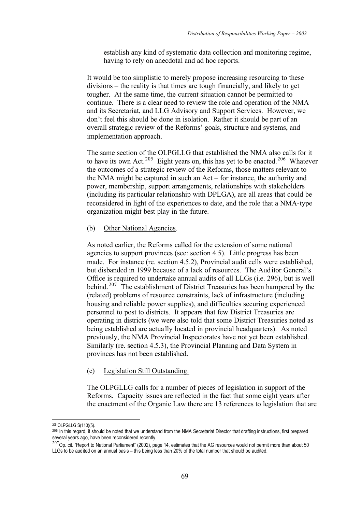establish any kind of systematic data collection and monitoring regime, having to rely on anecdotal and ad hoc reports.

It would be too simplistic to merely propose increasing resourcing to these divisions – the reality is that times are tough financially, and likely to get tougher. At the same time, the current situation cannot be permitted to continue. There is a clear need to review the role and operation of the NMA and its Secretariat, and LLG Advisory and Support Services. However, we don't feel this should be done in isolation. Rather it should be part of an overall strategic review of the Reforms' goals, structure and systems, and implementation approach.

The same section of the OLPGLLG that established the NMA also calls for it to have its own Act.<sup>205</sup> Eight years on, this has yet to be enacted.<sup>206</sup> Whatever the outcomes of a strategic review of the Reforms, those matters relevant to the NMA might be captured in such an Act – for instance, the authority and power, membership, support arrangements, relationships with stakeholders (including its particular relationship with DPLGA), are all areas that could be reconsidered in light of the experiences to date, and the role that a NMA-type organization might best play in the future.

(b) Other National Agencies.

As noted earlier, the Reforms called for the extension of some national agencies to support provinces (see: section 4.5). Little progress has been made. For instance (re. section 4.5.2), Provincial audit cells were established, but disbanded in 1999 because of a lack of resources. The Auditor General's Office is required to undertake annual audits of all LLGs (i.e. 296), but is well behind.<sup>207</sup> The establishment of District Treasuries has been hampered by the (related) problems of resource constraints, lack of infrastructure (including housing and reliable power supplies), and difficulties securing experienced personnel to post to districts. It appears that few District Treasuries are operating in districts (we were also told that some District Treasuries noted as being established are actually located in provincial headquarters). As noted previously, the NMA Provincial Inspectorates have not yet been established. Similarly (re. section 4.5.3), the Provincial Planning and Data System in provinces has not been established.

# (c) Legislation Still Outstanding.

The OLPGLLG calls for a number of pieces of legislation in support of the Reforms. Capacity issues are reflected in the fact that some eight years after the enactment of the Organic Law there are 13 references to legislation that are

<sup>205</sup> OLPGLLG S(110)(5).

<sup>206</sup> In this regard, it should be noted that we understand from the NMA Secretariat Director that drafting instructions, first prepared several years ago, have been reconsidered recently.

 $^{207}$ Op. cit. "Report to National Parliament" (2002), page 14, estimates that the AG resources would not permit more than about 50 LLGs to be audited on an annual basis – this being less than 20% of the total number that should be audited.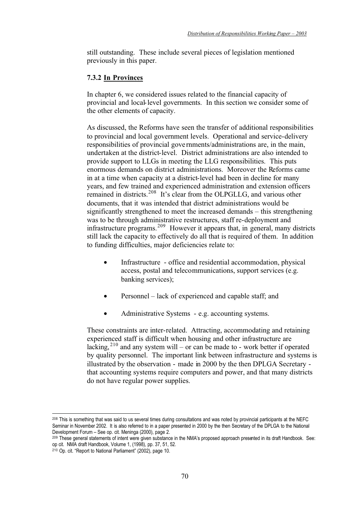still outstanding. These include several pieces of legislation mentioned previously in this paper.

# **7.3.2 In Provinces**

In chapter 6, we considered issues related to the financial capacity of provincial and local-level governments. In this section we consider some of the other elements of capacity.

As discussed, the Reforms have seen the transfer of additional responsibilities to provincial and local government levels. Operational and service-delivery responsibilities of provincial governments/administrations are, in the main, undertaken at the district-level. District administrations are also intended to provide support to LLGs in meeting the LLG responsibilities. This puts enormous demands on district administrations. Moreover the Reforms came in at a time when capacity at a district-level had been in decline for many years, and few trained and experienced administration and extension officers remained in districts.<sup>208</sup> It's clear from the OLPGLLG, and various other documents, that it was intended that district administrations would be significantly strengthened to meet the increased demands – this strengthening was to be through administrative restructures, staff re-deployment and infrastructure programs.<sup>209</sup> However it appears that, in general, many districts still lack the capacity to effectively do all that is required of them. In addition to funding difficulties, major deficiencies relate to:

- Infrastructure office and residential accommodation, physical access, postal and telecommunications, support services (e.g. banking services);
- Personnel lack of experienced and capable staff; and
- Administrative Systems e.g. accounting systems.

These constraints are inter-related. Attracting, accommodating and retaining experienced staff is difficult when housing and other infrastructure are lacking,  $2^{10}$  and any system will – or can be made to - work better if operated by quality personnel. The important link between infrastructure and systems is illustrated by the observation - made in 2000 by the then DPLGA Secretary that accounting systems require computers and power, and that many districts do not have regular power supplies.

<sup>&</sup>lt;sup>208</sup> This is something that was said to us several times during consultations and was noted by provincial participants at the NEFC Seminar in November 2002. It is also referred to in a paper presented in 2000 by the then Secretary of the DPLGA to the National Development Forum – See op. cit. Meninga (2000), page 2.

<sup>209</sup> These general statements of intent were given substance in the NMA's proposed approach presented in its draft Handbook. See: op cit. NMA draft Handbook, Volume 1, (1998), pp. 37, 51, 52.

<sup>210</sup> Op. cit. "Report to National Parliament" (2002), page 10.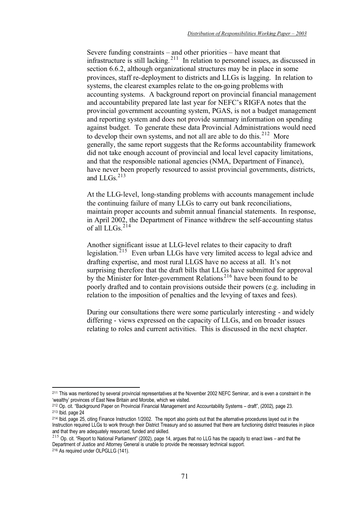Severe funding constraints – and other priorities – have meant that infrastructure is still lacking.  $2^{11}$  In relation to personnel issues, as discussed in section 6.6.2, although organizational structures may be in place in some provinces, staff re-deployment to districts and LLGs is lagging. In relation to systems, the clearest examples relate to the on-going problems with accounting systems. A background report on provincial financial management and accountability prepared late last year for NEFC's RIGFA notes that the provincial government accounting system, PGAS, is not a budget management and reporting system and does not provide summary information on spending against budget. To generate these data Provincial Administrations would need to develop their own systems, and not all are able to do this. $2^{12}$  More generally, the same report suggests that the Reforms accountability framework did not take enough account of provincial and local level capacity limitations, and that the responsible national agencies (NMA, Department of Finance), have never been properly resourced to assist provincial governments, districts, and LLGs $^{213}$ 

At the LLG-level, long-standing problems with accounts management include the continuing failure of many LLGs to carry out bank reconciliations, maintain proper accounts and submit annual financial statements. In response, in April 2002, the Department of Finance withdrew the self-accounting status of all LLGs.<sup>214</sup>

Another significant issue at LLG-level relates to their capacity to draft legislation.<sup>215</sup> Even urban LLGs have very limited access to legal advice and drafting expertise, and most rural LLGS have no access at all. It's not surprising therefore that the draft bills that LLGs have submitted for approval by the Minister for Inter-government Relations<sup>216</sup> have been found to be poorly drafted and to contain provisions outside their powers (e.g. including in relation to the imposition of penalties and the levying of taxes and fees).

During our consultations there were some particularly interesting - and widely differing - views expressed on the capacity of LLGs, and on broader issues relating to roles and current activities. This is discussed in the next chapter.

<sup>&</sup>lt;sup>211</sup> This was mentioned by several provincial representatives at the November 2002 NEFC Seminar, and is even a constraint in the 'wealthy' provinces of East New Britain and Morobe, which we visited.<br><sup>212</sup> Op. cit. "Background Paper on Provincial Financial Management and Accountability Systems – draft". (2002). page 23.

<sup>&</sup>lt;sup>213</sup> Ibid. page 24<br><sup>213</sup> Ibid. page 25, citing Finance Instruction 1/2002. The report also points out that the alternative procedures layed out in the

Instruction required LLGs to work through their District Treasury and so assumed that there are functioning district treasuries in place and that they are adequately resourced, funded and skilled.

 $215$  Op. cit. "Report to National Parliament" (2002), page 14, argues that no LLG has the capacity to enact laws – and that the Department of Justice and Attorney General is unable to provide the necessary technical support.

<sup>&</sup>lt;sup>216</sup> As required under OLPGLLG (141).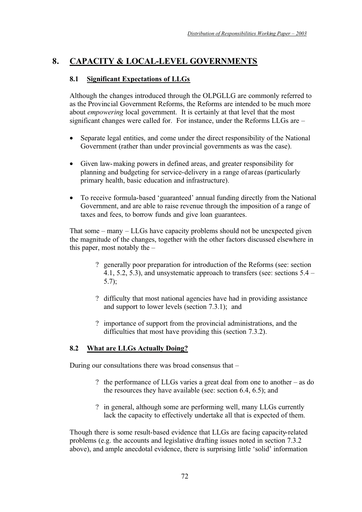# **8. CAPACITY & LOCAL-LEVEL GOVERNMENTS**

# **8.1 Significant Expectations of LLGs**

Although the changes introduced through the OLPGLLG are commonly referred to as the Provincial Government Reforms, the Reforms are intended to be much more about *empowering* local government. It is certainly at that level that the most significant changes were called for. For instance, under the Reforms LLGs are –

- Separate legal entities, and come under the direct responsibility of the National Government (rather than under provincial governments as was the case).
- Given law-making powers in defined areas, and greater responsibility for planning and budgeting for service-delivery in a range of areas (particularly primary health, basic education and infrastructure).
- To receive formula-based 'guaranteed' annual funding directly from the National Government, and are able to raise revenue through the imposition of a range of taxes and fees, to borrow funds and give loan guarantees.

That some – many – LLGs have capacity problems should not be unexpected given the magnitude of the changes, together with the other factors discussed elsewhere in this paper, most notably the –

- ? generally poor preparation for introduction of the Reforms (see: section 4.1, 5.2, 5.3), and unsystematic approach to transfers (see: sections 5.4 – 5.7);
- ? difficulty that most national agencies have had in providing assistance and support to lower levels (section 7.3.1); and
- ? importance of support from the provincial administrations, and the difficulties that most have providing this (section 7.3.2).

# **8.2 What are LLGs Actually Doing?**

During our consultations there was broad consensus that –

- ? the performance of LLGs varies a great deal from one to another as do the resources they have available (see: section 6.4, 6.5); and
- ? in general, although some are performing well, many LLGs currently lack the capacity to effectively undertake all that is expected of them.

Though there is some result-based evidence that LLGs are facing capacity-related problems (e.g. the accounts and legislative drafting issues noted in section 7.3.2 above), and ample anecdotal evidence, there is surprising little 'solid' information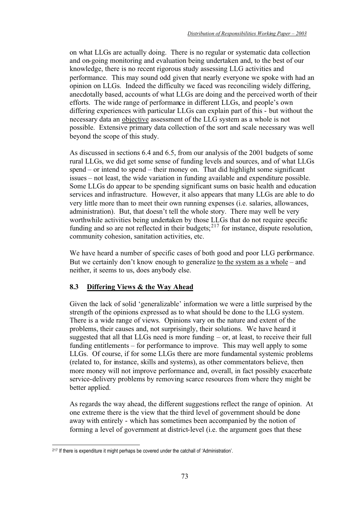on what LLGs are actually doing. There is no regular or systematic data collection and on-going monitoring and evaluation being undertaken and, to the best of our knowledge, there is no recent rigorous study assessing LLG activities and performance. This may sound odd given that nearly everyone we spoke with had an opinion on LLGs. Indeed the difficulty we faced was reconciling widely differing, anecdotally based, accounts of what LLGs are doing and the perceived worth of their efforts. The wide range of performance in different LLGs, and people's own differing experiences with particular LLGs can explain part of this - but without the necessary data an objective assessment of the LLG system as a whole is not possible. Extensive primary data collection of the sort and scale necessary was well beyond the scope of this study.

As discussed in sections 6.4 and 6.5, from our analysis of the 2001 budgets of some rural LLGs, we did get some sense of funding levels and sources, and of what LLGs spend – or intend to spend – their money on. That did highlight some significant issues – not least, the wide variation in funding available and expenditure possible. Some LLGs do appear to be spending significant sums on basic health and education services and infrastructure. However, it also appears that many LLGs are able to do very little more than to meet their own running expenses (i.e. salaries, allowances, administration). But, that doesn't tell the whole story. There may well be very worthwhile activities being undertaken by those LLGs that do not require specific funding and so are not reflected in their budgets; $217$  for instance, dispute resolution, community cohesion, sanitation activities, etc.

We have heard a number of specific cases of both good and poor LLG performance. But we certainly don't know enough to generalize to the system as a whole – and neither, it seems to us, does anybody else.

# **8.3 Differing Views & the Way Ahead**

Given the lack of solid 'generalizable' information we were a little surprised by the strength of the opinions expressed as to what should be done to the LLG system. There is a wide range of views. Opinions vary on the nature and extent of the problems, their causes and, not surprisingly, their solutions. We have heard it suggested that all that LLGs need is more funding – or, at least, to receive their full funding entitlements – for performance to improve. This may well apply to some LLGs. Of course, if for some LLGs there are more fundamental systemic problems (related to, for instance, skills and systems), as other commentators believe, then more money will not improve performance and, overall, in fact possibly exacerbate service-delivery problems by removing scarce resources from where they might be better applied.

As regards the way ahead, the different suggestions reflect the range of opinion. At one extreme there is the view that the third level of government should be done away with entirely - which has sometimes been accompanied by the notion of forming a level of government at district-level (i.e. the argument goes that these

<sup>217</sup> If there is expenditure it might perhaps be covered under the catchall of 'Administration'.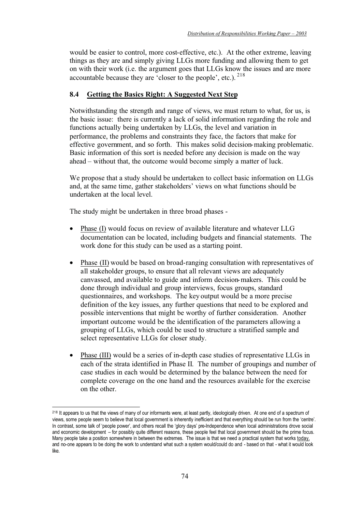would be easier to control, more cost-effective, etc.). At the other extreme, leaving things as they are and simply giving LLGs more funding and allowing them to get on with their work (i.e. the argument goes that LLGs know the issues and are more accountable because they are 'closer to the people', etc.).  $218$ 

# **8.4 Getting the Basics Right: A Suggested Next Step**

Notwithstanding the strength and range of views, we must return to what, for us, is the basic issue: there is currently a lack of solid information regarding the role and functions actually being undertaken by LLGs, the level and variation in performance, the problems and constraints they face, the factors that make for effective government, and so forth. This makes solid decision-making problematic. Basic information of this sort is needed before any decision is made on the way ahead – without that, the outcome would become simply a matter of luck.

We propose that a study should be undertaken to collect basic information on LLGs and, at the same time, gather stakeholders' views on what functions should be undertaken at the local level.

The study might be undertaken in three broad phases -

- Phase (I) would focus on review of available literature and whatever LLG documentation can be located, including budgets and financial statements. The work done for this study can be used as a starting point.
- Phase (II) would be based on broad-ranging consultation with representatives of all stakeholder groups, to ensure that all relevant views are adequately canvassed, and available to guide and inform decision-makers. This could be done through individual and group interviews, focus groups, standard questionnaires, and workshops. The key output would be a more precise definition of the key issues, any further questions that need to be explored and possible interventions that might be worthy of further consideration. Another important outcome would be the identification of the parameters allowing a grouping of LLGs, which could be used to structure a stratified sample and select representative LLGs for closer study.
- Phase (III) would be a series of in-depth case studies of representative LLGs in each of the strata identified in Phase II. The number of groupings and number of case studies in each would be determined by the balance between the need for complete coverage on the one hand and the resources available for the exercise on the other.

<sup>&</sup>lt;sup>218</sup> It appears to us that the views of many of our informants were, at least partly, ideologically driven. At one end of a spectrum of views, some people seem to believe that local government is inherently inefficient and that everything should be run from the 'centre'. In contrast, some talk of 'people power', and others recall the 'glory days' pre-Independence when local administrations drove social and economic development – for possibly quite different reasons, these people feel that local government should be the prime focus. Many people take a position somewhere in between the extremes. The issue is that we need a practical system that works today, and no-one appears to be doing the work to understand what such a system would/could do and - based on that - what it would look like.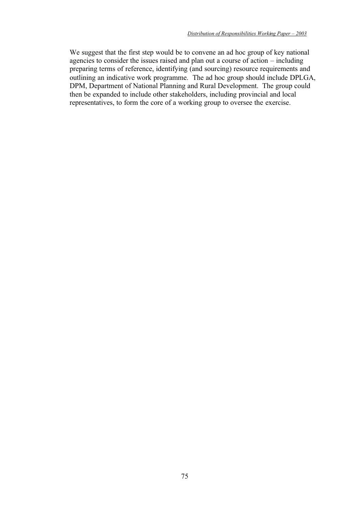We suggest that the first step would be to convene an ad hoc group of key national agencies to consider the issues raised and plan out a course of action – including preparing terms of reference, identifying (and sourcing) resource requirements and outlining an indicative work programme. The ad hoc group should include DPLGA, DPM, Department of National Planning and Rural Development. The group could then be expanded to include other stakeholders, including provincial and local representatives, to form the core of a working group to oversee the exercise.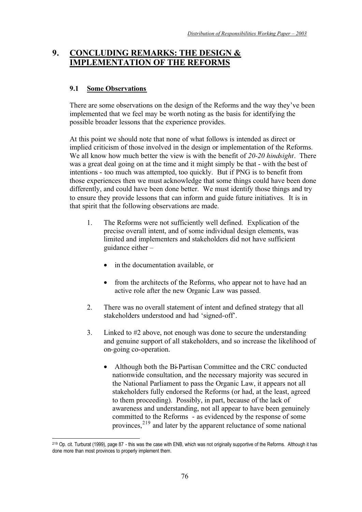# **9. CONCLUDING REMARKS: THE DESIGN & IMPLEMENTATION OF THE REFORMS**

# **9.1 Some Observations**

There are some observations on the design of the Reforms and the way they've been implemented that we feel may be worth noting as the basis for identifying the possible broader lessons that the experience provides.

At this point we should note that none of what follows is intended as direct or implied criticism of those involved in the design or implementation of the Reforms. We all know how much better the view is with the benefit of *20-20 hindsight*. There was a great deal going on at the time and it might simply be that - with the best of intentions - too much was attempted, too quickly. But if PNG is to benefit from those experiences then we must acknowledge that some things could have been done differently, and could have been done better. We must identify those things and try to ensure they provide lessons that can inform and guide future initiatives. It is in that spirit that the following observations are made.

- 1. The Reforms were not sufficiently well defined. Explication of the precise overall intent, and of some individual design elements, was limited and implementers and stakeholders did not have sufficient guidance either –
	- in the documentation available, or
	- from the architects of the Reforms, who appear not to have had an active role after the new Organic Law was passed.
- 2. There was no overall statement of intent and defined strategy that all stakeholders understood and had 'signed-off'.
- 3. Linked to #2 above, not enough was done to secure the understanding and genuine support of all stakeholders, and so increase the likelihood of on-going co-operation.
	- Although both the Bi-Partisan Committee and the CRC conducted nationwide consultation, and the necessary majority was secured in the National Parliament to pass the Organic Law, it appears not all stakeholders fully endorsed the Reforms (or had, at the least, agreed to them proceeding). Possibly, in part, because of the lack of awareness and understanding, not all appear to have been genuinely committed to the Reforms - as evidenced by the response of some provinces,<sup>219</sup> and later by the apparent reluctance of some national

<sup>219</sup> Op. cit. Turburat (1999), page 87 - this was the case with ENB, which was not originally supportive of the Reforms. Although it has done more than most provinces to properly implement them.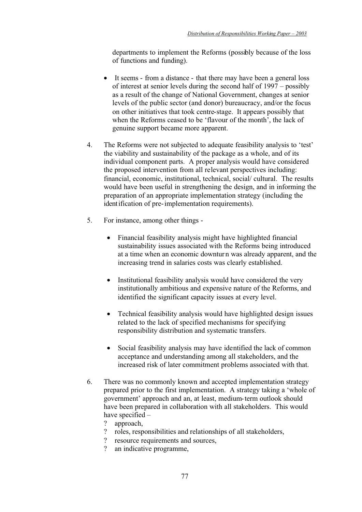departments to implement the Reforms (possibly because of the loss of functions and funding).

- It seems from a distance that there may have been a general loss of interest at senior levels during the second half of 1997 – possibly as a result of the change of National Government, changes at senior levels of the public sector (and donor) bureaucracy, and/or the focus on other initiatives that took centre-stage. It appears possibly that when the Reforms ceased to be 'flavour of the month', the lack of genuine support became more apparent.
- 4. The Reforms were not subjected to adequate feasibility analysis to 'test' the viability and sustainability of the package as a whole, and of its individual component parts. A proper analysis would have considered the proposed intervention from all relevant perspectives including: financial, economic, institutional, technical, social/ cultural. The results would have been useful in strengthening the design, and in informing the preparation of an appropriate implementation strategy (including the identification of pre-implementation requirements).
- 5. For instance, among other things
	- Financial feasibility analysis might have highlighted financial sustainability issues associated with the Reforms being introduced at a time when an economic downturn was already apparent, and the increasing trend in salaries costs was clearly established.
	- Institutional feasibility analysis would have considered the very institutionally ambitious and expensive nature of the Reforms, and identified the significant capacity issues at every level.
	- Technical feasibility analysis would have highlighted design issues related to the lack of specified mechanisms for specifying responsibility distribution and systematic transfers.
	- Social feasibility analysis may have identified the lack of common acceptance and understanding among all stakeholders, and the increased risk of later commitment problems associated with that.
- 6. There was no commonly known and accepted implementation strategy prepared prior to the first implementation. A strategy taking a 'whole of government' approach and an, at least, medium-term outlook should have been prepared in collaboration with all stakeholders. This would have specified –<br> $\frac{1}{2}$  approach
	- ? approach,<br>? roles. resp
	- ? roles, responsibilities and relationships of all stakeholders,
	- ? resource requirements and sources,
	- ? an indicative programme,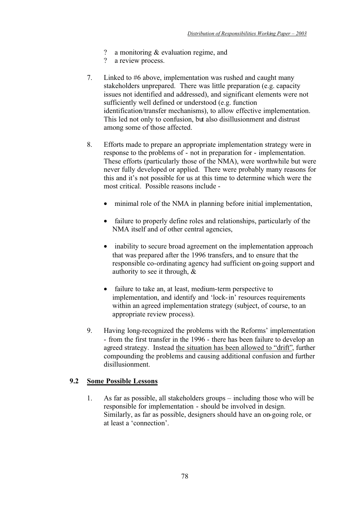- ? a monitoring & evaluation regime, and
- ? a review process.
- 7. Linked to #6 above, implementation was rushed and caught many stakeholders unprepared. There was little preparation (e.g. capacity issues not identified and addressed), and significant elements were not sufficiently well defined or understood (e.g. function identification/transfer mechanisms), to allow effective implementation. This led not only to confusion, but also disillusionment and distrust among some of those affected.
- 8. Efforts made to prepare an appropriate implementation strategy were in response to the problems of - not in preparation for - implementation. These efforts (particularly those of the NMA), were worthwhile but were never fully developed or applied. There were probably many reasons for this and it's not possible for us at this time to determine which were the most critical. Possible reasons include -
	- minimal role of the NMA in planning before initial implementation,
	- failure to properly define roles and relationships, particularly of the NMA itself and of other central agencies,
	- inability to secure broad agreement on the implementation approach that was prepared after the 1996 transfers, and to ensure that the responsible co-ordinating agency had sufficient on-going support and authority to see it through, &
	- failure to take an, at least, medium-term perspective to implementation, and identify and 'lock-in' resources requirements within an agreed implementation strategy (subject, of course, to an appropriate review process).
- 9. Having long-recognized the problems with the Reforms' implementation - from the first transfer in the 1996 - there has been failure to develop an agreed strategy. Instead the situation has been allowed to "drift", further compounding the problems and causing additional confusion and further disillusionment.

# **9.2 Some Possible Lessons**

1. As far as possible, all stakeholders groups – including those who will be responsible for implementation - should be involved in design. Similarly, as far as possible, designers should have an on-going role, or at least a 'connection'.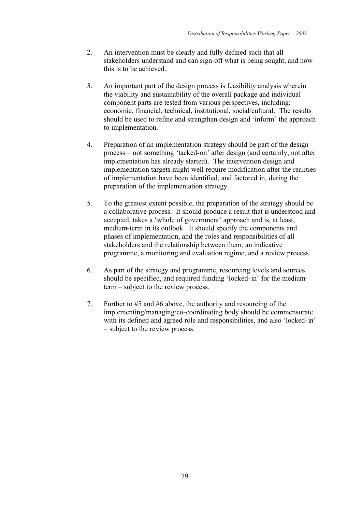- 2. An intervention must be clearly and fully defined such that all stakeholders understand and can sign-off what is being sought, and how this is to be achieved.
- 3. An important part of the design process is feasibility analysis wherein the viability and sustainability of the overall package and individual component parts are tested from various perspectives, including: economic, financial, technical, institutional, social/cultural. The results should be used to refine and strengthen design and 'inform' the approach to implementation.
- 4. Preparation of an implementation strategy should be part of the design process – not something 'tacked-on' after design (and certainly, not after implementation has already started). The intervention design and implementation targets might well require modification after the realities of implementation have been identified, and factored in, during the preparation of the implementation strategy.
- 5. To the greatest extent possible, the preparation of the strategy should be a collaborative process. It should produce a result that is understood and accepted, takes a 'whole of government' approach and is, at least, medium-term in its outlook. It should specify the components and phases of implementation, and the roles and responsibilities of all stakeholders and the relationship between them, an indicative programme, a monitoring and evaluation regime, and a review process.
- 6. As part of the strategy and programme, resourcing levels and sources should be specified, and required funding 'locked-in' for the mediumterm – subject to the review process.
- 7. Further to #5 and #6 above, the authority and resourcing of the implementing/managing/co-coordinating body should be commensurate with its defined and agreed role and responsibilities, and also 'locked-in' – subject to the review process.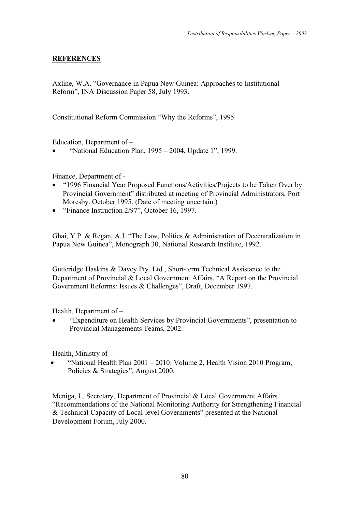# **REFERENCES**

Axline, W.A. "Governance in Papua New Guinea: Approaches to Institutional Reform", INA Discussion Paper 58, July 1993.

Constitutional Reform Commission "Why the Reforms", 1995

Education, Department of –

• "National Education Plan, 1995 – 2004, Update 1", 1999.

Finance, Department of -

- "1996 Financial Year Proposed Functions/Activities/Projects to be Taken Over by Provincial Government" distributed at meeting of Provincial Administrators, Port Moresby. October 1995. (Date of meeting uncertain.)
- "Finance Instruction 2/97", October 16, 1997.

Ghai, Y.P. & Regan, A.J. "The Law, Politics & Administration of Decentralization in Papua New Guinea", Monograph 30, National Research Institute, 1992.

Gutteridge Haskins & Davey Pty. Ltd., Short-term Technical Assistance to the Department of Provincial & Local Government Affairs, "A Report on the Provincial Government Reforms: Issues & Challenges", Draft, December 1997.

Health, Department of –

• "Expenditure on Health Services by Provincial Governments", presentation to Provincial Managements Teams, 2002.

Health, Ministry of –

• "National Health Plan 2001 – 2010: Volume 2, Health Vision 2010 Program, Policies & Strategies", August 2000.

Meniga, L, Secretary, Department of Provincial & Local Government Affairs "Recommendations of the National Monitoring Authority for Strengthening Financial & Technical Capacity of Local-level Governments" presented at the National Development Forum, July 2000.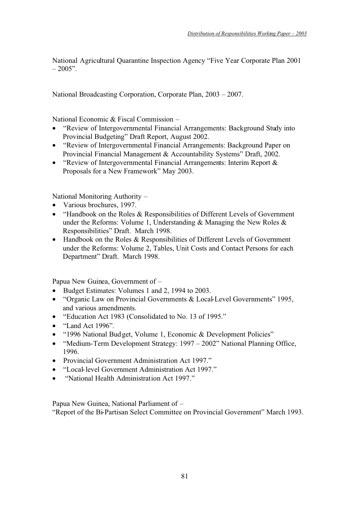National Agricultural Quarantine Inspection Agency "Five Year Corporate Plan 2001  $-2005"$ .

National Broadcasting Corporation, Corporate Plan, 2003 – 2007.

National Economic & Fiscal Commission –

- "Review of Intergovernmental Financial Arrangements: Background Study into Provincial Budgeting" Draft Report, August 2002.
- "Review of Intergovernmental Financial Arrangements: Background Paper on Provincial Financial Management & Accountability Systems" Draft, 2002.
- "Review of Intergovernmental Financial Arrangements: Interim Report & Proposals for a New Framework" May 2003.

National Monitoring Authority –

- Various brochures, 1997.
- "Handbook on the Roles & Responsibilities of Different Levels of Government under the Reforms: Volume 1, Understanding  $\&$  Managing the New Roles  $\&$ Responsibilities" Draft. March 1998.
- Handbook on the Roles & Responsibilities of Different Levels of Government under the Reforms: Volume 2, Tables, Unit Costs and Contact Persons for each Department" Draft. March 1998.

Papua New Guinea, Government of –

- Budget Estimates: Volumes 1 and 2, 1994 to 2003.
- "Organic Law on Provincial Governments & Local-Level Governments" 1995, and various amendments.
- "Education Act 1983 (Consolidated to No. 13 of 1995."
- "Land Act 1996".
- "1996 National Budget, Volume 1, Economic & Development Policies"
- "Medium-Term Development Strategy: 1997 2002" National Planning Office, 1996.
- Provincial Government Administration Act 1997."
- "Local-level Government Administration Act 1997."
- "National Health Administration Act 1997."

Papua New Guinea, National Parliament of – "Report of the Bi-Partisan Select Committee on Provincial Government" March 1993.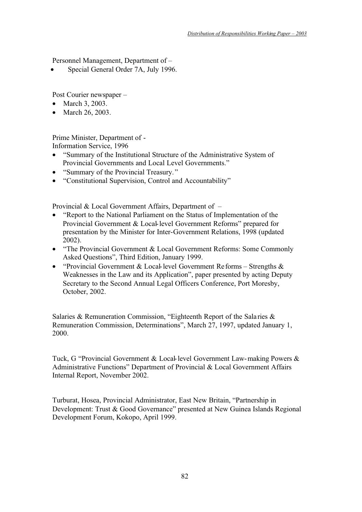Personnel Management, Department of –

• Special General Order 7A, July 1996.

Post Courier newspaper –

- March 3, 2003.
- March 26, 2003.

Prime Minister, Department of - Information Service, 1996

- "Summary of the Institutional Structure of the Administrative System of Provincial Governments and Local Level Governments."
- "Summary of the Provincial Treasury."
- "Constitutional Supervision, Control and Accountability"

Provincial & Local Government Affairs, Department of –

- "Report to the National Parliament on the Status of Implementation of the Provincial Government & Local-level Government Reforms" prepared for presentation by the Minister for Inter-Government Relations, 1998 (updated 2002).
- "The Provincial Government & Local Government Reforms: Some Commonly Asked Questions", Third Edition, January 1999.
- "Provincial Government & Local-level Government Reforms Strengths & Weaknesses in the Law and its Application", paper presented by acting Deputy Secretary to the Second Annual Legal Officers Conference, Port Moresby, October, 2002.

Salaries & Remuneration Commission, "Eighteenth Report of the Sala ries & Remuneration Commission, Determinations", March 27, 1997, updated January 1, 2000.

Tuck, G "Provincial Government & Local-level Government Law-making Powers & Administrative Functions" Department of Provincial & Local Government Affairs Internal Report, November 2002.

Turburat, Hosea, Provincial Administrator, East New Britain, "Partnership in Development: Trust & Good Governance" presented at New Guinea Islands Regional Development Forum, Kokopo, April 1999.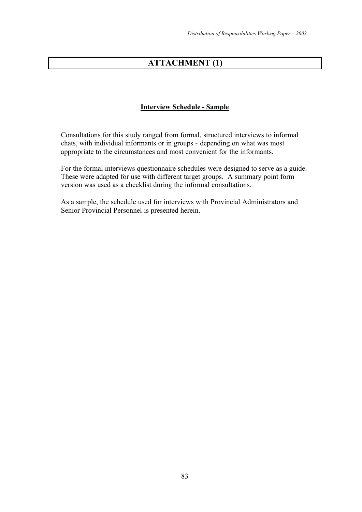# **ATTACHMENT (1)**

# **Interview Schedule - Sample**

Consultations for this study ranged from formal, structured interviews to informal chats, with individual informants or in groups - depending on what was most appropriate to the circumstances and most convenient for the informants.

For the formal interviews questionnaire schedules were designed to serve as a guide. These were adapted for use with different target groups. A summary point form version was used as a checklist during the informal consultations.

As a sample, the schedule used for interviews with Provincial Administrators and Senior Provincial Personnel is presented herein.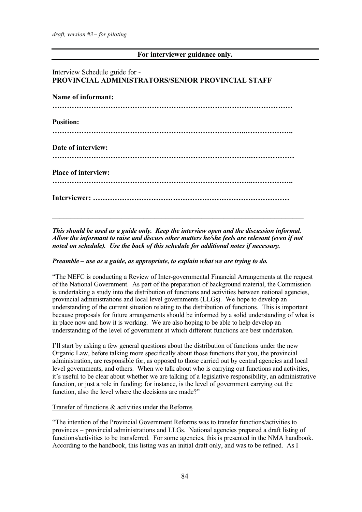# **For interviewer guidance only.**

# Interview Schedule guide for - **PROVINCIAL ADMINISTRATORS/SENIOR PROVINCIAL STAFF Name of informant: ……………………………………………………………………………………… Position: ……………………………………………………………………..………………..**

**Date of interview: ……………………………………………………………………….………………**

**Place of interview:** 

**………………………………………………………………………..……………..**

**Interviewer: ………………………………………………………………………**

*This should be used as a guide only. Keep the interview open and the discussion informal. Allow the informant to raise and discuss other matters he/she feels are relevant (even if not noted on schedule). Use the back of this schedule for additional notes if necessary.*

**\_\_\_\_\_\_\_\_\_\_\_\_\_\_\_\_\_\_\_\_\_\_\_\_\_\_\_\_\_\_\_\_\_\_\_\_\_\_\_\_\_\_\_\_\_\_\_\_\_\_\_\_\_\_\_\_\_\_\_\_\_\_\_\_\_\_\_\_\_**

### *Preamble – use as a guide, as appropriate, to explain what we are trying to do.*

"The NEFC is conducting a Review of Inter-governmental Financial Arrangements at the request of the National Government. As part of the preparation of background material, the Commission is undertaking a study into the distribution of functions and activities between national agencies, provincial administrations and local level governments (LLGs). We hope to develop an understanding of the current situation relating to the distribution of functions. This is important because proposals for future arrangements should be informed by a solid understanding of what is in place now and how it is working. We are also hoping to be able to help develop an understanding of the level of government at which different functions are best undertaken.

I'll start by asking a few general questions about the distribution of functions under the new Organic Law, before talking more specifically about those functions that you, the provincial administration, are responsible for, as opposed to those carried out by central agencies and local level governments, and others. When we talk about who is carrying out functions and activities, it's useful to be clear about whether we are talking of a legislative responsibility, an administrative function, or just a role in funding; for instance, is the level of government carrying out the function, also the level where the decisions are made?"

### Transfer of functions & activities under the Reforms

"The intention of the Provincial Government Reforms was to transfer functions/activities to provinces – provincial administrations and LLGs. National agencies prepared a draft listing of functions/activities to be transferred. For some agencies, this is presented in the NMA handbook. According to the handbook, this listing was an initial draft only, and was to be refined. As I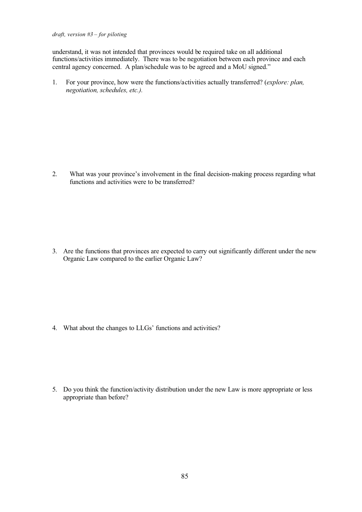#### *draft, version #3 – for piloting*

understand, it was not intended that provinces would be required take on all additional functions/activities immediately. There was to be negotiation between each province and each central agency concerned. A plan/schedule was to be agreed and a MoU signed."

1. For your province, how were the functions/activities actually transferred? (*explore: plan, negotiation, schedules, etc.).*

2. What was your province's involvement in the final decision-making process regarding what functions and activities were to be transferred?

3. Are the functions that provinces are expected to carry out significantly different under the new Organic Law compared to the earlier Organic Law?

4. What about the changes to LLGs' functions and activities?

5. Do you think the function/activity distribution under the new Law is more appropriate or less appropriate than before?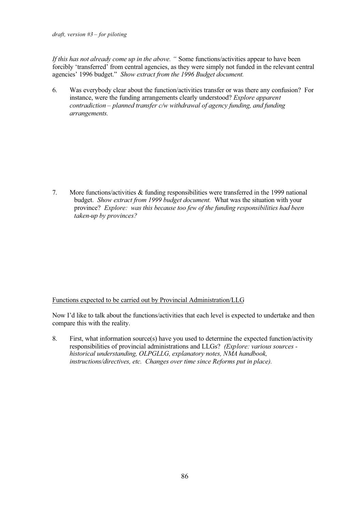*draft, version #3 – for piloting* 

*If this has not already come up in the above. "* Some functions/activities appear to have been forcibly 'transferred' from central agencies, as they were simply not funded in the relevant central agencies' 1996 budget." *Show extract from the 1996 Budget document.*

6. Was everybody clear about the function/activities transfer or was there any confusion? For instance, were the funding arrangements clearly understood? *Explore apparent contradiction – planned transfer c/w withdrawal of agency funding, and funding arrangements.*

7. More functions/activities & funding responsibilities were transferred in the 1999 national budget. *Show extract from 1999 budget document.* What was the situation with your province? *Explore: was this because too few of the funding responsibilities had been taken-up by provinces?* 

Functions expected to be carried out by Provincial Administration/LLG

Now I'd like to talk about the functions/activities that each level is expected to undertake and then compare this with the reality.

8. First, what information source(s) have you used to determine the expected function/activity responsibilities of provincial administrations and LLGs? *(Explore: various sources historical understanding, OLPGLLG, explanatory notes, NMA handbook, instructions/directives, etc. Changes over time since Reforms put in place).*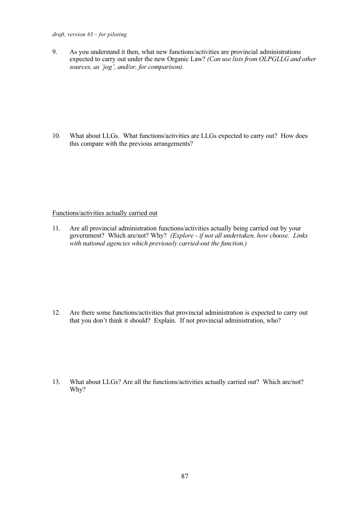#### *draft, version #3 – for piloting*

9. As you understand it then, what new functions/activities are provincial administrations expected to carry out under the new Organic Law? *(Can use lists from OLPGLLG and other sources, as 'jog', and/or, for comparison).*

10. What about LLGs. What functions/activities are LLGs expected to carry out? How does this compare with the previous arrangements?

### Functions/activities actually carried out

11. Are all provincial administration functions/activities actually being carried out by your government? Which are/not? Why? *(Explore - if not all undertaken, how choose. Links with national agencies which previously carried-out the function.)*

12. Are there some functions/activities that provincial administration is expected to carry out that you don't think it should? Explain. If not provincial administration, who?

13. What about LLGs? Are all the functions/activities actually carried out? Which are/not? Why?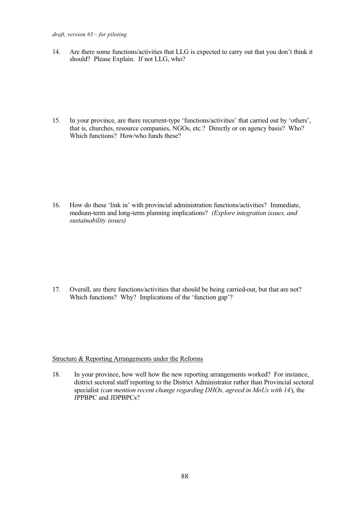14. Are there some functions/activities that LLG is expected to carry out that you don't think it should? Please Explain. If not LLG, who?

15. In your province, are there recurrent-type 'functions/activities' that carried out by 'others', that is, churches, resource companies, NGOs, etc.? Directly or on agency basis? Who? Which functions? How/who funds these?

16. How do these 'link in' with provincial administration functions/activities? Immediate, medium-term and long-term planning implications? *(Explore integration issues, and sustainability issues)*

17. Overall, are there functions/activities that should be being carried-out, but that are not? Which functions? Why? Implications of the 'function gap'?

### Structure & Reporting Arrangements under the Reforms

18. In your province, how well how the new reporting arrangements worked? For instance, district sectoral staff reporting to the District Administrator rather than Provincial sectoral specialist *(can mention recent change regarding DHOs, agreed in MoUs with 14*), the JPPBPC and JDPBPCs?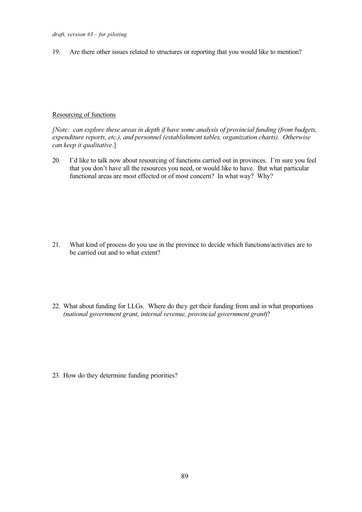19. Are there other issues related to structures or reporting that you would like to mention?

### Resourcing of functions

*[Note: can explore these areas in depth if have some analysis of provincial funding (from budgets, expenditure reports, etc.), and personnel (establishment tables, organization charts). Otherwise can keep it qualitative*.]

20. I'd like to talk now about resourcing of functions carried out in provinces. I'm sure you feel that you don't have all the resources you need, or would like to have. But what particular functional areas are most effected or of most concern? In what way? Why?

- 21. What kind of process do you use in the province to decide which functions/activities are to be carried out and to what extent?
- 22. What about funding for LLGs. Where do they get their funding from and in what proportions *(national government grant, internal revenue, provincial government grant*)?

23. How do they determine funding priorities?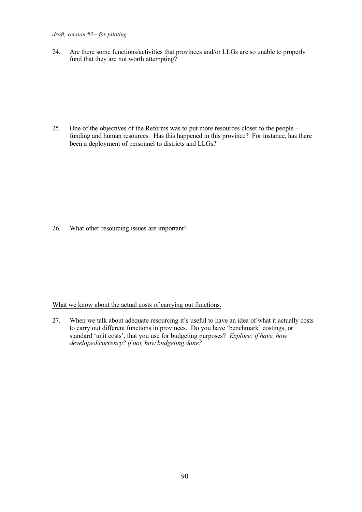#### *draft, version #3 – for piloting*

24. Are there some functions/activities that provinces and/or LLGs are so unable to properly fund that they are not worth attempting?

25. One of the objectives of the Reforms was to put more resources closer to the people – funding and human resources. Has this happened in this province? For instance, has there been a deployment of personnel to districts and LLGs?

26. What other resourcing issues are important?

#### What we know about the actual costs of carrying out functions.

27. When we talk about adequate resourcing it's useful to have an idea of what it actually costs to carry out different functions in provinces. Do you have 'benchmark' costings, or standard 'unit costs', that you use for budgeting purposes? *Explore: if have, how developed/currency? if not, how budgeting done?*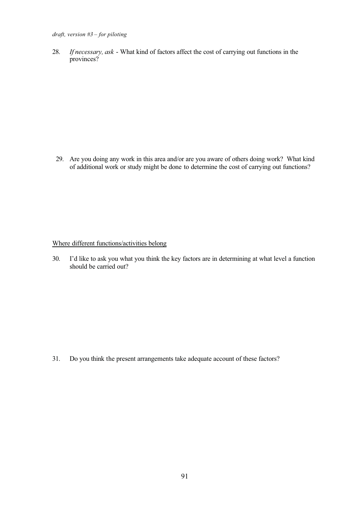28. *If necessary, ask* - What kind of factors affect the cost of carrying out functions in the provinces?

 29. Are you doing any work in this area and/or are you aware of others doing work? What kind of additional work or study might be done to determine the cost of carrying out functions?

Where different functions/activities belong

30. I'd like to ask you what you think the key factors are in determining at what level a function should be carried out?

31. Do you think the present arrangements take adequate account of these factors?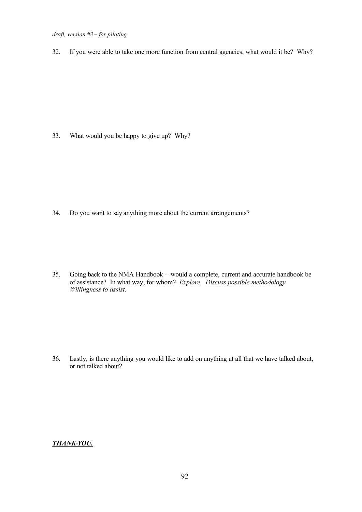32. If you were able to take one more function from central agencies, what would it be? Why?

33. What would you be happy to give up? Why?

34. Do you want to say anything more about the current arrangements?

35. Going back to the NMA Handbook – would a complete, current and accurate handbook be of assistance? In what way, for whom? *Explore. Discuss possible methodology. Willingness to assist*.

36. Lastly, is there anything you would like to add on anything at all that we have talked about, or not talked about?

### *THANK-YOU.*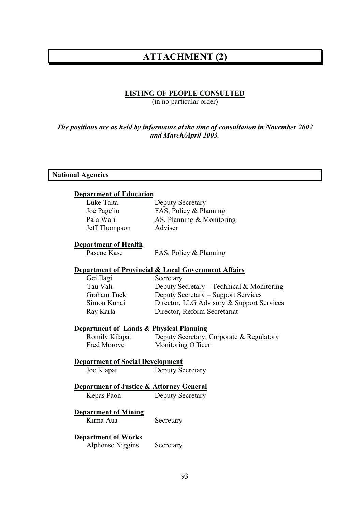## **ATTACHMENT (2)**

## **LISTING OF PEOPLE CONSULTED**

(in no particular order)

## *The positions are as held by informants at the time of consultation in November 2002 and March/April 2003.*

### **National Agencies**

#### **Department of Education**

| Luke Taita    | <b>Deputy Secretary</b>     |
|---------------|-----------------------------|
| Joe Pagelio   | FAS, Policy & Planning      |
| Pala Wari     | AS, Planning $&$ Monitoring |
| Jeff Thompson | Adviser                     |

#### **Department of Health**

Pascoe Kase FAS, Policy & Planning

#### **Department of Provincial & Local Government Affairs**

| Gei Ilagi   | Secretary                                 |
|-------------|-------------------------------------------|
| Tau Vali    | Deputy Secretary – Technical & Monitoring |
| Graham Tuck | Deputy Secretary – Support Services       |
| Simon Kunai | Director, LLG Advisory & Support Services |
| Ray Karla   | Director, Reform Secretariat              |
|             |                                           |

#### **Department of Lands & Physical Planning**

Romily Kilapat Deputy Secretary, Corporate & Regulatory<br>Fred Morove Monitoring Officer Monitoring Officer

#### **Department of Social Development**

Joe Klapat Deputy Secretary

#### **Department of Justice & Attorney General**

Kepas Paon Deputy Secretary

## **Department of Mining**

Kuma Aua Secretary

## **Department of Works**

Alphonse Niggins Secretary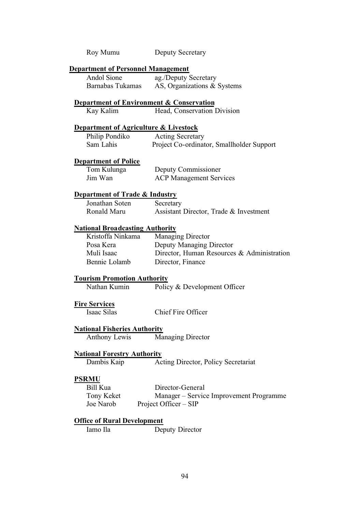| Roy Mumu                                         | <b>Deputy Secretary</b>                             |
|--------------------------------------------------|-----------------------------------------------------|
| <b>Department of Personnel Management</b>        |                                                     |
| Andol Sione                                      | ag./Deputy Secretary                                |
| Barnabas Tukamas                                 | AS, Organizations & Systems                         |
|                                                  | <b>Department of Environment &amp; Conservation</b> |
| Kay Kalim                                        | Head, Conservation Division                         |
| <b>Department of Agriculture &amp; Livestock</b> |                                                     |
| Philip Pondiko                                   | <b>Acting Secretary</b>                             |
| Sam Lahis                                        | Project Co-ordinator, Smallholder Support           |
| <b>Department of Police</b>                      |                                                     |
| Tom Kulunga                                      | Deputy Commissioner                                 |
| Jim Wan                                          | <b>ACP Management Services</b>                      |
|                                                  |                                                     |
| <b>Department of Trade &amp; Industry</b>        |                                                     |
| Jonathan Soten                                   | Secretary                                           |
| Ronald Maru                                      | Assistant Director, Trade & Investment              |
| <b>National Broadcasting Authority</b>           |                                                     |
| Kristoffa Ninkama                                | <b>Managing Director</b>                            |
| Posa Kera                                        | Deputy Managing Director                            |
| Muli Isaac                                       | Director, Human Resources & Administration          |
| Bennie Lolamb                                    | Director, Finance                                   |
| <b>Tourism Promotion Authority</b>               |                                                     |
| Nathan Kumin                                     | Policy & Development Officer                        |
| <b>Fire Services</b>                             |                                                     |
| <b>Isaac Silas</b>                               | Chief Fire Officer                                  |
| <b>National Fisheries Authority</b>              |                                                     |
| Anthony Lewis                                    | <b>Managing Director</b>                            |
| <b>National Forestry Authority</b>               |                                                     |
| Dambis Kaip                                      | Acting Director, Policy Secretariat                 |
|                                                  |                                                     |
| <b>PSRMU</b>                                     |                                                     |
| Bill Kua                                         | Director-General                                    |
| Tony Keket                                       | Manager – Service Improvement Programme             |
| Joe Narob                                        | Project Officer – SIP                               |
| <b>Office of Rural Development</b>               |                                                     |

Iamo Ila Deputy Director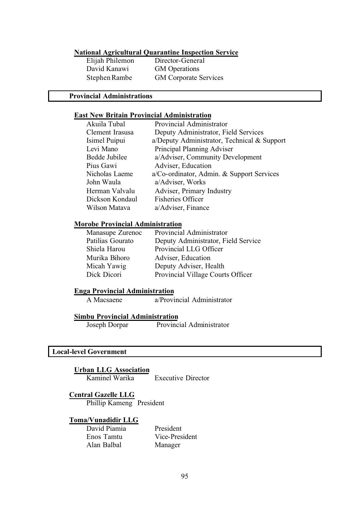# **National Agricultural Quarantine Inspection Service**

Elijah Philemon David Kanawi GM Operations

Stephen Rambe GM Corporate Services

#### **Provincial Administrations**

#### **East New Britain Provincial Administration**

| Akuila Tubal    | Provincial Administrator                    |
|-----------------|---------------------------------------------|
| Clement Irasusa | Deputy Administrator, Field Services        |
| Isimel Puipui   | a/Deputy Administrator, Technical & Support |
| Levi Mano       | Principal Planning Adviser                  |
| Bedde Jubilee   | a/Adviser, Community Development            |
| Pius Gawi       | Adviser, Education                          |
| Nicholas Laeme  | a/Co-ordinator, Admin. & Support Services   |
| John Waula      | a/Adviser, Works                            |
| Herman Valvalu  | Adviser, Primary Industry                   |
| Dickson Kondaul | <b>Fisheries Officer</b>                    |
| Wilson Matava   | a/Adviser, Finance                          |
|                 |                                             |

## **Morobe Provincial Administration**

| Manasupe Zurenoc | Provincial Administrator            |
|------------------|-------------------------------------|
| Patilias Gourato | Deputy Administrator, Field Service |
| Shiela Harou     | Provincial LLG Officer              |
| Murika Bihoro    | Adviser, Education                  |
| Micah Yawig      | Deputy Adviser, Health              |
| Dick Dicori      | Provincial Village Courts Officer   |

## **Enga Provincial Administration**

A Macsaene a/Provincial Administrator

## **Simbu Provincial Administration**

Joseph Dorpar Provincial Administrator

## **Local-level Government**

**Urban LLG Association**

**Executive Director** 

#### **Central Gazelle LLG**

Phillip Kameng President

#### **Toma/Vunadidir LLG**

David Piamia President Alan Balbal Manager

Vice-President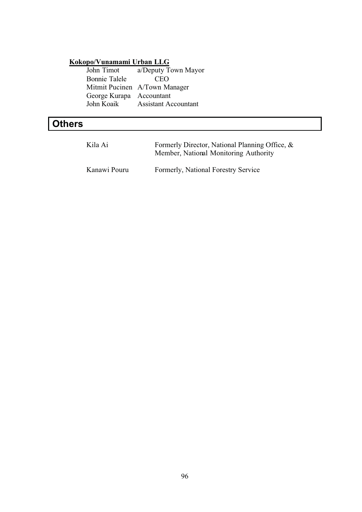## **Kokopo/Vunamami Urban LLG**

John Timot a/Deputy Town Mayor Bonnie Talele CEO Mitmit Pucinen A/Town Manager George Kurapa Accountant<br>John Koaik Assistant Ac Assistant Accountant

# **Others**

| Kila Ai      | Formerly Director, National Planning Office, &<br>Member, National Monitoring Authority |
|--------------|-----------------------------------------------------------------------------------------|
| Kanawi Pouru | Formerly, National Forestry Service                                                     |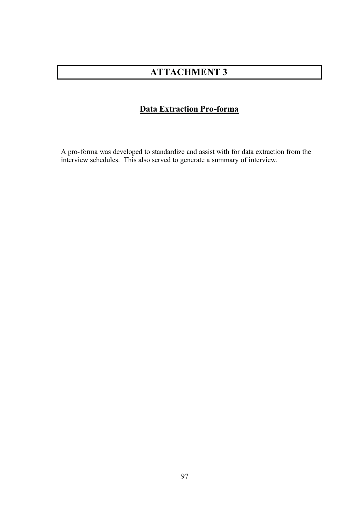# **ATTACHMENT 3**

## **Data Extraction Pro-forma**

A pro-forma was developed to standardize and assist with for data extraction from the interview schedules. This also served to generate a summary of interview.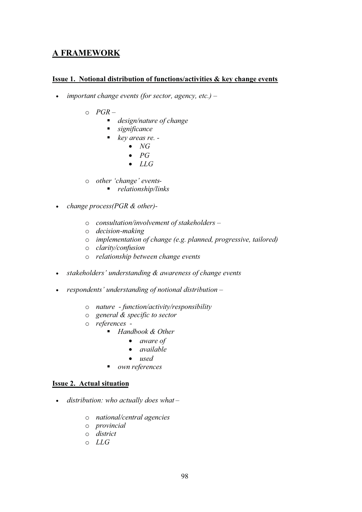## **A FRAMEWORK**

## **Issue 1. Notional distribution of functions/activities & key change events**

- *important change events (for sector, agency, etc.) –*
	- o *PGR –*
		- *design/nature of change*
		- *significance*
		- *key areas re. -*
			- *NG*
			- *PG*
			- *LLG*
	- o *other 'change' events-*
		- *relationship/links*
- *change process(PGR & other)*
	- o *consultation/involvement of stakeholders –*
	- o *decision-making*
	- o *implementation of change (e.g. planned, progressive, tailored)*
	- o *clarity/confusion*
	- o *relationship between change events*
- *stakeholders' understanding & awareness of change events*
- *respondents' understanding of notional distribution –*
	- o *nature function/activity/responsibility*
	- o *general & specific to sector*
	- o *references -*
		- - *Handbook & Other* 
			- *aware of*
			- *available*
			- *used*
		- *own references*

## **Issue 2. Actual situation**

- *distribution: who actually does what –*
	- o *national/central agencies*
	- o *provincial*
	- o *district*
	- o *LLG*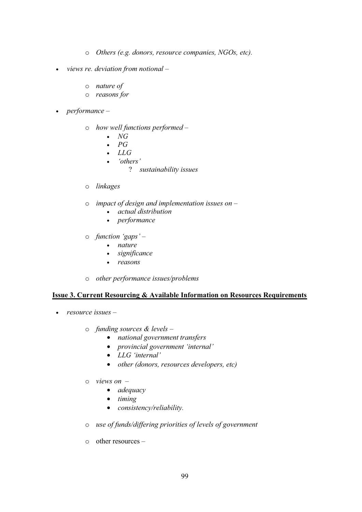- o *Others (e.g. donors, resource companies, NGOs, etc).*
- *views re. deviation from notional –*
	- o *nature of*
	- o *reasons for*
- *performance –*
	- o *how well functions performed –*
		- *NG*
		- *PG*
		- *LLG*
		- *'others'*
			- ? *sustainability issues*
	- o *linkages*
	- o *impact of design and implementation issues on –*
		- *actual distribution*
		- *performance*
	- o *function 'gaps' –*
		- *nature*
			- *significance*
		- *reasons*
	- o *other performance issues/problems*

#### **Issue 3. Current Resourcing & Available Information on Resources Requirements**

- *resource issues –*
	- o *funding sources & levels –*
		- *national government transfers*
		- *provincial government 'internal'*
		- *LLG 'internal'*
		- *other (donors, resources developers, etc)*
	- o *views on –*
		- *adequacy*
		- *timing*
		- *consistency/reliability.*
	- o *use of funds/differing priorities of levels of government*
	- o other resources –